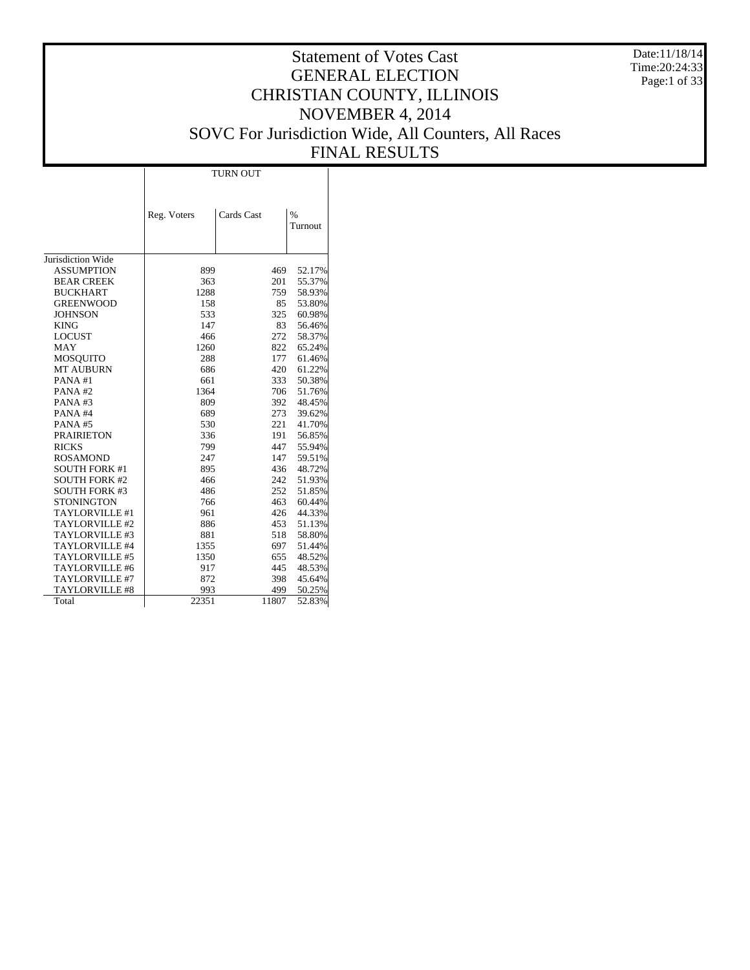Date:11/18/14 Time:20:24:33 Page:1 of 33

# Statement of Votes Cast GENERAL ELECTION CHRISTIAN COUNTY, ILLINOIS NOVEMBER 4, 2014 SOVC For Jurisdiction Wide, All Counters, All Races FINAL RESULTS

Τ

| Cards Cast<br>$\frac{0}{0}$<br>Reg. Voters | Turnout |
|--------------------------------------------|---------|
|                                            |         |
| Jurisdiction Wide                          |         |
| <b>ASSUMPTION</b><br>899<br>469            | 52.17%  |
| <b>BEAR CREEK</b><br>363<br>201            | 55.37%  |
| <b>BUCKHART</b><br>1288<br>759             | 58.93%  |
| 85<br><b>GREENWOOD</b><br>158              | 53.80%  |
| 325<br><b>JOHNSON</b><br>533               | 60.98%  |
| 147<br>83<br><b>KING</b>                   | 56.46%  |
| <b>LOCUST</b><br>466<br>272                | 58.37%  |
| <b>MAY</b><br>1260<br>822                  | 65.24%  |
| <b>MOSQUITO</b><br>288<br>177              | 61.46%  |
| <b>MT AUBURN</b><br>686<br>420             | 61.22%  |
| PANA#1<br>661<br>333                       | 50.38%  |
| PANA#2<br>1364<br>706                      | 51.76%  |
| PANA#3<br>809<br>392                       | 48.45%  |
| PANA#4<br>689<br>273                       | 39.62%  |
| 221<br>530<br>PANA#5                       | 41.70%  |
| <b>PRAIRIETON</b><br>336<br>191            | 56.85%  |
| <b>RICKS</b><br>799<br>447                 | 55.94%  |
| <b>ROSAMOND</b><br>247<br>147              | 59.51%  |
| <b>SOUTH FORK #1</b><br>895<br>436         | 48.72%  |
| <b>SOUTH FORK #2</b><br>466<br>242         | 51.93%  |
| 252<br><b>SOUTH FORK #3</b><br>486         | 51.85%  |
| <b>STONINGTON</b><br>766<br>463            | 60.44%  |
| TAYLORVILLE #1<br>961<br>426               | 44.33%  |
| TAYLORVILLE #2<br>886<br>453               | 51.13%  |
| 881<br>TAYLORVILLE #3<br>518               | 58.80%  |
| TAYLORVILLE #4<br>1355<br>697              | 51.44%  |
| 1350<br>TAYLORVILLE #5<br>655              | 48.52%  |
| TAYLORVILLE #6<br>917<br>445               | 48.53%  |
| TAYLORVILLE #7<br>872<br>398               | 45.64%  |
| TAYLORVILLE #8<br>993<br>499               | 50.25%  |
| 22351<br>11807<br>Total                    | 52.83%  |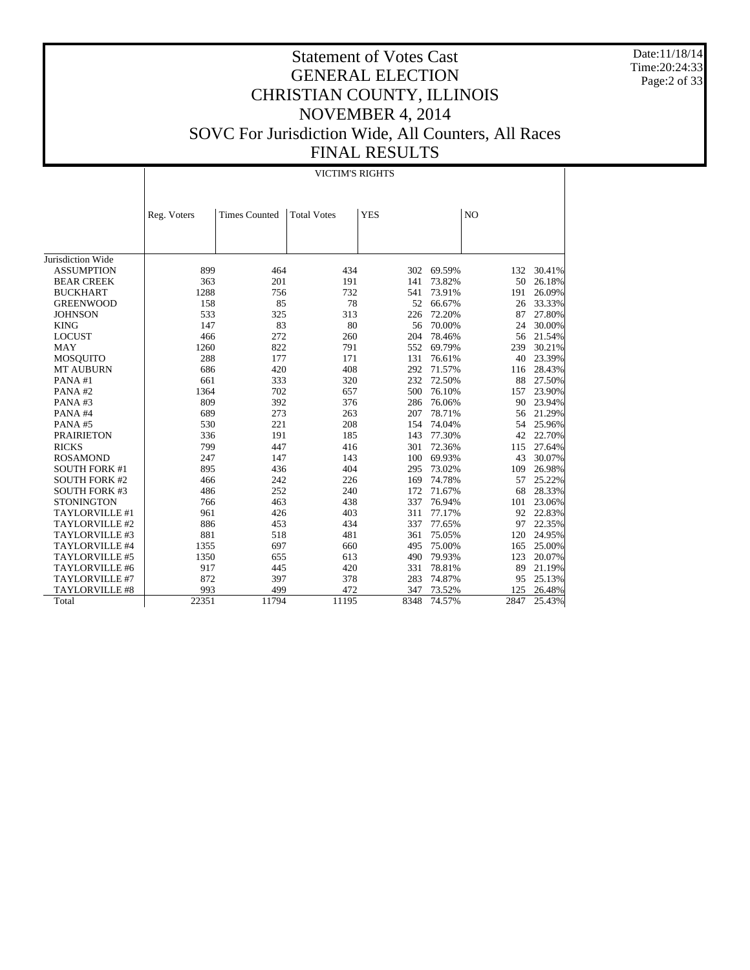Date:11/18/14 Time:20:24:33 Page:2 of 33

# Statement of Votes Cast GENERAL ELECTION CHRISTIAN COUNTY, ILLINOIS NOVEMBER 4, 2014 SOVC For Jurisdiction Wide, All Counters, All Races FINAL RESULTS

#### VICTIM'S RIGHTS

|                       | Reg. Voters | <b>Times Counted</b> | <b>Total Votes</b> | <b>YES</b> |        | N <sub>O</sub> |        |
|-----------------------|-------------|----------------------|--------------------|------------|--------|----------------|--------|
|                       |             |                      |                    |            |        |                |        |
|                       |             |                      |                    |            |        |                |        |
|                       |             |                      |                    |            |        |                |        |
| Jurisdiction Wide     |             |                      |                    |            |        |                |        |
| <b>ASSUMPTION</b>     | 899         | 464                  | 434                | 302        | 69.59% | 132            | 30.41% |
| <b>BEAR CREEK</b>     | 363         | 201                  | 191                | 141        | 73.82% | 50             | 26.18% |
| <b>BUCKHART</b>       | 1288        | 756                  | 732                | 541        | 73.91% | 191            | 26.09% |
| <b>GREENWOOD</b>      | 158         | 85                   | 78                 | 52         | 66.67% | 26             | 33.33% |
| <b>JOHNSON</b>        | 533         | 325                  | 313                | 226        | 72.20% | 87             | 27.80% |
| <b>KING</b>           | 147         | 83                   | 80                 | 56         | 70.00% | 24             | 30.00% |
| <b>LOCUST</b>         | 466         | 272                  | 260                | 204        | 78.46% | 56             | 21.54% |
| <b>MAY</b>            | 1260        | 822                  | 791                | 552        | 69.79% | 239            | 30.21% |
| <b>MOSQUITO</b>       | 288         | 177                  | 171                | 131        | 76.61% | 40             | 23.39% |
| MT AUBURN             | 686         | 420                  | 408                | 292        | 71.57% | 116            | 28.43% |
| PANA#1                | 661         | 333                  | 320                | 232        | 72.50% | 88             | 27.50% |
| PANA#2                | 1364        | 702                  | 657                | 500        | 76.10% | 157            | 23.90% |
| PANA#3                | 809         | 392                  | 376                | 286        | 76.06% | 90             | 23.94% |
| PANA#4                | 689         | 273                  | 263                | 207        | 78.71% | 56             | 21.29% |
| PANA#5                | 530         | 221                  | 208                | 154        | 74.04% | 54             | 25.96% |
| <b>PRAIRIETON</b>     | 336         | 191                  | 185                | 143        | 77.30% | 42             | 22.70% |
| <b>RICKS</b>          | 799         | 447                  | 416                | 301        | 72.36% | 115            | 27.64% |
| <b>ROSAMOND</b>       | 247         | 147                  | 143                | 100        | 69.93% | 43             | 30.07% |
| <b>SOUTH FORK #1</b>  | 895         | 436                  | 404                | 295        | 73.02% | 109            | 26.98% |
| <b>SOUTH FORK #2</b>  | 466         | 242                  | 226                | 169        | 74.78% | 57             | 25.22% |
| <b>SOUTH FORK #3</b>  | 486         | 252                  | 240                | 172        | 71.67% | 68             | 28.33% |
| <b>STONINGTON</b>     | 766         | 463                  | 438                | 337        | 76.94% | 101            | 23.06% |
| TAYLORVILLE #1        | 961         | 426                  | 403                | 311        | 77.17% | 92             | 22.83% |
| TAYLORVILLE #2        | 886         | 453                  | 434                | 337        | 77.65% | 97             | 22.35% |
| TAYLORVILLE #3        | 881         | 518                  | 481                | 361        | 75.05% | 120            | 24.95% |
| TAYLORVILLE #4        | 1355        | 697                  | 660                | 495        | 75.00% | 165            | 25.00% |
| TAYLORVILLE #5        | 1350        | 655                  | 613                | 490        | 79.93% | 123            | 20.07% |
| TAYLORVILLE #6        | 917         | 445                  | 420                | 331        | 78.81% | 89             | 21.19% |
| TAYLORVILLE #7        | 872         | 397                  | 378                | 283        | 74.87% | 95             | 25.13% |
| <b>TAYLORVILLE #8</b> | 993         | 499                  | 472                | 347        | 73.52% | 125            | 26.48% |
| Total                 | 22351       | 11794                | 11195              | 8348       | 74.57% | 2847           | 25.43% |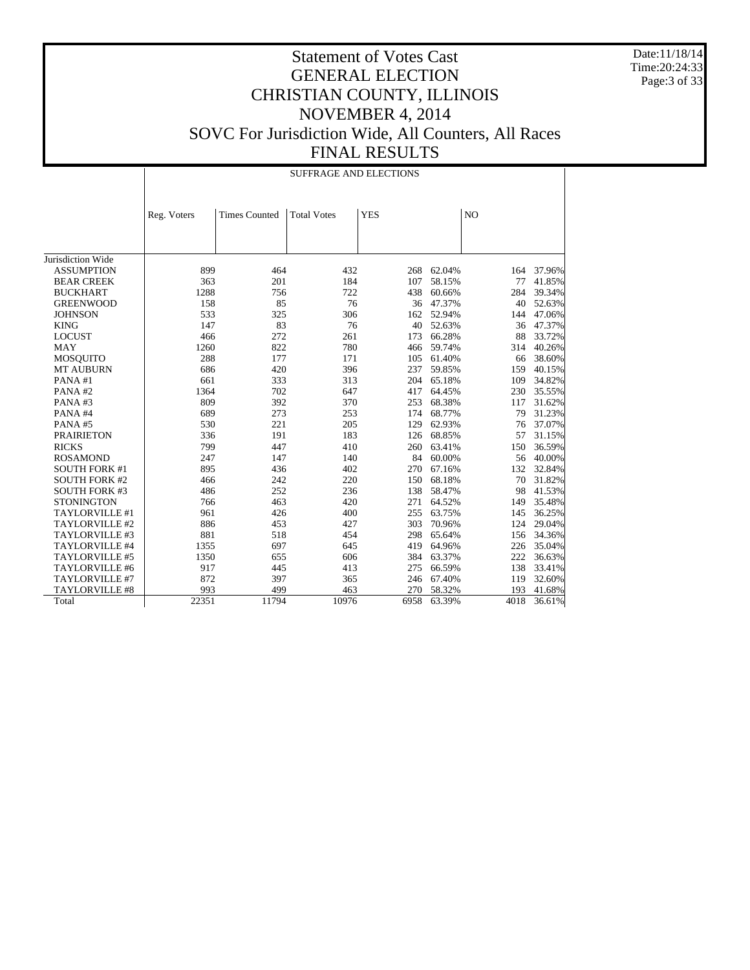Date:11/18/14 Time:20:24:33 Page:3 of 33

|  | <b>SUFFRAGE AND ELECTIONS</b> |  |
|--|-------------------------------|--|
|  |                               |  |

|                      | Reg. Voters | <b>Times Counted</b> | <b>Total Votes</b> | <b>YES</b> |        | N <sub>O</sub> |        |
|----------------------|-------------|----------------------|--------------------|------------|--------|----------------|--------|
|                      |             |                      |                    |            |        |                |        |
|                      |             |                      |                    |            |        |                |        |
|                      |             |                      |                    |            |        |                |        |
| Jurisdiction Wide    |             |                      |                    |            |        |                |        |
| <b>ASSUMPTION</b>    | 899         | 464                  | 432                | 268        | 62.04% | 164            | 37.96% |
| <b>BEAR CREEK</b>    | 363         | 201                  | 184                | 107        | 58.15% | 77             | 41.85% |
| <b>BUCKHART</b>      | 1288        | 756                  | 722                | 438        | 60.66% | 284            | 39.34% |
| <b>GREENWOOD</b>     | 158         | 85                   | 76                 | 36         | 47.37% | 40             | 52.63% |
| <b>JOHNSON</b>       | 533         | 325                  | 306                | 162        | 52.94% | 144            | 47.06% |
| <b>KING</b>          | 147         | 83                   | 76                 | 40         | 52.63% | 36             | 47.37% |
| <b>LOCUST</b>        | 466         | 272                  | 261                | 173        | 66.28% | 88             | 33.72% |
| <b>MAY</b>           | 1260        | 822                  | 780                | 466        | 59.74% | 314            | 40.26% |
| <b>MOSQUITO</b>      | 288         | 177                  | 171                | 105        | 61.40% | 66             | 38.60% |
| <b>MT AUBURN</b>     | 686         | 420                  | 396                | 237        | 59.85% | 159            | 40.15% |
| PANA#1               | 661         | 333                  | 313                | 204        | 65.18% | 109            | 34.82% |
| PANA#2               | 1364        | 702                  | 647                | 417        | 64.45% | 230            | 35.55% |
| PANA#3               | 809         | 392                  | 370                | 253        | 68.38% | 117            | 31.62% |
| PANA#4               | 689         | 273                  | 253                | 174        | 68.77% | 79             | 31.23% |
| PANA#5               | 530         | 221                  | 205                | 129        | 62.93% | 76             | 37.07% |
| <b>PRAIRIETON</b>    | 336         | 191                  | 183                | 126        | 68.85% | 57             | 31.15% |
| <b>RICKS</b>         | 799         | 447                  | 410                | 260        | 63.41% | 150            | 36.59% |
| <b>ROSAMOND</b>      | 247         | 147                  | 140                | 84         | 60.00% | 56             | 40.00% |
| <b>SOUTH FORK #1</b> | 895         | 436                  | 402                | 270        | 67.16% | 132            | 32.84% |
| <b>SOUTH FORK #2</b> | 466         | 242                  | 220                | 150        | 68.18% | 70             | 31.82% |
| <b>SOUTH FORK #3</b> | 486         | 252                  | 236                | 138        | 58.47% | 98             | 41.53% |
| <b>STONINGTON</b>    | 766         | 463                  | 420                | 271        | 64.52% | 149            | 35.48% |
| TAYLORVILLE #1       | 961         | 426                  | 400                | 255        | 63.75% | 145            | 36.25% |
| TAYLORVILLE #2       | 886         | 453                  | 427                | 303        | 70.96% | 124            | 29.04% |
| TAYLORVILLE #3       | 881         | 518                  | 454                | 298        | 65.64% | 156            | 34.36% |
| TAYLORVILLE #4       | 1355        | 697                  | 645                | 419        | 64.96% | 226            | 35.04% |
| TAYLORVILLE #5       | 1350        | 655                  | 606                | 384        | 63.37% | 222            | 36.63% |
| TAYLORVILLE #6       | 917         | 445                  | 413                | 275        | 66.59% | 138            | 33.41% |
| TAYLORVILLE #7       | 872         | 397                  | 365                | 246        | 67.40% | 119            | 32.60% |
| TAYLORVILLE #8       | 993         | 499                  | 463                | 270        | 58.32% | 193            | 41.68% |
| Total                | 22351       | 11794                | 10976              | 6958       | 63.39% | 4018           | 36.61% |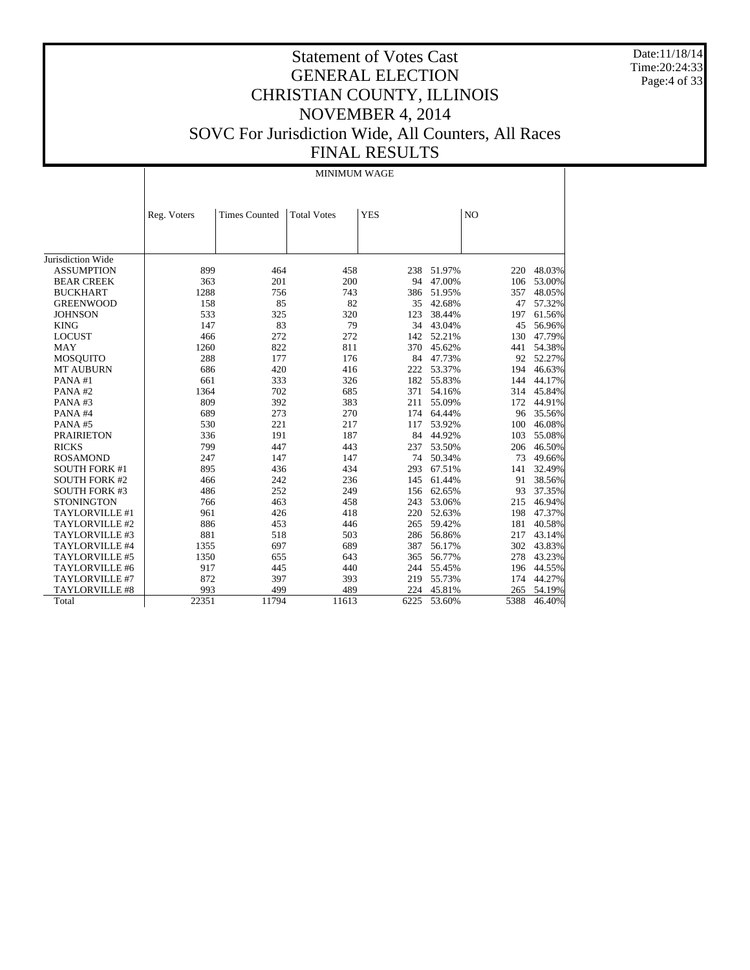Date:11/18/14 Time:20:24:33 Page:4 of 33

# Statement of Votes Cast GENERAL ELECTION CHRISTIAN COUNTY, ILLINOIS NOVEMBER 4, 2014 SOVC For Jurisdiction Wide, All Counters, All Races FINAL RESULTS

MINIMUM WAGE

|                      | Reg. Voters | <b>Times Counted</b> | <b>Total Votes</b> | <b>YES</b> |        | N <sub>O</sub> |        |
|----------------------|-------------|----------------------|--------------------|------------|--------|----------------|--------|
|                      |             |                      |                    |            |        |                |        |
|                      |             |                      |                    |            |        |                |        |
|                      |             |                      |                    |            |        |                |        |
| Jurisdiction Wide    |             |                      |                    |            |        |                |        |
| <b>ASSUMPTION</b>    | 899         | 464                  | 458                | 238        | 51.97% | 220            | 48.03% |
| <b>BEAR CREEK</b>    | 363         | 201                  | 200                | 94         | 47.00% | 106            | 53.00% |
| <b>BUCKHART</b>      | 1288        | 756                  | 743                | 386        | 51.95% | 357            | 48.05% |
| <b>GREENWOOD</b>     | 158         | 85                   | 82                 | 35         | 42.68% | 47             | 57.32% |
| <b>JOHNSON</b>       | 533         | 325                  | 320                | 123        | 38.44% | 197            | 61.56% |
| <b>KING</b>          | 147         | 83                   | 79                 | 34         | 43.04% | 45             | 56.96% |
| <b>LOCUST</b>        | 466         | 272                  | 272                | 142        | 52.21% | 130            | 47.79% |
| <b>MAY</b>           | 1260        | 822                  | 811                | 370        | 45.62% | 441            | 54.38% |
| MOSQUITO             | 288         | 177                  | 176                | 84         | 47.73% | 92             | 52.27% |
| <b>MT AUBURN</b>     | 686         | 420                  | 416                | 222        | 53.37% | 194            | 46.63% |
| PANA#1               | 661         | 333                  | 326                | 182        | 55.83% | 144            | 44.17% |
| PANA#2               | 1364        | 702                  | 685                | 371        | 54.16% | 314            | 45.84% |
| PANA#3               | 809         | 392                  | 383                | 211        | 55.09% | 172            | 44.91% |
| PANA#4               | 689         | 273                  | 270                | 174        | 64.44% | 96             | 35.56% |
| PANA#5               | 530         | 221                  | 217                | 117        | 53.92% | 100            | 46.08% |
| <b>PRAIRIETON</b>    | 336         | 191                  | 187                | 84         | 44.92% | 103            | 55.08% |
| <b>RICKS</b>         | 799         | 447                  | 443                | 237        | 53.50% | 206            | 46.50% |
| <b>ROSAMOND</b>      | 247         | 147                  | 147                | 74         | 50.34% | 73             | 49.66% |
| <b>SOUTH FORK #1</b> | 895         | 436                  | 434                | 293        | 67.51% | 141            | 32.49% |
| <b>SOUTH FORK #2</b> | 466         | 242                  | 236                | 145        | 61.44% | 91             | 38.56% |
| <b>SOUTH FORK #3</b> | 486         | 252                  | 249                | 156        | 62.65% | 93             | 37.35% |
| <b>STONINGTON</b>    | 766         | 463                  | 458                | 243        | 53.06% | 215            | 46.94% |
| TAYLORVILLE #1       | 961         | 426                  | 418                | 220        | 52.63% | 198            | 47.37% |
| TAYLORVILLE #2       | 886         | 453                  | 446                | 265        | 59.42% | 181            | 40.58% |
| TAYLORVILLE #3       | 881         | 518                  | 503                | 286        | 56.86% | 217            | 43.14% |
| TAYLORVILLE #4       | 1355        | 697                  | 689                | 387        | 56.17% | 302            | 43.83% |
| TAYLORVILLE #5       | 1350        | 655                  | 643                | 365        | 56.77% | 278            | 43.23% |
| TAYLORVILLE #6       | 917         | 445                  | 440                | 244        | 55.45% | 196            | 44.55% |
| TAYLORVILLE #7       | 872         | 397                  | 393                | 219        | 55.73% | 174            | 44.27% |
| TAYLORVILLE #8       | 993         | 499                  | 489                | 224        | 45.81% | 265            | 54.19% |
| Total                | 22351       | 11794                | 11613              | 6225       | 53.60% | 5388           | 46.40% |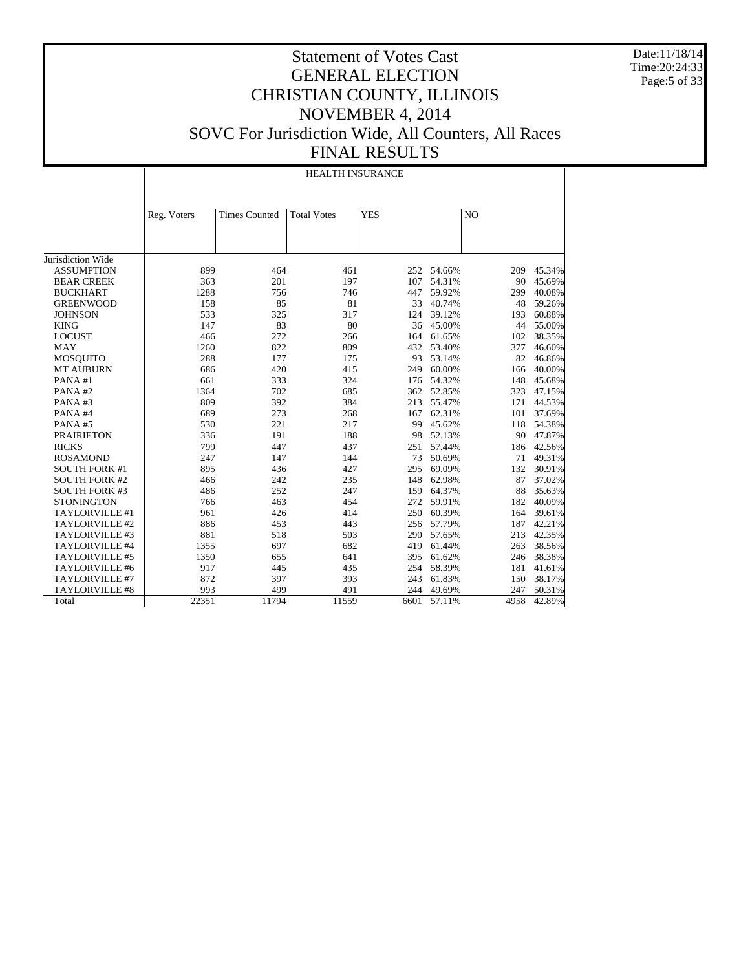Date:11/18/14 Time:20:24:33 Page:5 of 33

#### Statement of Votes Cast GENERAL ELECTION CHRISTIAN COUNTY, ILLINOIS NOVEMBER 4, 2014 SOVC For Jurisdiction Wide, All Counters, All Races FINAL RESULTS

Jurisdiction Wide ASSUMPTION BEAR CREEK BUCKHART GREENWOOD **JOHNSON**  KING LOCUST MAY MOSQUITO MT AUBURN PANA #1 PANA #2 PANA #3 PANA #4 PANA #5 PRAIRIETON RICKS ROSAMOND SOUTH FORK #1 SOUTH FORK #2 SOUTH FORK #3 **STONINGTON**  TAYLORVILLE #1 TAYLORVILLE #2 TAYLORVILLE #3 TAYLORVILLE #4 TAYLORVILLE #5 TAYLORVILLE #6 TAYLORVILLE #7 TAYLORVILLE #8 Total Reg. Voters | Times Counted | Total Votes | YES | NO HEALTH INSURANCE 899 464 461 252 54.66% 209 45.34%<br>363 201 197 107 54.31% 90 45.69% 201 197 107 54.31% 90 45.69%<br>756 746 447 59.92% 299 40.08% 1288 756 746 447 59.92% 299 40.08% 158 85 81 33 40.74% 48 59.26% 533 325 317 124 39.12% 193 60.88% 147 83 80 36 45.00% 44 55.00% 466 272 266 164 61.65% 102 38.35% 1260 822 809 432 53.40% 377 46.60% 288 177 175 93 53.14% 82 46.86%<br>686 420 415 249 60.00% 166 40.00% 686 420 415 249 60.00% 166 40.00% 661 333 324 176 54.32% 148 45.68% 1364 702 685 362 52.85% 323 47.15%<br>809 392 384 213 55.47% 171 44.53% 809 392 384 213 55.47% 171 44.53% 689 273 268 167 62.31% 101 37.69% 530 221 217 99 45.62% 118 54.38% 336 191 188 98 52.13%<br>
799 447 437 251 57.44% 186 42.56% 247 147 144 73 50.69% 71 49.31%<br>895 436 427 295 69.09% 132 30.91% 895 436 427 295 69.09% 132<br>466 242 235 148 62.98% 87 466 242 235 148 62.98% 87 37.02%<br>486 252 247 159 64.37% 88 35.63% 486 252 247 159 64.37% 88 35.63% 766 463 454 272 59.91% 182 40.09% 961 426 414 250 60.39% 164 39.61% 886 453 443 256 57.79% 187 42.21% 881 518 503 290 57.65% 213 42.35% 1355 697 682 419 61.44% 263 38.56%<br>1350 655 641 395 61.62% 246 38.38% 1350 655 641 395 61.62% 246 38.38% 917 1445 135 254 58.39% 181 41.61%<br>872 397 393 243 61.83% 150 38.17% 243 61.83% 150 38.17%<br>244 49.69% 247 50.31% 993 499 491 244 49.69% 247 50.31% 22351 11794 11559 6601 57.11% 4958 42.89%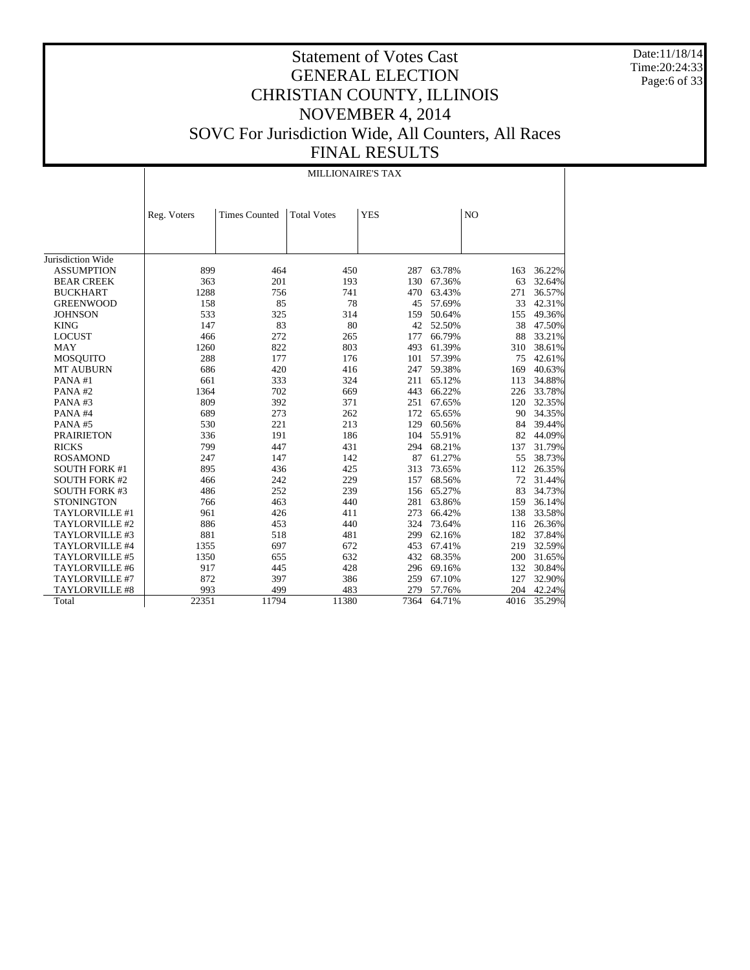Date:11/18/14 Time:20:24:33 Page:6 of 33

# Statement of Votes Cast GENERAL ELECTION CHRISTIAN COUNTY, ILLINOIS NOVEMBER 4, 2014 SOVC For Jurisdiction Wide, All Counters, All Races FINAL RESULTS

MILLIONAIRE'S TAX

|                      | Reg. Voters | <b>Times Counted</b> | <b>Total Votes</b> | <b>YES</b> |        | N <sub>O</sub> |        |
|----------------------|-------------|----------------------|--------------------|------------|--------|----------------|--------|
|                      |             |                      |                    |            |        |                |        |
|                      |             |                      |                    |            |        |                |        |
|                      |             |                      |                    |            |        |                |        |
| Jurisdiction Wide    |             |                      |                    |            |        |                |        |
| <b>ASSUMPTION</b>    | 899         | 464                  | 450                | 287        | 63.78% | 163            | 36.22% |
| <b>BEAR CREEK</b>    | 363         | 201                  | 193                | 130        | 67.36% | 63             | 32.64% |
| <b>BUCKHART</b>      | 1288        | 756                  | 741                | 470        | 63.43% | 271            | 36.57% |
| <b>GREENWOOD</b>     | 158         | 85                   | 78                 | 45         | 57.69% | 33             | 42.31% |
| <b>JOHNSON</b>       | 533         | 325                  | 314                | 159        | 50.64% | 155            | 49.36% |
| <b>KING</b>          | 147         | 83                   | 80                 | 42         | 52.50% | 38             | 47.50% |
| <b>LOCUST</b>        | 466         | 272                  | 265                | 177        | 66.79% | 88             | 33.21% |
| <b>MAY</b>           | 1260        | 822                  | 803                | 493        | 61.39% | 310            | 38.61% |
| <b>MOSQUITO</b>      | 288         | 177                  | 176                | 101        | 57.39% | 75             | 42.61% |
| <b>MT AUBURN</b>     | 686         | 420                  | 416                | 247        | 59.38% | 169            | 40.63% |
| PANA#1               | 661         | 333                  | 324                | 211        | 65.12% | 113            | 34.88% |
| PANA#2               | 1364        | 702                  | 669                | 443        | 66.22% | 226            | 33.78% |
| PANA#3               | 809         | 392                  | 371                | 251        | 67.65% | 120            | 32.35% |
| PANA#4               | 689         | 273                  | 262                | 172        | 65.65% | 90             | 34.35% |
| PANA#5               | 530         | 221                  | 213                | 129        | 60.56% | 84             | 39.44% |
| <b>PRAIRIETON</b>    | 336         | 191                  | 186                | 104        | 55.91% | 82             | 44.09% |
| <b>RICKS</b>         | 799         | 447                  | 431                | 294        | 68.21% | 137            | 31.79% |
| <b>ROSAMOND</b>      | 247         | 147                  | 142                | 87         | 61.27% | 55             | 38.73% |
| <b>SOUTH FORK #1</b> | 895         | 436                  | 425                | 313        | 73.65% | 112            | 26.35% |
| <b>SOUTH FORK #2</b> | 466         | 242                  | 229                | 157        | 68.56% | 72             | 31.44% |
| <b>SOUTH FORK #3</b> | 486         | 252                  | 239                | 156        | 65.27% | 83             | 34.73% |
| <b>STONINGTON</b>    | 766         | 463                  | 440                | 281        | 63.86% | 159            | 36.14% |
| TAYLORVILLE #1       | 961         | 426                  | 411                | 273        | 66.42% | 138            | 33.58% |
| TAYLORVILLE #2       | 886         | 453                  | 440                | 324        | 73.64% | 116            | 26.36% |
| TAYLORVILLE #3       | 881         | 518                  | 481                | 299        | 62.16% | 182            | 37.84% |
| TAYLORVILLE #4       | 1355        | 697                  | 672                | 453        | 67.41% | 219            | 32.59% |
| TAYLORVILLE #5       | 1350        | 655                  | 632                | 432        | 68.35% | 200            | 31.65% |
| TAYLORVILLE #6       | 917         | 445                  | 428                | 296        | 69.16% | 132            | 30.84% |
| TAYLORVILLE #7       | 872         | 397                  | 386                | 259        | 67.10% | 127            | 32.90% |
| TAYLORVILLE #8       | 993         | 499                  | 483                | 279        | 57.76% | 204            | 42.24% |
| Total                | 22351       | 11794                | 11380              | 7364       | 64.71% | 4016           | 35.29% |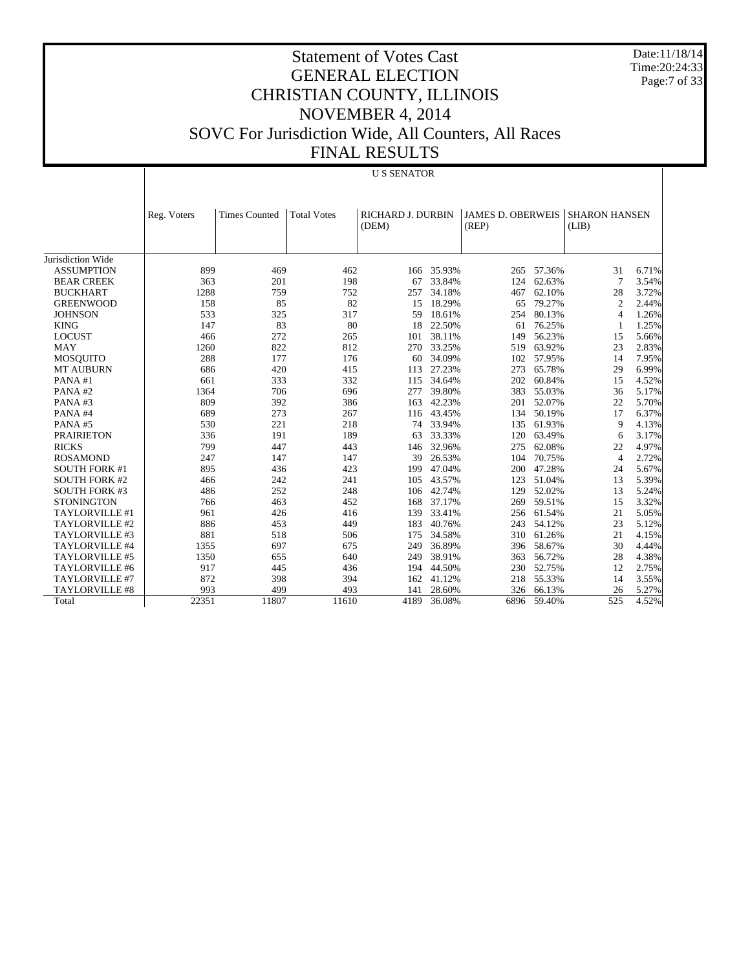Date:11/18/14 Time:20:24:33 Page:7 of 33

# Statement of Votes Cast GENERAL ELECTION CHRISTIAN COUNTY, ILLINOIS NOVEMBER 4, 2014 SOVC For Jurisdiction Wide, All Counters, All Races FINAL RESULTS

#### U S SENATOR

|                       | Reg. Voters | <b>Times Counted</b> | <b>Total Votes</b> | <b>RICHARD J. DURBIN</b> |        | <b>JAMES D. OBERWEIS</b> |        | <b>SHARON HANSEN</b> |       |
|-----------------------|-------------|----------------------|--------------------|--------------------------|--------|--------------------------|--------|----------------------|-------|
|                       |             |                      |                    | (DEM)                    |        | (REP)                    |        | (LIB)                |       |
|                       |             |                      |                    |                          |        |                          |        |                      |       |
|                       |             |                      |                    |                          |        |                          |        |                      |       |
| Jurisdiction Wide     |             |                      |                    |                          |        |                          |        |                      |       |
| <b>ASSUMPTION</b>     | 899         | 469                  | 462                | 166                      | 35.93% | 265                      | 57.36% | 31                   | 6.71% |
| <b>BEAR CREEK</b>     | 363         | 201                  | 198                | 67                       | 33.84% | 124                      | 62.63% | $\overline{7}$       | 3.54% |
| <b>BUCKHART</b>       | 1288        | 759                  | 752                | 257                      | 34.18% | 467                      | 62.10% | 28                   | 3.72% |
| <b>GREENWOOD</b>      | 158         | 85                   | 82                 | 15                       | 18.29% | 65                       | 79.27% | $\overline{2}$       | 2.44% |
| <b>JOHNSON</b>        | 533         | 325                  | 317                | 59                       | 18.61% | 254                      | 80.13% | $\overline{4}$       | 1.26% |
| <b>KING</b>           | 147         | 83                   | 80                 | 18                       | 22.50% | 61                       | 76.25% | -1                   | 1.25% |
| <b>LOCUST</b>         | 466         | 272                  | 265                | 101                      | 38.11% | 149                      | 56.23% | 15                   | 5.66% |
| <b>MAY</b>            | 1260        | 822                  | 812                | 270                      | 33.25% | 519                      | 63.92% | 23                   | 2.83% |
| MOSQUITO              | 288         | 177                  | 176                | 60                       | 34.09% | 102                      | 57.95% | 14                   | 7.95% |
| <b>MT AUBURN</b>      | 686         | 420                  | 415                | 113                      | 27.23% | 273                      | 65.78% | 29                   | 6.99% |
| PANA#1                | 661         | 333                  | 332                | 115                      | 34.64% | 202                      | 60.84% | 15                   | 4.52% |
| PANA#2                | 1364        | 706                  | 696                | 277                      | 39.80% | 383                      | 55.03% | 36                   | 5.17% |
| PANA#3                | 809         | 392                  | 386                | 163                      | 42.23% | 201                      | 52.07% | 22                   | 5.70% |
| PANA#4                | 689         | 273                  | 267                | 116                      | 43.45% | 134                      | 50.19% | 17                   | 6.37% |
| PANA#5                | 530         | 221                  | 218                | 74                       | 33.94% | 135                      | 61.93% | 9                    | 4.13% |
| <b>PRAIRIETON</b>     | 336         | 191                  | 189                | 63                       | 33.33% | 120                      | 63.49% | 6                    | 3.17% |
| <b>RICKS</b>          | 799         | 447                  | 443                | 146                      | 32.96% | 275                      | 62.08% | 22                   | 4.97% |
| <b>ROSAMOND</b>       | 247         | 147                  | 147                | 39                       | 26.53% | 104                      | 70.75% | $\overline{4}$       | 2.72% |
| <b>SOUTH FORK #1</b>  | 895         | 436                  | 423                | 199                      | 47.04% | 200                      | 47.28% | 24                   | 5.67% |
| <b>SOUTH FORK #2</b>  | 466         | 242                  | 241                | 105                      | 43.57% | 123                      | 51.04% | 13                   | 5.39% |
| <b>SOUTH FORK #3</b>  | 486         | 252                  | 248                | 106                      | 42.74% | 129                      | 52.02% | 13                   | 5.24% |
| <b>STONINGTON</b>     | 766         | 463                  | 452                | 168                      | 37.17% | 269                      | 59.51% | 15                   | 3.32% |
| TAYLORVILLE #1        | 961         | 426                  | 416                | 139                      | 33.41% | 256                      | 61.54% | 21                   | 5.05% |
| TAYLORVILLE #2        | 886         | 453                  | 449                | 183                      | 40.76% | 243                      | 54.12% | 23                   | 5.12% |
| TAYLORVILLE #3        | 881         | 518                  | 506                | 175                      | 34.58% | 310                      | 61.26% | 21                   | 4.15% |
| TAYLORVILLE #4        | 1355        | 697                  | 675                | 249                      | 36.89% | 396                      | 58.67% | 30                   | 4.44% |
| TAYLORVILLE #5        | 1350        | 655                  | 640                | 249                      | 38.91% | 363                      | 56.72% | 28                   | 4.38% |
| TAYLORVILLE #6        | 917         | 445                  | 436                | 194                      | 44.50% | 230                      | 52.75% | 12                   | 2.75% |
| <b>TAYLORVILLE #7</b> | 872         | 398                  | 394                | 162                      | 41.12% | 218                      | 55.33% | 14                   | 3.55% |
| <b>TAYLORVILLE #8</b> | 993         | 499                  | 493                | 141                      | 28.60% | 326                      | 66.13% | 26                   | 5.27% |
| Total                 | 22351       | 11807                | 11610              | 4189                     | 36.08% | 6896                     | 59.40% | 525                  | 4.52% |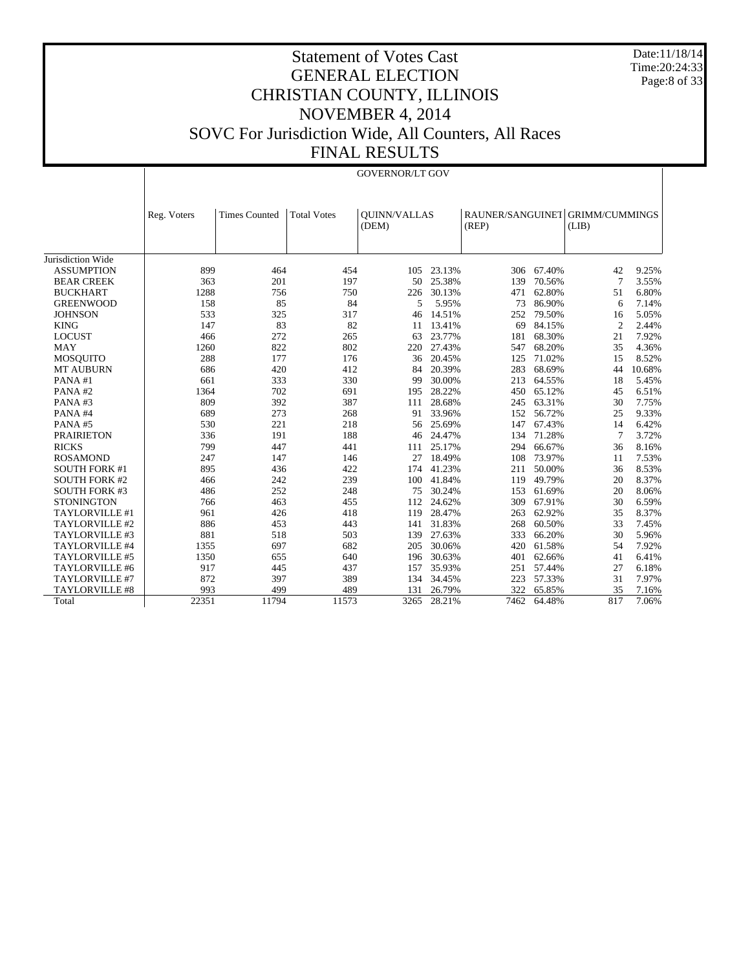Date:11/18/14 Time:20:24:33 Page:8 of 33

|                      |             |                      |                    | <b>GOVERNOR/LT GOV</b>       |        |                                          |        |                |        |
|----------------------|-------------|----------------------|--------------------|------------------------------|--------|------------------------------------------|--------|----------------|--------|
|                      |             |                      |                    |                              |        |                                          |        |                |        |
|                      | Reg. Voters | <b>Times Counted</b> | <b>Total Votes</b> | <b>OUINN/VALLAS</b><br>(DEM) |        | RAUNER/SANGUINET GRIMM/CUMMINGS<br>(REP) |        | (LIB)          |        |
|                      |             |                      |                    |                              |        |                                          |        |                |        |
|                      |             |                      |                    |                              |        |                                          |        |                |        |
| Jurisdiction Wide    |             |                      |                    |                              |        |                                          |        |                |        |
| <b>ASSUMPTION</b>    | 899         | 464                  | 454                | 105                          | 23.13% | 306                                      | 67.40% | 42             | 9.25%  |
| <b>BEAR CREEK</b>    | 363         | 201                  | 197                | 50                           | 25.38% | 139                                      | 70.56% | $\overline{7}$ | 3.55%  |
| <b>BUCKHART</b>      | 1288        | 756                  | 750                | 226                          | 30.13% | 471                                      | 62.80% | 51             | 6.80%  |
| <b>GREENWOOD</b>     | 158         | 85                   | 84                 | 5                            | 5.95%  | 73                                       | 86.90% | 6              | 7.14%  |
| <b>JOHNSON</b>       | 533         | 325                  | 317                | 46                           | 14.51% | 252                                      | 79.50% | 16             | 5.05%  |
| <b>KING</b>          | 147         | 83                   | 82                 | 11                           | 13.41% | 69                                       | 84.15% | $\overline{c}$ | 2.44%  |
| <b>LOCUST</b>        | 466         | 272                  | 265                | 63                           | 23.77% | 181                                      | 68.30% | 21             | 7.92%  |
| <b>MAY</b>           | 1260        | 822                  | 802                | 220                          | 27.43% | 547                                      | 68.20% | 35             | 4.36%  |
| <b>MOSQUITO</b>      | 288         | 177                  | 176                | 36                           | 20.45% | 125                                      | 71.02% | 15             | 8.52%  |
| <b>MT AUBURN</b>     | 686         | 420                  | 412                | 84                           | 20.39% | 283                                      | 68.69% | 44             | 10.68% |
| PANA#1               | 661         | 333                  | 330                | 99                           | 30.00% | 213                                      | 64.55% | 18             | 5.45%  |
| PANA#2               | 1364        | 702                  | 691                | 195                          | 28.22% | 450                                      | 65.12% | 45             | 6.51%  |
| PANA#3               | 809         | 392                  | 387                | 111                          | 28.68% | 245                                      | 63.31% | 30             | 7.75%  |
| PANA#4               | 689         | 273                  | 268                | 91                           | 33.96% | 152                                      | 56.72% | 25             | 9.33%  |
| PANA#5               | 530         | 221                  | 218                | 56                           | 25.69% | 147                                      | 67.43% | 14             | 6.42%  |
| <b>PRAIRIETON</b>    | 336         | 191                  | 188                | 46                           | 24.47% | 134                                      | 71.28% | 7              | 3.72%  |
| <b>RICKS</b>         | 799         | 447                  | 441                | 111                          | 25.17% | 294                                      | 66.67% | 36             | 8.16%  |
| <b>ROSAMOND</b>      | 247         | 147                  | 146                | 27                           | 18.49% | 108                                      | 73.97% | 11             | 7.53%  |
| <b>SOUTH FORK #1</b> | 895         | 436                  | 422                | 174                          | 41.23% | 211                                      | 50.00% | 36             | 8.53%  |
| <b>SOUTH FORK #2</b> | 466         | 242                  | 239                | 100                          | 41.84% | 119                                      | 49.79% | 20             | 8.37%  |
| <b>SOUTH FORK #3</b> | 486         | 252                  | 248                | 75                           | 30.24% | 153                                      | 61.69% | 20             | 8.06%  |
| <b>STONINGTON</b>    | 766         | 463                  | 455                | 112                          | 24.62% | 309                                      | 67.91% | 30             | 6.59%  |
| TAYLORVILLE #1       | 961         | 426                  | 418                | 119                          | 28.47% | 263                                      | 62.92% | 35             | 8.37%  |
| TAYLORVILLE #2       | 886         | 453                  | 443                | 141                          | 31.83% | 268                                      | 60.50% | 33             | 7.45%  |
| TAYLORVILLE #3       | 881         | 518                  | 503                | 139                          | 27.63% | 333                                      | 66.20% | 30             | 5.96%  |
| TAYLORVILLE #4       | 1355        | 697                  | 682                | 205                          | 30.06% | 420                                      | 61.58% | 54             | 7.92%  |
| TAYLORVILLE #5       | 1350        | 655                  | 640                | 196                          | 30.63% | 401                                      | 62.66% | 41             | 6.41%  |
| TAYLORVILLE #6       | 917         | 445                  | 437                | 157                          | 35.93% | 251                                      | 57.44% | 27             | 6.18%  |
| TAYLORVILLE #7       | 872         | 397                  | 389                | 134                          | 34.45% | 223                                      | 57.33% | 31             | 7.97%  |
| TAYLORVILLE #8       | 993         | 499                  | 489                | 131                          | 26.79% | 322                                      | 65.85% | 35             | 7.16%  |
| Total                | 22351       | 11794                | 11573              | 3265                         | 28.21% | 7462                                     | 64.48% | 817            | 7.06%  |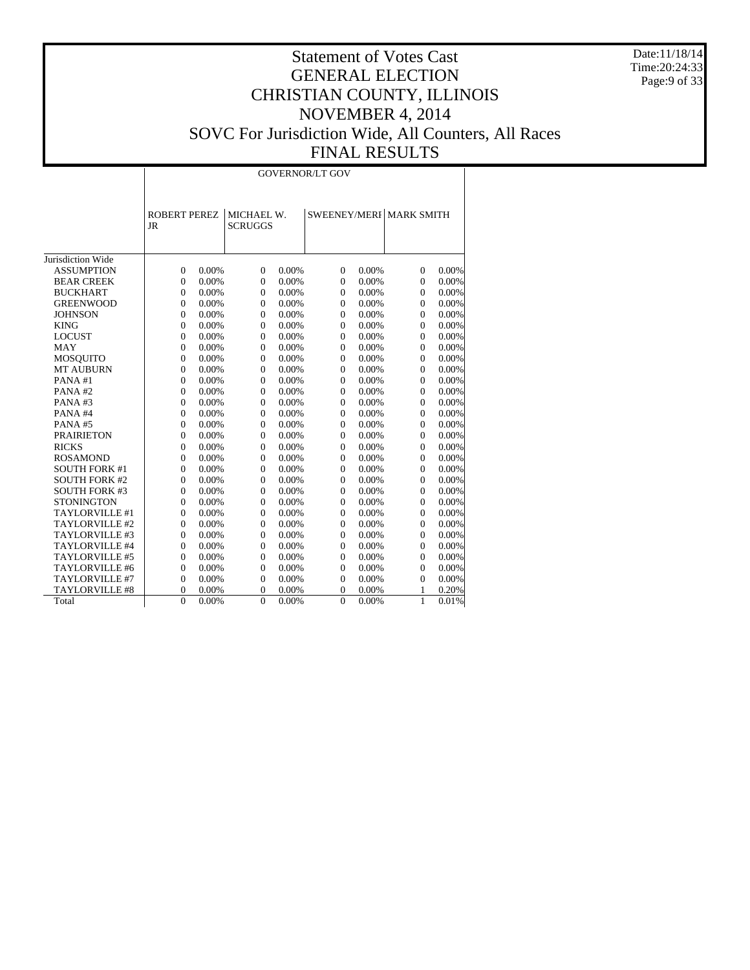Date:11/18/14 Time:20:24:33 Page:9 of 33

|                      |                                  |       |                              |       | <b>GOVERNOR/LT GOV</b> |       |                         |          |
|----------------------|----------------------------------|-------|------------------------------|-------|------------------------|-------|-------------------------|----------|
|                      | <b>ROBERT PEREZ</b><br><b>JR</b> |       | MICHAEL W.<br><b>SCRUGGS</b> |       |                        |       | SWEENEY/MERI MARK SMITH |          |
| Jurisdiction Wide    |                                  |       |                              |       |                        |       |                         |          |
| <b>ASSUMPTION</b>    | $\Omega$                         | 0.00% | $\theta$                     | 0.00% | $\overline{0}$         | 0.00% | $\overline{0}$          | 0.00%    |
| <b>BEAR CREEK</b>    | $\theta$                         | 0.00% | $\overline{0}$               | 0.00% | $\overline{0}$         | 0.00% | $\overline{0}$          | 0.00%    |
| <b>BUCKHART</b>      | $\Omega$                         | 0.00% | $\Omega$                     | 0.00% | $\overline{0}$         | 0.00% | $\theta$                | 0.00%    |
| <b>GREENWOOD</b>     | $\mathbf{0}$                     | 0.00% | $\overline{0}$               | 0.00% | $\overline{0}$         | 0.00% | $\mathbf{0}$            | 0.00%    |
| <b>JOHNSON</b>       | $\mathbf{0}$                     | 0.00% | $\overline{0}$               | 0.00% | $\overline{0}$         | 0.00% | $\mathbf{0}$            | 0.00%    |
| <b>KING</b>          | $\mathbf{0}$                     | 0.00% | $\overline{0}$               | 0.00% | $\overline{0}$         | 0.00% | $\mathbf{0}$            | $0.00\%$ |
| <b>LOCUST</b>        | $\overline{0}$                   | 0.00% | $\mathbf{0}$                 | 0.00% | $\overline{0}$         | 0.00% | $\overline{0}$          | 0.00%    |
| <b>MAY</b>           | $\overline{0}$                   | 0.00% | $\overline{0}$               | 0.00% | $\overline{0}$         | 0.00% | $\overline{0}$          | 0.00%    |
| <b>MOSQUITO</b>      | $\overline{0}$                   | 0.00% | $\mathbf{0}$                 | 0.00% | $\overline{0}$         | 0.00% | $\overline{0}$          | 0.00%    |
| <b>MT AUBURN</b>     | $\mathbf{0}$                     | 0.00% | $\mathbf{0}$                 | 0.00% | $\overline{0}$         | 0.00% | $\overline{0}$          | 0.00%    |
| PANA#1               | $\mathbf{0}$                     | 0.00% | $\theta$                     | 0.00% | $\overline{0}$         | 0.00% | $\overline{0}$          | $0.00\%$ |
| PANA#2               | $\mathbf{0}$                     | 0.00% | $\mathbf{0}$                 | 0.00% | $\overline{0}$         | 0.00% | $\overline{0}$          | 0.00%    |
| PANA#3               | $\overline{0}$                   | 0.00% | $\mathbf{0}$                 | 0.00% | $\overline{0}$         | 0.00% | $\overline{0}$          | 0.00%    |
| PANA#4               | $\mathbf{0}$                     | 0.00% | $\boldsymbol{0}$             | 0.00% | $\overline{0}$         | 0.00% | $\mathbf{0}$            | 0.00%    |
| PANA#5               | $\overline{0}$                   | 0.00% | $\boldsymbol{0}$             | 0.00% | $\boldsymbol{0}$       | 0.00% | $\overline{0}$          | 0.00%    |
| <b>PRAIRIETON</b>    | $\overline{0}$                   | 0.00% | $\overline{0}$               | 0.00% | $\overline{0}$         | 0.00% | $\overline{0}$          | 0.00%    |
| <b>RICKS</b>         | $\overline{0}$                   | 0.00% | $\overline{0}$               | 0.00% | $\overline{0}$         | 0.00% | $\overline{0}$          | 0.00%    |
| <b>ROSAMOND</b>      | $\overline{0}$                   | 0.00% | $\mathbf{0}$                 | 0.00% | $\overline{0}$         | 0.00% | $\overline{0}$          | 0.00%    |
| <b>SOUTH FORK #1</b> | $\Omega$                         | 0.00% | $\Omega$                     | 0.00% | $\Omega$               | 0.00% | $\theta$                | $0.00\%$ |
| <b>SOUTH FORK #2</b> | $\Omega$                         | 0.00% | $\mathbf{0}$                 | 0.00% | $\overline{0}$         | 0.00% | $\Omega$                | 0.00%    |
| <b>SOUTH FORK #3</b> | $\mathbf{0}$                     | 0.00% | $\mathbf{0}$                 | 0.00% | $\overline{0}$         | 0.00% | $\overline{0}$          | 0.00%    |
| <b>STONINGTON</b>    | $\mathbf{0}$                     | 0.00% | $\overline{0}$               | 0.00% | $\boldsymbol{0}$       | 0.00% | $\boldsymbol{0}$        | 0.00%    |
| TAYLORVILLE #1       | $\theta$                         | 0.00% | $\mathbf{0}$                 | 0.00% | $\boldsymbol{0}$       | 0.00% | $\boldsymbol{0}$        | 0.00%    |
| TAYLORVILLE #2       | $\overline{0}$                   | 0.00% | $\mathbf{0}$                 | 0.00% | $\overline{0}$         | 0.00% | $\mathbf{0}$            | 0.00%    |
| TAYLORVILLE #3       | $\Omega$                         | 0.00% | $\mathbf{0}$                 | 0.00% | $\overline{0}$         | 0.00% | $\overline{0}$          | 0.00%    |
| TAYLORVILLE #4       | $\overline{0}$                   | 0.00% | $\mathbf{0}$                 | 0.00% | $\overline{0}$         | 0.00% | $\overline{0}$          | 0.00%    |
| TAYLORVILLE #5       | $\mathbf{0}$                     | 0.00% | $\mathbf{0}$                 | 0.00% | $\overline{0}$         | 0.00% | $\overline{0}$          | 0.00%    |
| TAYLORVILLE #6       | $\mathbf{0}$                     | 0.00% | $\mathbf{0}$                 | 0.00% | $\boldsymbol{0}$       | 0.00% | $\overline{0}$          | 0.00%    |
| TAYLORVILLE #7       | $\theta$                         | 0.00% | $\theta$                     | 0.00% | $\overline{0}$         | 0.00% | $\overline{0}$          | 0.00%    |
| TAYLORVILLE #8       | $\overline{0}$                   | 0.00% | $\overline{0}$               | 0.00% | $\overline{0}$         | 0.00% | 1                       | 0.20%    |
| Total                | $\Omega$                         | 0.00% | $\theta$                     | 0.00% | $\theta$               | 0.00% | 1                       | 0.01%    |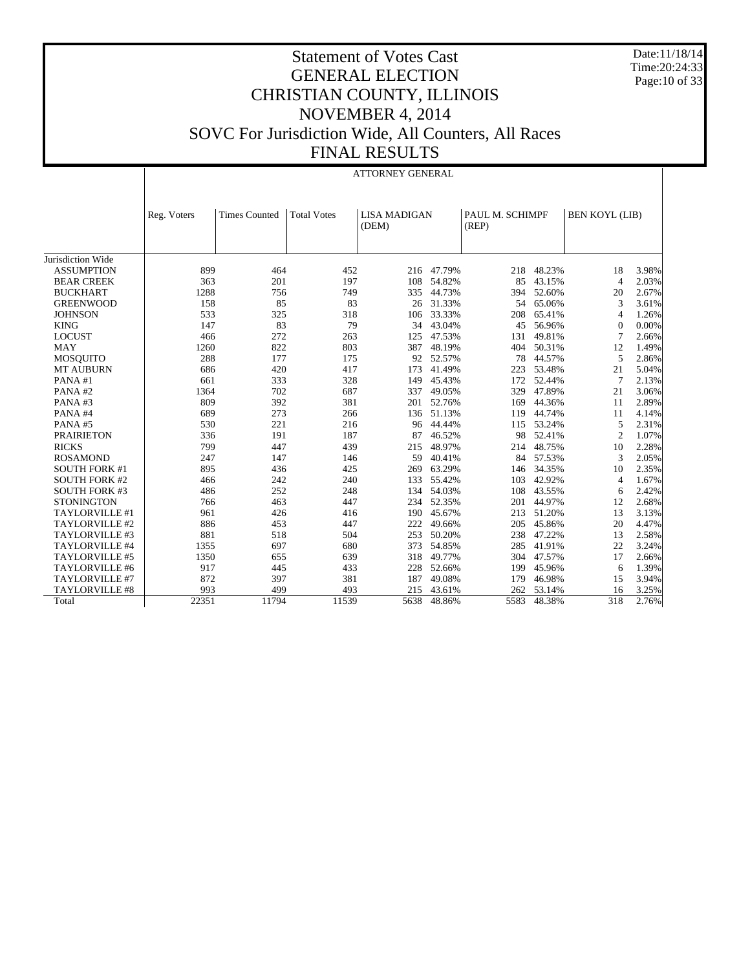Date:11/18/14 Time:20:24:33 Page:10 of 33

|                      |             |                      |                    | <b>ATTORNEY GENERAL</b>      |            |                          |           |                       |       |
|----------------------|-------------|----------------------|--------------------|------------------------------|------------|--------------------------|-----------|-----------------------|-------|
|                      | Reg. Voters | <b>Times Counted</b> | <b>Total Votes</b> | <b>LISA MADIGAN</b><br>(DEM) |            | PAUL M. SCHIMPF<br>(REP) |           | <b>BEN KOYL (LIB)</b> |       |
| Jurisdiction Wide    |             |                      |                    |                              |            |                          |           |                       |       |
| <b>ASSUMPTION</b>    | 899         | 464                  | 452                |                              | 216 47.79% | 218                      | 48.23%    | 18                    | 3.98% |
| <b>BEAR CREEK</b>    | 363         | 201                  | 197                | 108                          | 54.82%     | 85                       | 43.15%    | $\overline{4}$        | 2.03% |
| <b>BUCKHART</b>      | 1288        | 756                  | 749                | 335                          | 44.73%     | 394                      | 52.60%    | 20                    | 2.67% |
| <b>GREENWOOD</b>     | 158         | 85                   | 83                 |                              | 26 31.33%  | 54                       | 65.06%    | 3                     | 3.61% |
| <b>JOHNSON</b>       | 533         | 325                  | 318                | 106                          | 33.33%     | 208                      | 65.41%    | $\overline{4}$        | 1.26% |
| <b>KING</b>          | 147         | 83                   | 79                 | 34                           | 43.04%     | 45                       | 56.96%    | $\Omega$              | 0.00% |
| <b>LOCUST</b>        | 466         | 272                  | 263                | 125                          | 47.53%     | 131                      | 49.81%    | 7                     | 2.66% |
| <b>MAY</b>           | 1260        | 822                  | 803                | 387                          | 48.19%     | 404                      | 50.31%    | 12                    | 1.49% |
| <b>MOSOUITO</b>      | 288         | 177                  | 175                | 92                           | 52.57%     | 78                       | 44.57%    | 5                     | 2.86% |
| <b>MT AUBURN</b>     | 686         | 420                  | 417                | 173                          | 41.49%     | 223                      | 53.48%    | 21                    | 5.04% |
| PANA#1               | 661         | 333                  | 328                | 149                          | 45.43%     | 172                      | 52.44%    | 7                     | 2.13% |
| PANA#2               | 1364        | 702                  | 687                | 337                          | 49.05%     | 329                      | 47.89%    | 21                    | 3.06% |
| PANA#3               | 809         | 392                  | 381                | 201                          | 52.76%     | 169                      | 44.36%    | 11                    | 2.89% |
| PANA#4               | 689         | 273                  | 266                | 136                          | 51.13%     | 119                      | 44.74%    | 11                    | 4.14% |
| PANA#5               | 530         | 221                  | 216                | 96                           | 44.44%     | 115                      | 53.24%    | 5                     | 2.31% |
| <b>PRAIRIETON</b>    | 336         | 191                  | 187                | 87                           | 46.52%     | 98                       | 52.41%    | $\overline{2}$        | 1.07% |
| <b>RICKS</b>         | 799         | 447                  | 439                | 215                          | 48.97%     | 214                      | 48.75%    | 10                    | 2.28% |
| <b>ROSAMOND</b>      | 247         | 147                  | 146                | 59                           | 40.41%     |                          | 84 57.53% | 3                     | 2.05% |
| <b>SOUTH FORK #1</b> | 895         | 436                  | 425                | 269                          | 63.29%     | 146                      | 34.35%    | 10                    | 2.35% |
| <b>SOUTH FORK #2</b> | 466         | 242                  | 240                | 133                          | 55.42%     | 103                      | 42.92%    | $\overline{4}$        | 1.67% |
| <b>SOUTH FORK #3</b> | 486         | 252                  | 248                | 134                          | 54.03%     | 108                      | 43.55%    | 6                     | 2.42% |
| <b>STONINGTON</b>    | 766         | 463                  | 447                | 234                          | 52.35%     | 201                      | 44.97%    | 12                    | 2.68% |
| TAYLORVILLE #1       | 961         | 426                  | 416                | 190                          | 45.67%     | 213                      | 51.20%    | 13                    | 3.13% |
| TAYLORVILLE #2       | 886         | 453                  | 447                | 222                          | 49.66%     | 205                      | 45.86%    | 20                    | 4.47% |
| TAYLORVILLE #3       | 881         | 518                  | 504                | 253                          | 50.20%     | 238                      | 47.22%    | 13                    | 2.58% |
| TAYLORVILLE #4       | 1355        | 697                  | 680                | 373                          | 54.85%     | 285                      | 41.91%    | 22                    | 3.24% |
| TAYLORVILLE #5       | 1350        | 655                  | 639                | 318                          | 49.77%     | 304                      | 47.57%    | 17                    | 2.66% |
| TAYLORVILLE #6       | 917         | 445                  | 433                | 228                          | 52.66%     | 199                      | 45.96%    | 6                     | 1.39% |
| TAYLORVILLE #7       | 872         | 397                  | 381                | 187                          | 49.08%     | 179                      | 46.98%    | 15                    | 3.94% |
| TAYLORVILLE #8       | 993         | 499                  | 493                | 215                          | 43.61%     | 262                      | 53.14%    | 16                    | 3.25% |
| Total                | 22351       | 11794                | 11539              | 5638                         | 48.86%     | 5583                     | 48.38%    | 318                   | 2.76% |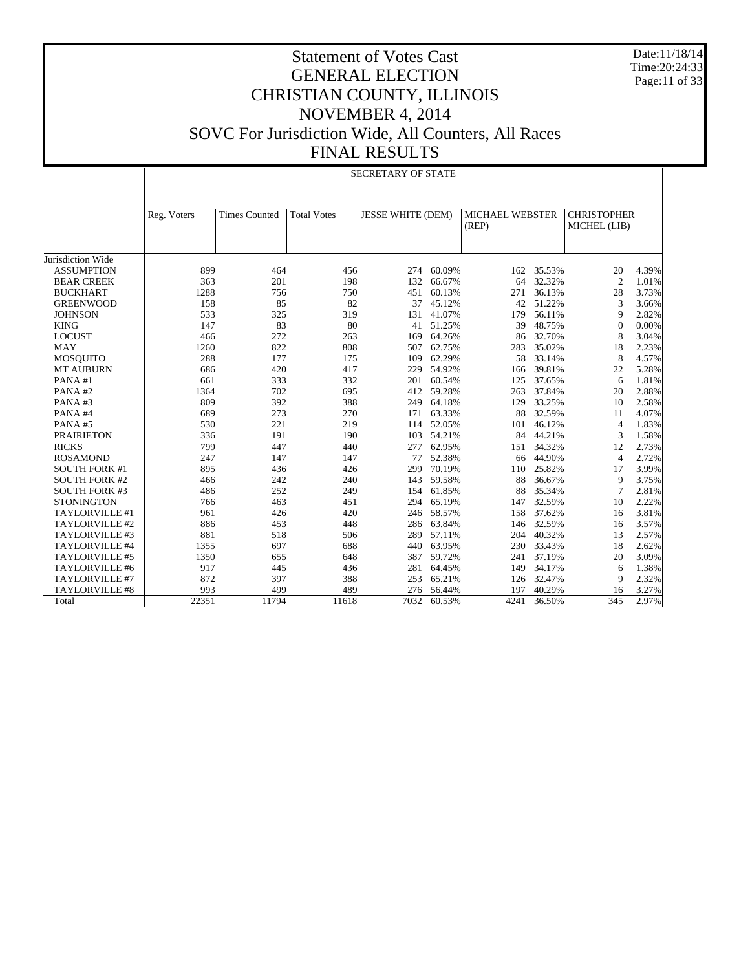Date:11/18/14 Time:20:24:33 Page:11 of 33

|                       |             |                      |                    | <b>SECRETARY OF STATE</b> |            |                                 |            |                                    |       |
|-----------------------|-------------|----------------------|--------------------|---------------------------|------------|---------------------------------|------------|------------------------------------|-------|
|                       | Reg. Voters | <b>Times Counted</b> | <b>Total Votes</b> | <b>JESSE WHITE (DEM)</b>  |            | <b>MICHAEL WEBSTER</b><br>(REP) |            | <b>CHRISTOPHER</b><br>MICHEL (LIB) |       |
| Jurisdiction Wide     |             |                      |                    |                           |            |                                 |            |                                    |       |
| <b>ASSUMPTION</b>     | 899         | 464                  | 456                | 274                       | 60.09%     |                                 | 162 35.53% | 20                                 | 4.39% |
| <b>BEAR CREEK</b>     | 363         | 201                  | 198                | 132                       | 66.67%     | 64                              | 32.32%     | 2                                  | 1.01% |
| <b>BUCKHART</b>       | 1288        | 756                  | 750                | 451                       | 60.13%     | 271                             | 36.13%     | 28                                 | 3.73% |
| <b>GREENWOOD</b>      | 158         | 85                   | 82                 | 37                        | 45.12%     | 42                              | 51.22%     | 3                                  | 3.66% |
| <b>JOHNSON</b>        | 533         | 325                  | 319                | 131                       | 41.07%     | 179                             | 56.11%     | 9                                  | 2.82% |
| <b>KING</b>           | 147         | 83                   | 80                 | 41                        | 51.25%     | 39                              | 48.75%     | $\Omega$                           | 0.00% |
| <b>LOCUST</b>         | 466         | 272                  | 263                | 169                       | 64.26%     | 86                              | 32.70%     | 8                                  | 3.04% |
| <b>MAY</b>            | 1260        | 822                  | 808                | 507                       | 62.75%     | 283                             | 35.02%     | 18                                 | 2.23% |
| MOSQUITO              | 288         | 177                  | 175                | 109                       | 62.29%     | 58                              | 33.14%     | 8                                  | 4.57% |
| <b>MT AUBURN</b>      | 686         | 420                  | 417                | 229                       | 54.92%     | 166                             | 39.81%     | 22                                 | 5.28% |
| PANA#1                | 661         | 333                  | 332                | 201                       | 60.54%     | 125                             | 37.65%     | 6                                  | 1.81% |
| PANA#2                | 1364        | 702                  | 695                | 412                       | 59.28%     | 263                             | 37.84%     | 20                                 | 2.88% |
| PANA#3                | 809         | 392                  | 388                | 249                       | 64.18%     | 129                             | 33.25%     | 10                                 | 2.58% |
| PANA#4                | 689         | 273                  | 270                | 171                       | 63.33%     | 88                              | 32.59%     | 11                                 | 4.07% |
| PANA#5                | 530         | 221                  | 219                | 114                       | 52.05%     | 101                             | 46.12%     | 4                                  | 1.83% |
| <b>PRAIRIETON</b>     | 336         | 191                  | 190                | 103                       | 54.21%     | 84                              | 44.21%     | 3                                  | 1.58% |
| <b>RICKS</b>          | 799         | 447                  | 440                | 277                       | 62.95%     | 151                             | 34.32%     | 12                                 | 2.73% |
| <b>ROSAMOND</b>       | 247         | 147                  | 147                | 77                        | 52.38%     | 66                              | 44.90%     | $\overline{4}$                     | 2.72% |
| <b>SOUTH FORK #1</b>  | 895         | 436                  | 426                | 299                       | 70.19%     | 110                             | 25.82%     | 17                                 | 3.99% |
| <b>SOUTH FORK #2</b>  | 466         | 242                  | 240                | 143                       | 59.58%     | 88                              | 36.67%     | 9                                  | 3.75% |
| <b>SOUTH FORK #3</b>  | 486         | 252                  | 249                | 154                       | 61.85%     | 88                              | 35.34%     | 7                                  | 2.81% |
| <b>STONINGTON</b>     | 766         | 463                  | 451                | 294                       | 65.19%     | 147                             | 32.59%     | 10                                 | 2.22% |
| TAYLORVILLE #1        | 961         | 426                  | 420                | 246                       | 58.57%     | 158                             | 37.62%     | 16                                 | 3.81% |
| TAYLORVILLE #2        | 886         | 453                  | 448                |                           | 286 63.84% | 146                             | 32.59%     | 16                                 | 3.57% |
| TAYLORVILLE #3        | 881         | 518                  | 506                | 289                       | 57.11%     | 204                             | 40.32%     | 13                                 | 2.57% |
| TAYLORVILLE #4        | 1355        | 697                  | 688                | 440                       | 63.95%     | 230                             | 33.43%     | 18                                 | 2.62% |
| TAYLORVILLE #5        | 1350        | 655                  | 648                | 387                       | 59.72%     | 241                             | 37.19%     | 20                                 | 3.09% |
| TAYLORVILLE #6        | 917         | 445                  | 436                | 281                       | 64.45%     | 149                             | 34.17%     | 6                                  | 1.38% |
| TAYLORVILLE #7        | 872         | 397                  | 388                | 253                       | 65.21%     | 126                             | 32.47%     | 9                                  | 2.32% |
| <b>TAYLORVILLE #8</b> | 993         | 499                  | 489                | 276                       | 56.44%     | 197                             | 40.29%     | 16                                 | 3.27% |
| Total                 | 22351       | 11794                | 11618              | 7032                      | 60.53%     | 4241                            | 36.50%     | 345                                | 2.97% |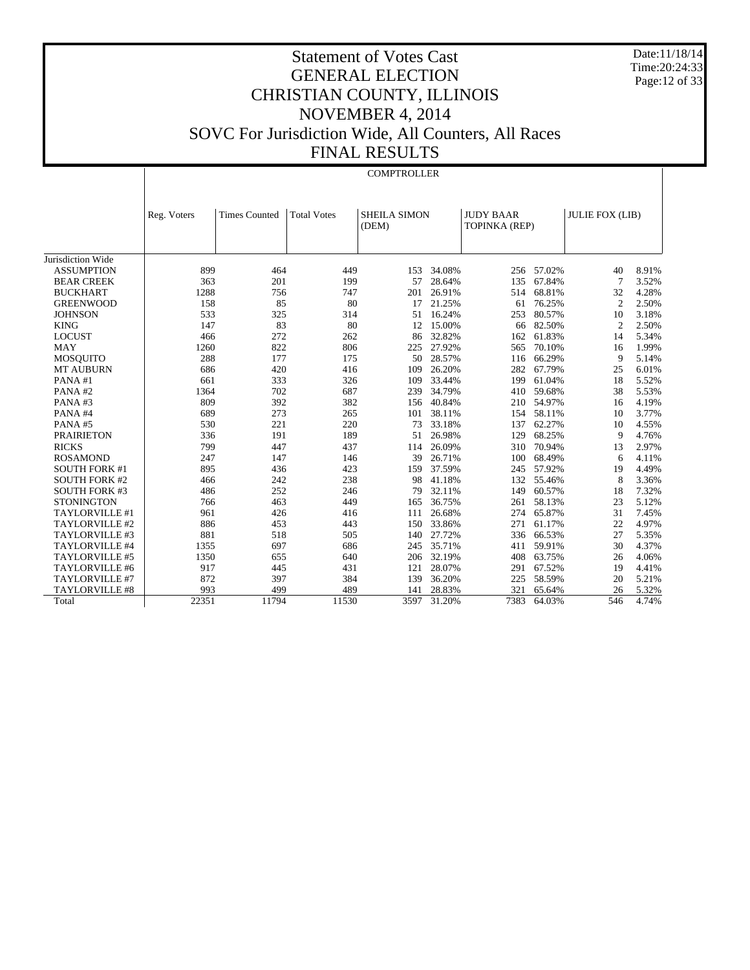Date:11/18/14 Time:20:24:33 Page:12 of 33

# Statement of Votes Cast GENERAL ELECTION CHRISTIAN COUNTY, ILLINOIS NOVEMBER 4, 2014 SOVC For Jurisdiction Wide, All Counters, All Races FINAL RESULTS

#### **COMPTROLLER**

|                      | Reg. Voters | <b>Times Counted</b> | <b>Total Votes</b> | <b>SHEILA SIMON</b> |        | <b>JUDY BAAR</b> |        | <b>JULIE FOX (LIB)</b> |       |
|----------------------|-------------|----------------------|--------------------|---------------------|--------|------------------|--------|------------------------|-------|
|                      |             |                      |                    | (DEM)               |        | TOPINKA (REP)    |        |                        |       |
|                      |             |                      |                    |                     |        |                  |        |                        |       |
| Jurisdiction Wide    |             |                      |                    |                     |        |                  |        |                        |       |
| <b>ASSUMPTION</b>    | 899         | 464                  | 449                | 153                 | 34.08% | 256              | 57.02% | 40                     | 8.91% |
| <b>BEAR CREEK</b>    | 363         | 201                  | 199                | 57                  | 28.64% | 135              | 67.84% | $\overline{7}$         | 3.52% |
| <b>BUCKHART</b>      | 1288        | 756                  | 747                | 201                 | 26.91% | 514              | 68.81% | 32                     | 4.28% |
| <b>GREENWOOD</b>     | 158         | 85                   | 80                 | 17                  | 21.25% | 61               | 76.25% | $\overline{2}$         | 2.50% |
| <b>JOHNSON</b>       | 533         | 325                  | 314                | 51                  | 16.24% | 253              | 80.57% | 10                     | 3.18% |
| <b>KING</b>          | 147         | 83                   | 80                 | 12                  | 15.00% | 66               | 82.50% | $\overline{2}$         | 2.50% |
| <b>LOCUST</b>        | 466         | 272                  | 262                | 86                  | 32.82% | 162              | 61.83% | 14                     | 5.34% |
| <b>MAY</b>           | 1260        | 822                  | 806                | 225                 | 27.92% | 565              | 70.10% | 16                     | 1.99% |
| <b>MOSOUITO</b>      | 288         | 177                  | 175                | 50                  | 28.57% | 116              | 66.29% | 9                      | 5.14% |
| <b>MT AUBURN</b>     | 686         | 420                  | 416                | 109                 | 26.20% | 282              | 67.79% | 25                     | 6.01% |
| PANA#1               | 661         | 333                  | 326                | 109                 | 33.44% | 199              | 61.04% | 18                     | 5.52% |
| PANA#2               | 1364        | 702                  | 687                | 239                 | 34.79% | 410              | 59.68% | 38                     | 5.53% |
| PANA#3               | 809         | 392                  | 382                | 156                 | 40.84% | 210              | 54.97% | 16                     | 4.19% |
| PANA#4               | 689         | 273                  | 265                | 101                 | 38.11% | 154              | 58.11% | 10                     | 3.77% |
| PANA#5               | 530         | 221                  | 220                | 73                  | 33.18% | 137              | 62.27% | 10                     | 4.55% |
| <b>PRAIRIETON</b>    | 336         | 191                  | 189                | 51                  | 26.98% | 129              | 68.25% | 9                      | 4.76% |
| <b>RICKS</b>         | 799         | 447                  | 437                | 114                 | 26.09% | 310              | 70.94% | 13                     | 2.97% |
| <b>ROSAMOND</b>      | 247         | 147                  | 146                | 39                  | 26.71% | 100              | 68.49% | 6                      | 4.11% |
| <b>SOUTH FORK #1</b> | 895         | 436                  | 423                | 159                 | 37.59% | 245              | 57.92% | 19                     | 4.49% |
| <b>SOUTH FORK #2</b> | 466         | 242                  | 238                | 98                  | 41.18% | 132              | 55.46% | 8                      | 3.36% |
| <b>SOUTH FORK #3</b> | 486         | 252                  | 246                | 79                  | 32.11% | 149              | 60.57% | 18                     | 7.32% |
| <b>STONINGTON</b>    | 766         | 463                  | 449                | 165                 | 36.75% | 261              | 58.13% | 23                     | 5.12% |
| TAYLORVILLE #1       | 961         | 426                  | 416                | 111                 | 26.68% | 274              | 65.87% | 31                     | 7.45% |
| TAYLORVILLE #2       | 886         | 453                  | 443                | 150                 | 33.86% | 271              | 61.17% | 22                     | 4.97% |
| TAYLORVILLE #3       | 881         | 518                  | 505                | 140                 | 27.72% | 336              | 66.53% | 27                     | 5.35% |
| TAYLORVILLE #4       | 1355        | 697                  | 686                | 245                 | 35.71% | 411              | 59.91% | 30                     | 4.37% |
| TAYLORVILLE #5       | 1350        | 655                  | 640                | 206                 | 32.19% | 408              | 63.75% | 26                     | 4.06% |
| TAYLORVILLE #6       | 917         | 445                  | 431                | 121                 | 28.07% | 291              | 67.52% | 19                     | 4.41% |
| TAYLORVILLE #7       | 872         | 397                  | 384                | 139                 | 36.20% | 225              | 58.59% | 20                     | 5.21% |
| TAYLORVILLE #8       | 993         | 499                  | 489                | 141                 | 28.83% | 321              | 65.64% | 26                     | 5.32% |
| Total                | 22351       | 11794                | 11530              | 3597                | 31.20% | 7383             | 64.03% | 546                    | 4.74% |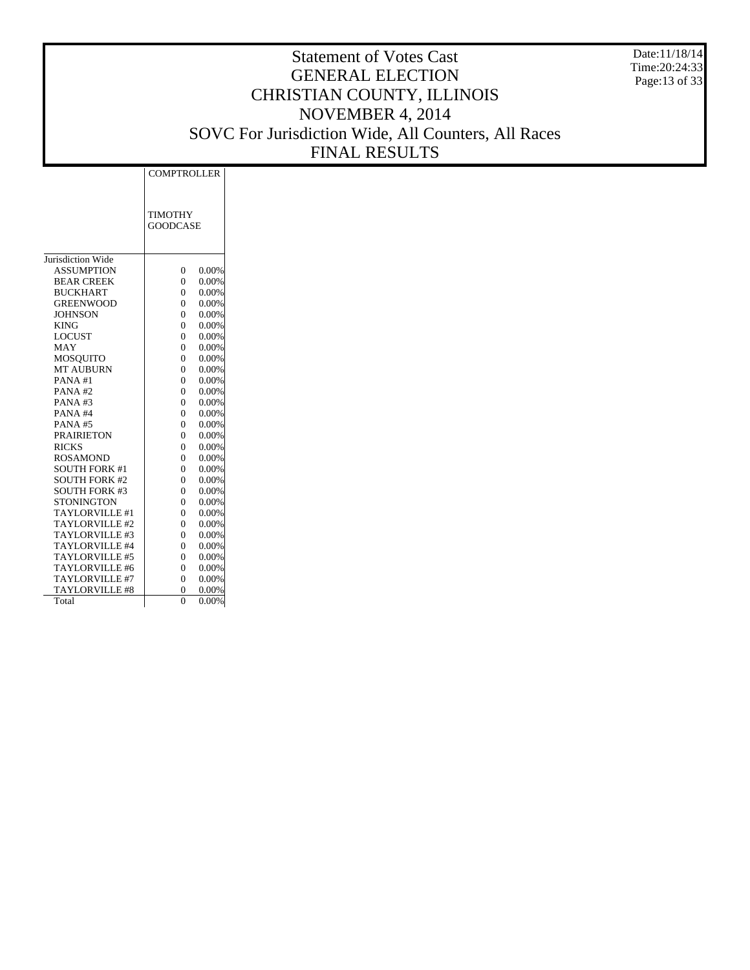Date:11/18/14 Time:20:24:33 Page:13 of 33

|                       | <b>COMPTROLLER</b> |          |
|-----------------------|--------------------|----------|
|                       |                    |          |
|                       |                    |          |
|                       | <b>TIMOTHY</b>     |          |
|                       | <b>GOODCASE</b>    |          |
|                       |                    |          |
|                       |                    |          |
| Jurisdiction Wide     |                    |          |
| <b>ASSUMPTION</b>     | $\overline{0}$     | 0.00%    |
| <b>BEAR CREEK</b>     | $\overline{0}$     | 0.00%    |
| <b>BUCKHART</b>       | $\overline{0}$     | 0.00%    |
| <b>GREENWOOD</b>      | 0                  | 0.00%    |
| <b>JOHNSON</b>        | $\overline{0}$     | 0.00%    |
| <b>KING</b>           | $\overline{0}$     | 0.00%    |
| <b>LOCUST</b>         | $\overline{0}$     | 0.00%    |
| MAY                   | $\theta$           | 0.00%    |
| <b>MOSQUITO</b>       | $\theta$           | 0.00%    |
| <b>MT AUBURN</b>      | $\theta$           | 0.00%    |
| PANA#1                | $\theta$           | 0.00%    |
| PANA#2                | $\theta$           | 0.00%    |
| PANA#3                | $\theta$           | 0.00%    |
| PANA#4                | $\theta$           | 0.00%    |
| <b>PANA#5</b>         | $\theta$           | 0.00%    |
| <b>PRAIRIETON</b>     | $\theta$           | 0.00%    |
| <b>RICKS</b>          | $\theta$           | 0.00%    |
| <b>ROSAMOND</b>       | $\theta$           | 0.00%    |
| <b>SOUTH FORK #1</b>  | $\overline{0}$     | 0.00%    |
| <b>SOUTH FORK #2</b>  | $\overline{0}$     | 0.00%    |
| <b>SOUTH FORK #3</b>  | $\overline{0}$     | 0.00%    |
| <b>STONINGTON</b>     | $\overline{0}$     | 0.00%    |
| TAYLORVILLE #1        | $\overline{0}$     | 0.00%    |
| TAYLORVILLE#2         | $\theta$           | 0.00%    |
| TAYLORVILLE #3        | $\theta$           | 0.00%    |
| TAYLORVILLE #4        | $\theta$           | 0.00%    |
| TAYLORVILLE #5        | $\theta$           | 0.00%    |
| TAYLORVILLE #6        | $\theta$           | 0.00%    |
| TAYLORVILLE #7        | $\overline{0}$     | 0.00%    |
| <b>TAYLORVILLE #8</b> | 0                  | 0.00%    |
| Total                 | $\theta$           | $0.00\%$ |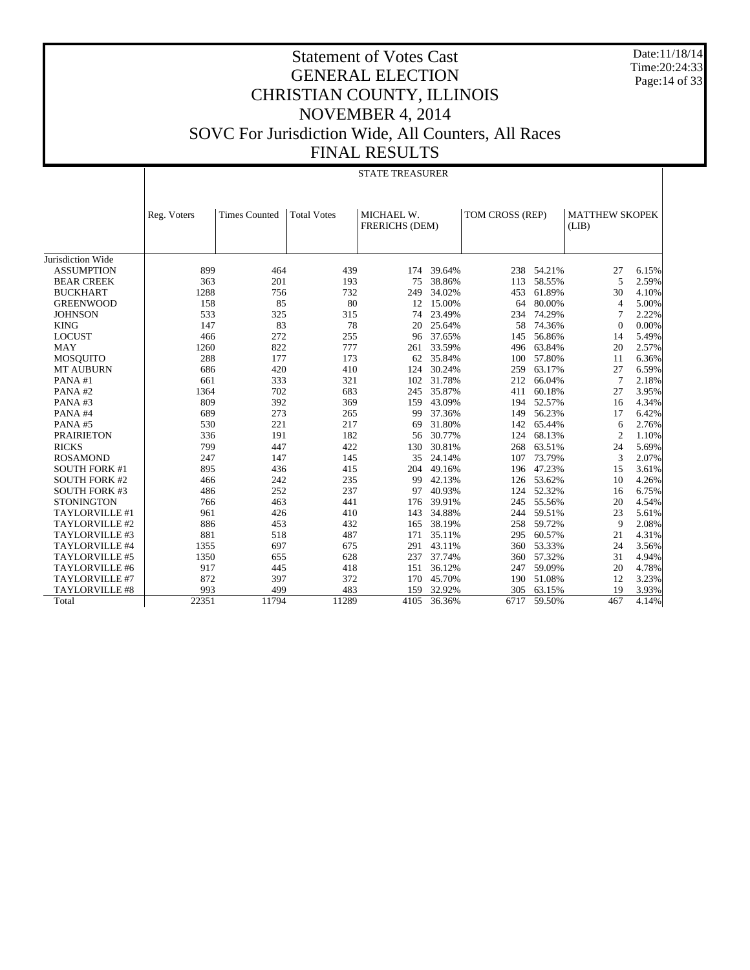Date:11/18/14 Time:20:24:33 Page:14 of 33

|                       | <b>STATE TREASURER</b> |                      |                    |                                     |        |                 |            |                                |       |
|-----------------------|------------------------|----------------------|--------------------|-------------------------------------|--------|-----------------|------------|--------------------------------|-------|
|                       | Reg. Voters            | <b>Times Counted</b> | <b>Total Votes</b> | MICHAEL W.<br><b>FRERICHS (DEM)</b> |        | TOM CROSS (REP) |            | <b>MATTHEW SKOPEK</b><br>(LIB) |       |
| Jurisdiction Wide     |                        |                      |                    |                                     |        |                 |            |                                |       |
| <b>ASSUMPTION</b>     | 899                    | 464                  | 439                | 174                                 | 39.64% | 238             | 54.21%     | 27                             | 6.15% |
| <b>BEAR CREEK</b>     | 363                    | 201                  | 193                | 75                                  | 38.86% | 113             | 58.55%     | 5                              | 2.59% |
| <b>BUCKHART</b>       | 1288                   | 756                  | 732                | 249                                 | 34.02% | 453             | 61.89%     | 30                             | 4.10% |
| <b>GREENWOOD</b>      | 158                    | 85                   | 80                 | 12                                  | 15.00% | 64              | 80.00%     | $\overline{4}$                 | 5.00% |
| <b>JOHNSON</b>        | 533                    | 325                  | 315                | 74                                  | 23.49% | 234             | 74.29%     | 7                              | 2.22% |
| <b>KING</b>           | 147                    | 83                   | 78                 | 20                                  | 25.64% | 58              | 74.36%     | $\Omega$                       | 0.00% |
| <b>LOCUST</b>         | 466                    | 272                  | 255                | 96                                  | 37.65% | 145             | 56.86%     | 14                             | 5.49% |
| <b>MAY</b>            | 1260                   | 822                  | 777                | 261                                 | 33.59% | 496             | 63.84%     | 20                             | 2.57% |
| <b>MOSQUITO</b>       | 288                    | 177                  | 173                | 62                                  | 35.84% | 100             | 57.80%     | 11                             | 6.36% |
| <b>MT AUBURN</b>      | 686                    | 420                  | 410                | 124                                 | 30.24% | 259             | 63.17%     | 27                             | 6.59% |
| PANA#1                | 661                    | 333                  | 321                | 102                                 | 31.78% | 212             | 66.04%     | 7                              | 2.18% |
| PANA#2                | 1364                   | 702                  | 683                | 245                                 | 35.87% | 411             | 60.18%     | 27                             | 3.95% |
| PANA#3                | 809                    | 392                  | 369                | 159                                 | 43.09% | 194             | 52.57%     | 16                             | 4.34% |
| PANA#4                | 689                    | 273                  | 265                | 99                                  | 37.36% | 149             | 56.23%     | 17                             | 6.42% |
| PANA#5                | 530                    | 221                  | 217                | 69                                  | 31.80% | 142             | 65.44%     | 6                              | 2.76% |
| <b>PRAIRIETON</b>     | 336                    | 191                  | 182                | 56                                  | 30.77% | 124             | 68.13%     | $\overline{c}$                 | 1.10% |
| <b>RICKS</b>          | 799                    | 447                  | 422                | 130                                 | 30.81% | 268             | 63.51%     | 24                             | 5.69% |
| <b>ROSAMOND</b>       | 247                    | 147                  | 145                | 35                                  | 24.14% | 107             | 73.79%     | 3                              | 2.07% |
| <b>SOUTH FORK #1</b>  | 895                    | 436                  | 415                | 204                                 | 49.16% |                 | 196 47.23% | 15                             | 3.61% |
| <b>SOUTH FORK #2</b>  | 466                    | 242                  | 235                | 99                                  | 42.13% | 126             | 53.62%     | 10                             | 4.26% |
| <b>SOUTH FORK #3</b>  | 486                    | 252                  | 237                | 97                                  | 40.93% |                 | 124 52.32% | 16                             | 6.75% |
| <b>STONINGTON</b>     | 766                    | 463                  | 441                | 176                                 | 39.91% | 245             | 55.56%     | 20                             | 4.54% |
| TAYLORVILLE #1        | 961                    | 426                  | 410                | 143                                 | 34.88% | 244             | 59.51%     | 23                             | 5.61% |
| TAYLORVILLE #2        | 886                    | 453                  | 432                | 165                                 | 38.19% | 258             | 59.72%     | 9                              | 2.08% |
| TAYLORVILLE #3        | 881                    | 518                  | 487                | 171                                 | 35.11% | 295             | 60.57%     | 21                             | 4.31% |
| TAYLORVILLE #4        | 1355                   | 697                  | 675                | 291                                 | 43.11% | 360             | 53.33%     | 24                             | 3.56% |
| <b>TAYLORVILLE #5</b> | 1350                   | 655                  | 628                | 237                                 | 37.74% | 360             | 57.32%     | 31                             | 4.94% |
| TAYLORVILLE #6        | 917                    | 445                  | 418                | 151                                 | 36.12% | 247             | 59.09%     | 20                             | 4.78% |
| TAYLORVILLE #7        | 872                    | 397                  | 372                | 170                                 | 45.70% | 190             | 51.08%     | 12                             | 3.23% |
| <b>TAYLORVILLE #8</b> | 993                    | 499                  | 483                | 159                                 | 32.92% | 305             | 63.15%     | 19                             | 3.93% |
| Total                 | 22351                  | 11794                | 11289              | 4105                                | 36.36% | 6717            | 59.50%     | 467                            | 4.14% |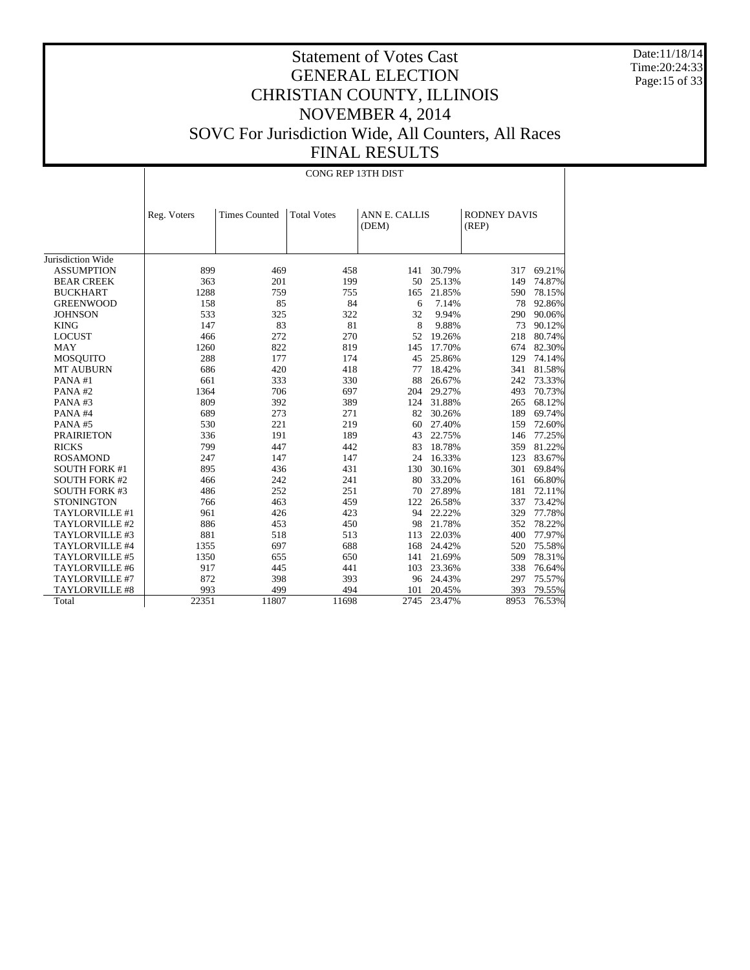Date:11/18/14 Time:20:24:33 Page:15 of 33

|                       |             |                      | CONG REP 13TH DIST |                               |           |                              |        |
|-----------------------|-------------|----------------------|--------------------|-------------------------------|-----------|------------------------------|--------|
|                       | Reg. Voters | <b>Times Counted</b> | <b>Total Votes</b> | <b>ANN E. CALLIS</b><br>(DEM) |           | <b>RODNEY DAVIS</b><br>(REP) |        |
| Jurisdiction Wide     |             |                      |                    |                               |           |                              |        |
| <b>ASSUMPTION</b>     | 899         | 469                  | 458                | 141                           | 30.79%    | 317                          | 69.21% |
| <b>BEAR CREEK</b>     | 363         | 201                  | 199                | 50                            | 25.13%    | 149                          | 74.87% |
| <b>BUCKHART</b>       | 1288        | 759                  | 755                | 165                           | 21.85%    | 590                          | 78.15% |
| <b>GREENWOOD</b>      | 158         | 85                   | 84                 | 6                             | 7.14%     | 78                           | 92.86% |
| <b>JOHNSON</b>        | 533         | 325                  | 322                | 32                            | 9.94%     | 290                          | 90.06% |
| <b>KING</b>           | 147         | 83                   | 81                 | 8                             | 9.88%     | 73                           | 90.12% |
| <b>LOCUST</b>         | 466         | 272                  | 270                |                               | 52 19.26% | 218                          | 80.74% |
| <b>MAY</b>            | 1260        | 822                  | 819                | 145                           | 17.70%    | 674                          | 82.30% |
| <b>MOSQUITO</b>       | 288         | 177                  | 174                | 45                            | 25.86%    | 129                          | 74.14% |
| <b>MT AUBURN</b>      | 686         | 420                  | 418                | 77                            | 18.42%    | 341                          | 81.58% |
| PANA#1                | 661         | 333                  | 330                | 88                            | 26.67%    | 242                          | 73.33% |
| PANA#2                | 1364        | 706                  | 697                | 204                           | 29.27%    | 493                          | 70.73% |
| PANA#3                | 809         | 392                  | 389                | 124                           | 31.88%    | 265                          | 68.12% |
| PANA#4                | 689         | 273                  | 271                | 82                            | 30.26%    | 189                          | 69.74% |
| PANA#5                | 530         | 221                  | 219                | 60                            | 27.40%    | 159                          | 72.60% |
| <b>PRAIRIETON</b>     | 336         | 191                  | 189                | 43                            | 22.75%    | 146                          | 77.25% |
| <b>RICKS</b>          | 799         | 447                  | 442                | 83                            | 18.78%    | 359                          | 81.22% |
| <b>ROSAMOND</b>       | 247         | 147                  | 147                | 24                            | 16.33%    | 123                          | 83.67% |
| <b>SOUTH FORK #1</b>  | 895         | 436                  | 431                | 130                           | 30.16%    | 301                          | 69.84% |
| <b>SOUTH FORK #2</b>  | 466         | 242                  | 241                | 80                            | 33.20%    | 161                          | 66.80% |
| <b>SOUTH FORK #3</b>  | 486         | 252                  | 251                | 70                            | 27.89%    | 181                          | 72.11% |
| <b>STONINGTON</b>     | 766         | 463                  | 459                | 122                           | 26.58%    | 337                          | 73.42% |
| TAYLORVILLE #1        | 961         | 426                  | 423                |                               | 94 22.22% | 329                          | 77.78% |
| TAYLORVILLE #2        | 886         | 453                  | 450                | 98                            | 21.78%    | 352                          | 78.22% |
| TAYLORVILLE #3        | 881         | 518                  | 513                | 113                           | 22.03%    | 400                          | 77.97% |
| TAYLORVILLE #4        | 1355        | 697                  | 688                | 168                           | 24.42%    | 520                          | 75.58% |
| TAYLORVILLE #5        | 1350        | 655                  | 650                | 141                           | 21.69%    | 509                          | 78.31% |
| TAYLORVILLE #6        | 917         | 445                  | 441                | 103                           | 23.36%    | 338                          | 76.64% |
| TAYLORVILLE #7        | 872         | 398                  | 393                |                               | 96 24.43% | 297                          | 75.57% |
| <b>TAYLORVILLE #8</b> | 993         | 499                  | 494                | 101                           | 20.45%    | 393                          | 79.55% |
| Total                 | 22351       | 11807                | 11698              | 2745                          | 23.47%    | 8953                         | 76.53% |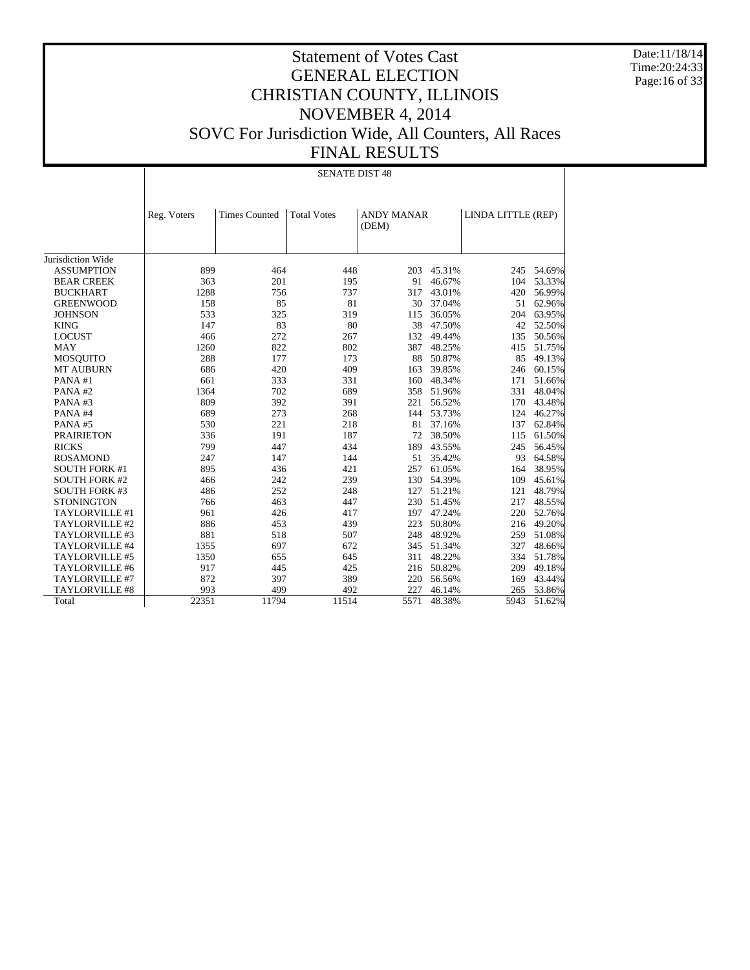Date:11/18/14 Time:20:24:33 Page:16 of 33

|                       |             | <b>SENATE DIST 48</b> |                    |                            |            |                    |            |  |
|-----------------------|-------------|-----------------------|--------------------|----------------------------|------------|--------------------|------------|--|
|                       | Reg. Voters | <b>Times Counted</b>  | <b>Total Votes</b> | <b>ANDY MANAR</b><br>(DEM) |            | LINDA LITTLE (REP) |            |  |
| Jurisdiction Wide     |             |                       |                    |                            |            |                    |            |  |
| <b>ASSUMPTION</b>     | 899         | 464                   | 448                | 203                        | 45.31%     |                    | 245 54.69% |  |
| <b>BEAR CREEK</b>     | 363         | 201                   | 195                | 91                         | 46.67%     | 104                | 53.33%     |  |
| <b>BUCKHART</b>       | 1288        | 756                   | 737                | 317                        | 43.01%     | 420                | 56.99%     |  |
| <b>GREENWOOD</b>      | 158         | 85                    | 81                 | 30                         | 37.04%     | 51                 | 62.96%     |  |
| <b>JOHNSON</b>        | 533         | 325                   | 319                | 115                        | 36.05%     | 204                | 63.95%     |  |
| <b>KING</b>           | 147         | 83                    | 80                 | 38                         | 47.50%     | 42                 | 52.50%     |  |
| <b>LOCUST</b>         | 466         | 272                   | 267                | 132                        | 49.44%     | 135                | 50.56%     |  |
| <b>MAY</b>            | 1260        | 822                   | 802                | 387                        | 48.25%     | 415                | 51.75%     |  |
| <b>MOSQUITO</b>       | 288         | 177                   | 173                | 88                         | 50.87%     | 85                 | 49.13%     |  |
| <b>MT AUBURN</b>      | 686         | 420                   | 409                | 163                        | 39.85%     | 246                | 60.15%     |  |
| PANA#1                | 661         | 333                   | 331                | 160                        | 48.34%     | 171                | 51.66%     |  |
| PANA#2                | 1364        | 702                   | 689                | 358                        | 51.96%     | 331                | 48.04%     |  |
| PANA#3                | 809         | 392                   | 391                | 221                        | 56.52%     | 170                | 43.48%     |  |
| PANA#4                | 689         | 273                   | 268                |                            | 144 53.73% | 124                | 46.27%     |  |
| PANA#5                | 530         | 221                   | 218                | 81                         | 37.16%     | 137                | 62.84%     |  |
| <b>PRAIRIETON</b>     | 336         | 191                   | 187                | 72                         | 38.50%     | 115                | 61.50%     |  |
| <b>RICKS</b>          | 799         | 447                   | 434                | 189                        | 43.55%     | 245                | 56.45%     |  |
| <b>ROSAMOND</b>       | 247         | 147                   | 144                | 51                         | 35.42%     | 93                 | 64.58%     |  |
| <b>SOUTH FORK #1</b>  | 895         | 436                   | 421                | 257                        | 61.05%     | 164                | 38.95%     |  |
| <b>SOUTH FORK #2</b>  | 466         | 242                   | 239                | 130                        | 54.39%     | 109                | 45.61%     |  |
| <b>SOUTH FORK #3</b>  | 486         | 252                   | 248                | 127                        | 51.21%     | 121                | 48.79%     |  |
| <b>STONINGTON</b>     | 766         | 463                   | 447                | 230                        | 51.45%     | 217                | 48.55%     |  |
| TAYLORVILLE #1        | 961         | 426                   | 417                | 197                        | 47.24%     | 220                | 52.76%     |  |
| TAYLORVILLE #2        | 886         | 453                   | 439                | 223                        | 50.80%     | 216                | 49.20%     |  |
| TAYLORVILLE #3        | 881         | 518                   | 507                | 248                        | 48.92%     | 259                | 51.08%     |  |
| TAYLORVILLE #4        | 1355        | 697                   | 672                | 345                        | 51.34%     | 327                | 48.66%     |  |
| TAYLORVILLE #5        | 1350        | 655                   | 645                | 311                        | 48.22%     | 334                | 51.78%     |  |
| TAYLORVILLE #6        | 917         | 445                   | 425                | 216                        | 50.82%     | 209                | 49.18%     |  |
| TAYLORVILLE #7        | 872         | 397                   | 389                | 220                        | 56.56%     | 169                | 43.44%     |  |
| <b>TAYLORVILLE #8</b> | 993         | 499                   | 492                | 227                        | 46.14%     | 265                | 53.86%     |  |
| Total                 | 22351       | 11794                 | 11514              | 5571                       | 48.38%     | 5943               | 51.62%     |  |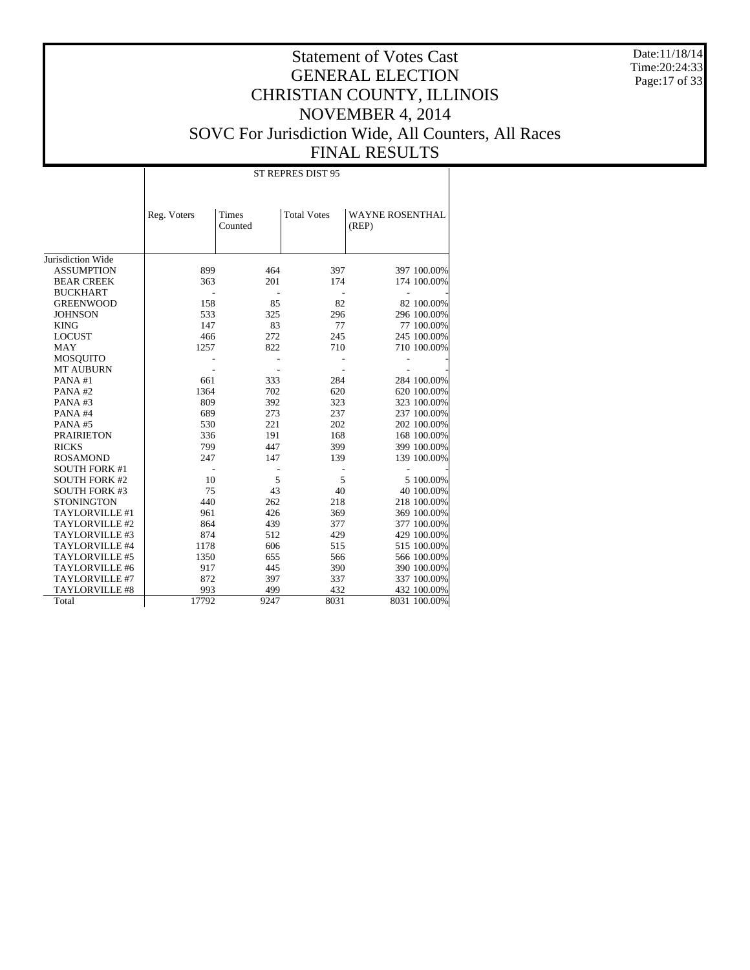Date:11/18/14 Time:20:24:33 Page:17 of 33

| Times<br><b>Total Votes</b><br><b>WAYNE ROSENTHAL</b><br>Reg. Voters<br>Counted<br>(REP)<br>Jurisdiction Wide<br><b>ASSUMPTION</b><br>397<br>397 100.00%<br>899<br>464<br>363<br>201<br>174<br>174 100.00%<br><b>BEAR CREEK</b><br><b>BUCKHART</b><br>158<br>85<br>82<br>82 100.00%<br><b>GREENWOOD</b><br>533<br><b>JOHNSON</b><br>325<br>296<br>296 100.00%<br>147<br>83<br><b>KING</b><br>77<br>77 100.00%<br>466<br>272<br>245<br>245 100.00%<br><b>LOCUST</b><br>1257<br>822<br>710 100.00%<br><b>MAY</b><br>710<br><b>MOSQUITO</b><br><b>MT AUBURN</b><br>661<br>284<br>PANA#1<br>333<br>284 100.00%<br>1364<br>702<br>620<br>PANA#2<br>620 100.00%<br>809<br>323<br>PANA#3<br>392<br>323 100.00%<br>689<br>273<br>237<br>237 100.00%<br>PANA#4<br>530<br>221<br>202<br>PANA#5<br>202 100.00%<br><b>PRAIRIETON</b><br>336<br>191<br>168<br>168 100.00%<br>399<br><b>RICKS</b><br>799<br>447<br>399 100.00%<br><b>ROSAMOND</b><br>247<br>147<br>139<br>139 100.00%<br><b>SOUTH FORK #1</b><br>5<br>5<br><b>SOUTH FORK #2</b><br>10<br>5 100.00%<br>75<br>40<br><b>SOUTH FORK #3</b><br>43<br>40 100.00%<br>440<br>262<br><b>STONINGTON</b><br>218<br>218 100.00%<br>961<br>426<br>369 100.00%<br>TAYLORVILLE #1<br>369<br>864<br>439<br>377 100.00%<br>TAYLORVILLE #2<br>377<br>TAYLORVILLE #3<br>874<br>512<br>429<br>429 100.00% |
|-----------------------------------------------------------------------------------------------------------------------------------------------------------------------------------------------------------------------------------------------------------------------------------------------------------------------------------------------------------------------------------------------------------------------------------------------------------------------------------------------------------------------------------------------------------------------------------------------------------------------------------------------------------------------------------------------------------------------------------------------------------------------------------------------------------------------------------------------------------------------------------------------------------------------------------------------------------------------------------------------------------------------------------------------------------------------------------------------------------------------------------------------------------------------------------------------------------------------------------------------------------------------------------------------------------------------------------------|
|                                                                                                                                                                                                                                                                                                                                                                                                                                                                                                                                                                                                                                                                                                                                                                                                                                                                                                                                                                                                                                                                                                                                                                                                                                                                                                                                         |
|                                                                                                                                                                                                                                                                                                                                                                                                                                                                                                                                                                                                                                                                                                                                                                                                                                                                                                                                                                                                                                                                                                                                                                                                                                                                                                                                         |
|                                                                                                                                                                                                                                                                                                                                                                                                                                                                                                                                                                                                                                                                                                                                                                                                                                                                                                                                                                                                                                                                                                                                                                                                                                                                                                                                         |
|                                                                                                                                                                                                                                                                                                                                                                                                                                                                                                                                                                                                                                                                                                                                                                                                                                                                                                                                                                                                                                                                                                                                                                                                                                                                                                                                         |
|                                                                                                                                                                                                                                                                                                                                                                                                                                                                                                                                                                                                                                                                                                                                                                                                                                                                                                                                                                                                                                                                                                                                                                                                                                                                                                                                         |
|                                                                                                                                                                                                                                                                                                                                                                                                                                                                                                                                                                                                                                                                                                                                                                                                                                                                                                                                                                                                                                                                                                                                                                                                                                                                                                                                         |
|                                                                                                                                                                                                                                                                                                                                                                                                                                                                                                                                                                                                                                                                                                                                                                                                                                                                                                                                                                                                                                                                                                                                                                                                                                                                                                                                         |
|                                                                                                                                                                                                                                                                                                                                                                                                                                                                                                                                                                                                                                                                                                                                                                                                                                                                                                                                                                                                                                                                                                                                                                                                                                                                                                                                         |
|                                                                                                                                                                                                                                                                                                                                                                                                                                                                                                                                                                                                                                                                                                                                                                                                                                                                                                                                                                                                                                                                                                                                                                                                                                                                                                                                         |
|                                                                                                                                                                                                                                                                                                                                                                                                                                                                                                                                                                                                                                                                                                                                                                                                                                                                                                                                                                                                                                                                                                                                                                                                                                                                                                                                         |
|                                                                                                                                                                                                                                                                                                                                                                                                                                                                                                                                                                                                                                                                                                                                                                                                                                                                                                                                                                                                                                                                                                                                                                                                                                                                                                                                         |
|                                                                                                                                                                                                                                                                                                                                                                                                                                                                                                                                                                                                                                                                                                                                                                                                                                                                                                                                                                                                                                                                                                                                                                                                                                                                                                                                         |
|                                                                                                                                                                                                                                                                                                                                                                                                                                                                                                                                                                                                                                                                                                                                                                                                                                                                                                                                                                                                                                                                                                                                                                                                                                                                                                                                         |
|                                                                                                                                                                                                                                                                                                                                                                                                                                                                                                                                                                                                                                                                                                                                                                                                                                                                                                                                                                                                                                                                                                                                                                                                                                                                                                                                         |
|                                                                                                                                                                                                                                                                                                                                                                                                                                                                                                                                                                                                                                                                                                                                                                                                                                                                                                                                                                                                                                                                                                                                                                                                                                                                                                                                         |
|                                                                                                                                                                                                                                                                                                                                                                                                                                                                                                                                                                                                                                                                                                                                                                                                                                                                                                                                                                                                                                                                                                                                                                                                                                                                                                                                         |
|                                                                                                                                                                                                                                                                                                                                                                                                                                                                                                                                                                                                                                                                                                                                                                                                                                                                                                                                                                                                                                                                                                                                                                                                                                                                                                                                         |
|                                                                                                                                                                                                                                                                                                                                                                                                                                                                                                                                                                                                                                                                                                                                                                                                                                                                                                                                                                                                                                                                                                                                                                                                                                                                                                                                         |
|                                                                                                                                                                                                                                                                                                                                                                                                                                                                                                                                                                                                                                                                                                                                                                                                                                                                                                                                                                                                                                                                                                                                                                                                                                                                                                                                         |
|                                                                                                                                                                                                                                                                                                                                                                                                                                                                                                                                                                                                                                                                                                                                                                                                                                                                                                                                                                                                                                                                                                                                                                                                                                                                                                                                         |
|                                                                                                                                                                                                                                                                                                                                                                                                                                                                                                                                                                                                                                                                                                                                                                                                                                                                                                                                                                                                                                                                                                                                                                                                                                                                                                                                         |
|                                                                                                                                                                                                                                                                                                                                                                                                                                                                                                                                                                                                                                                                                                                                                                                                                                                                                                                                                                                                                                                                                                                                                                                                                                                                                                                                         |
|                                                                                                                                                                                                                                                                                                                                                                                                                                                                                                                                                                                                                                                                                                                                                                                                                                                                                                                                                                                                                                                                                                                                                                                                                                                                                                                                         |
|                                                                                                                                                                                                                                                                                                                                                                                                                                                                                                                                                                                                                                                                                                                                                                                                                                                                                                                                                                                                                                                                                                                                                                                                                                                                                                                                         |
|                                                                                                                                                                                                                                                                                                                                                                                                                                                                                                                                                                                                                                                                                                                                                                                                                                                                                                                                                                                                                                                                                                                                                                                                                                                                                                                                         |
|                                                                                                                                                                                                                                                                                                                                                                                                                                                                                                                                                                                                                                                                                                                                                                                                                                                                                                                                                                                                                                                                                                                                                                                                                                                                                                                                         |
|                                                                                                                                                                                                                                                                                                                                                                                                                                                                                                                                                                                                                                                                                                                                                                                                                                                                                                                                                                                                                                                                                                                                                                                                                                                                                                                                         |
|                                                                                                                                                                                                                                                                                                                                                                                                                                                                                                                                                                                                                                                                                                                                                                                                                                                                                                                                                                                                                                                                                                                                                                                                                                                                                                                                         |
| TAYLORVILLE #4<br>1178<br>606<br>515<br>515 100.00%<br>TAYLORVILLE #5<br>1350<br>566<br>566 100.00%<br>655                                                                                                                                                                                                                                                                                                                                                                                                                                                                                                                                                                                                                                                                                                                                                                                                                                                                                                                                                                                                                                                                                                                                                                                                                              |
| TAYLORVILLE #6<br>917<br>445<br>390<br>390 100.00%                                                                                                                                                                                                                                                                                                                                                                                                                                                                                                                                                                                                                                                                                                                                                                                                                                                                                                                                                                                                                                                                                                                                                                                                                                                                                      |
| TAYLORVILLE #7<br>872<br>397<br>337<br>337 100.00%                                                                                                                                                                                                                                                                                                                                                                                                                                                                                                                                                                                                                                                                                                                                                                                                                                                                                                                                                                                                                                                                                                                                                                                                                                                                                      |
| 993<br>499<br>432<br><b>TAYLORVILLE #8</b><br>432 100.00%                                                                                                                                                                                                                                                                                                                                                                                                                                                                                                                                                                                                                                                                                                                                                                                                                                                                                                                                                                                                                                                                                                                                                                                                                                                                               |
| Total<br>17792<br>9247<br>8031<br>8031 100.00%                                                                                                                                                                                                                                                                                                                                                                                                                                                                                                                                                                                                                                                                                                                                                                                                                                                                                                                                                                                                                                                                                                                                                                                                                                                                                          |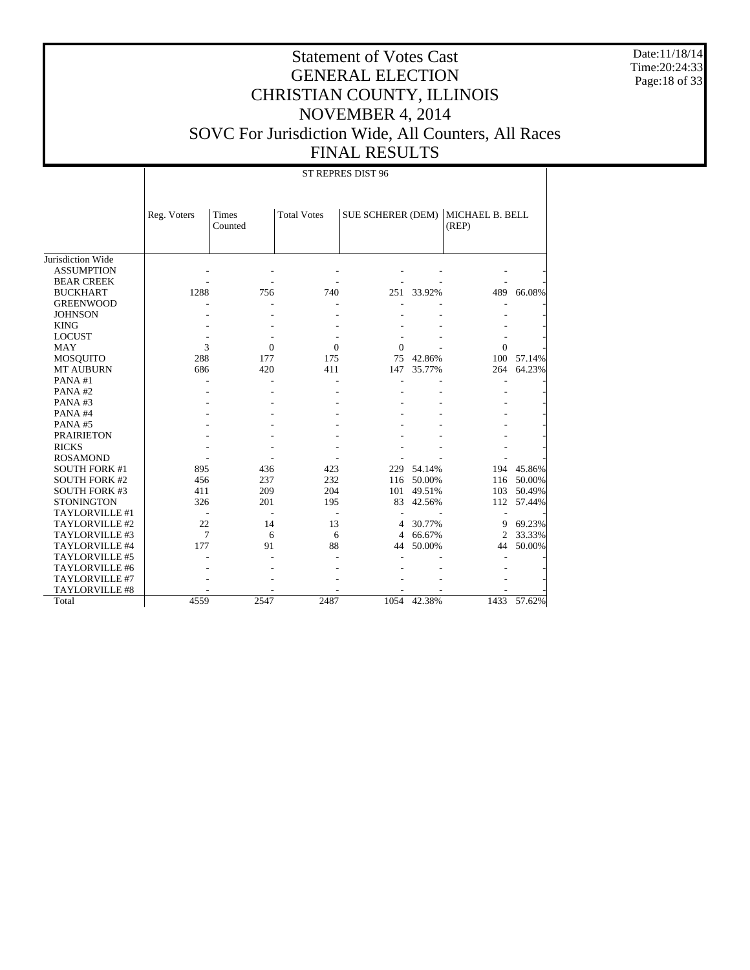Date:11/18/14 Time:20:24:33 Page:18 of 33

#### Statement of Votes Cast GENERAL ELECTION CHRISTIAN COUNTY, ILLINOIS NOVEMBER 4, 2014 SOVC For Jurisdiction Wide, All Counters, All Races FINAL RESULTS

Jurisdiction Wide ASSUMPTION BEAR CREEK BUCKHART GREENWOOD **JOHNSON**  KING LOCUST MAY MOSQUITO MT AUBURN PANA #1 PANA #2 PANA #3 PANA #4 PANA #5 PRAIRIETON RICKS ROSAMOND SOUTH FORK #1 SOUTH FORK #2 SOUTH FORK #3 **STONINGTON**  TAYLORVILLE #1 TAYLORVILLE #2 TAYLORVILLE #3 TAYLORVILLE #4 TAYLORVILLE #5 TAYLORVILLE #6 TAYLORVILLE #7 TAYLORVILLE #8 Total Reg. Voters Times Counted Total Votes | SUE SCHERER (DEM) | MICHAEL B. BELL (REP) ST REPRES DIST 96 - - - - - - - - - - - - - - 1288 756 740 251 33.92% 489 66.08% - - - - - - - - - - - - - - - - - - - - - - - - - - - -  $3 \t 0 \t 0 \t 0 \t - \t 0$ 288 177 175 75 42.86% 100 57.14%<br>686 420 411 147 35.77% 264 64.23% 147 35.77% - - - - - - - - - - - - - - - - - - - - - - - - - - - - - - - - - - - - - - - - - - - - - - - - - - - - - - - - 895 436 423 229 54.14% 194 45.86%<br>456 237 232 116 50.00% 116 50.00% 456 237 232 116 50.00% 116 50.00%  $\begin{array}{ccccccc} 411 & & & 209 & & 204 & & 101 & 49.51\% \\ 326 & & & 201 & & 195 & & 83 & 42.56\% \end{array}$ 112 57.44% - - - - - - - 22 14 13 4 30.77% 9 69.23% 7 6 6 4 66.67% 2 33.33% 177 91 88 44 50.00% 44 50.00% - - - - - - - - - - - - - - - - - - - - - - - - - - - - 4559 2547 2487 1054 42.38% 1433 57.62%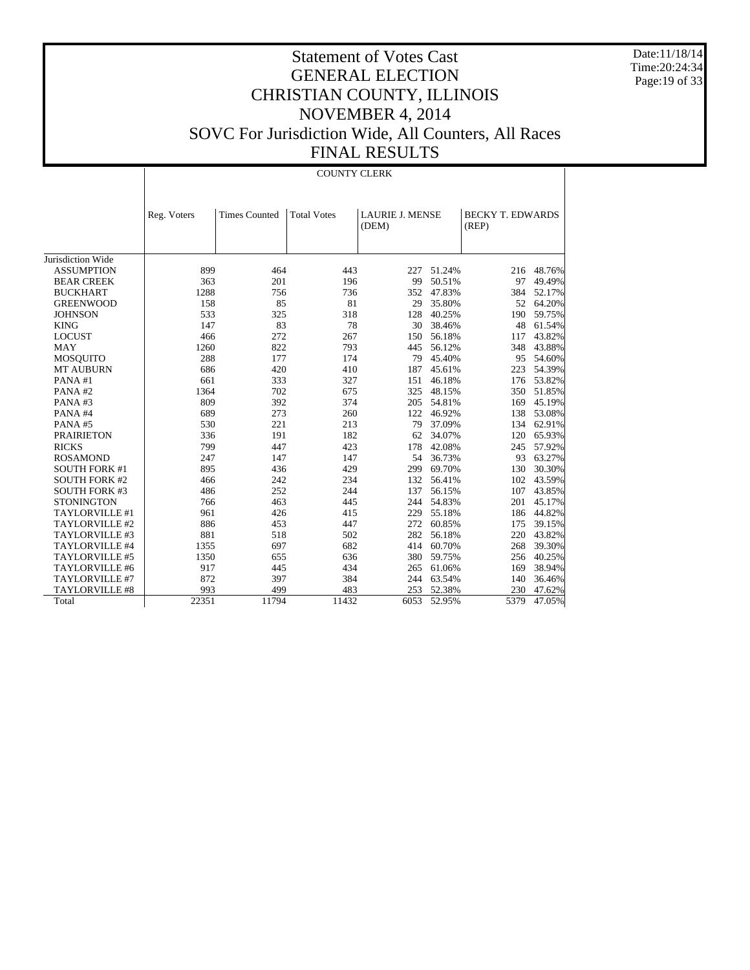Date:11/18/14 Time:20:24:34 Page:19 of 33

# Statement of Votes Cast GENERAL ELECTION CHRISTIAN COUNTY, ILLINOIS NOVEMBER 4, 2014 SOVC For Jurisdiction Wide, All Counters, All Races FINAL RESULTS

COUNTY CLERK

|                       | Reg. Voters | <b>Times Counted</b> | <b>Total Votes</b> | <b>LAURIE J. MENSE</b><br>(DEM) |        | <b>BECKY T. EDWARDS</b><br>(REP) |        |
|-----------------------|-------------|----------------------|--------------------|---------------------------------|--------|----------------------------------|--------|
|                       |             |                      |                    |                                 |        |                                  |        |
| Jurisdiction Wide     |             |                      |                    |                                 |        |                                  |        |
| <b>ASSUMPTION</b>     | 899         | 464                  | 443                | 227                             | 51.24% | 216                              | 48.76% |
| <b>BEAR CREEK</b>     | 363         | 201                  | 196                | 99                              | 50.51% | 97                               | 49.49% |
| <b>BUCKHART</b>       | 1288        | 756                  | 736                | 352                             | 47.83% | 384                              | 52.17% |
| <b>GREENWOOD</b>      | 158         | 85                   | 81                 | 29                              | 35.80% | 52                               | 64.20% |
| <b>JOHNSON</b>        | 533         | 325                  | 318                | 128                             | 40.25% | 190                              | 59.75% |
| <b>KING</b>           | 147         | 83                   | 78                 | 30                              | 38.46% | 48                               | 61.54% |
| <b>LOCUST</b>         | 466         | 272                  | 267                | 150                             | 56.18% | 117                              | 43.82% |
| <b>MAY</b>            | 1260        | 822                  | 793                | 445                             | 56.12% | 348                              | 43.88% |
| <b>MOSQUITO</b>       | 288         | 177                  | 174                | 79                              | 45.40% | 95                               | 54.60% |
| <b>MT AUBURN</b>      | 686         | 420                  | 410                | 187                             | 45.61% | 223                              | 54.39% |
| PANA#1                | 661         | 333                  | 327                | 151                             | 46.18% | 176                              | 53.82% |
| PANA#2                | 1364        | 702                  | 675                | 325                             | 48.15% | 350                              | 51.85% |
| PANA#3                | 809         | 392                  | 374                | 205                             | 54.81% | 169                              | 45.19% |
| PANA#4                | 689         | 273                  | 260                | 122                             | 46.92% | 138                              | 53.08% |
| PANA#5                | 530         | 221                  | 213                | 79                              | 37.09% | 134                              | 62.91% |
| <b>PRAIRIETON</b>     | 336         | 191                  | 182                | 62                              | 34.07% | 120                              | 65.93% |
| <b>RICKS</b>          | 799         | 447                  | 423                | 178                             | 42.08% | 245                              | 57.92% |
| <b>ROSAMOND</b>       | 247         | 147                  | 147                | 54                              | 36.73% | 93                               | 63.27% |
| <b>SOUTH FORK #1</b>  | 895         | 436                  | 429                | 299                             | 69.70% | 130                              | 30.30% |
| <b>SOUTH FORK #2</b>  | 466         | 242                  | 234                | 132                             | 56.41% | 102                              | 43.59% |
| <b>SOUTH FORK #3</b>  | 486         | 252                  | 244                | 137                             | 56.15% | 107                              | 43.85% |
| <b>STONINGTON</b>     | 766         | 463                  | 445                | 244                             | 54.83% | 201                              | 45.17% |
| TAYLORVILLE #1        | 961         | 426                  | 415                | 229                             | 55.18% | 186                              | 44.82% |
| TAYLORVILLE #2        | 886         | 453                  | 447                | 272                             | 60.85% | 175                              | 39.15% |
| TAYLORVILLE #3        | 881         | 518                  | 502                | 282                             | 56.18% | 220                              | 43.82% |
| TAYLORVILLE #4        | 1355        | 697                  | 682                | 414                             | 60.70% | 268                              | 39.30% |
| TAYLORVILLE #5        | 1350        | 655                  | 636                | 380                             | 59.75% | 256                              | 40.25% |
| TAYLORVILLE #6        | 917         | 445                  | 434                | 265                             | 61.06% | 169                              | 38.94% |
| TAYLORVILLE #7        | 872         | 397                  | 384                | 244                             | 63.54% | 140                              | 36.46% |
| <b>TAYLORVILLE #8</b> | 993         | 499                  | 483                | 253                             | 52.38% | 230                              | 47.62% |
| Total                 | 22351       | 11794                | 11432              | 6053                            | 52.95% | 5379                             | 47.05% |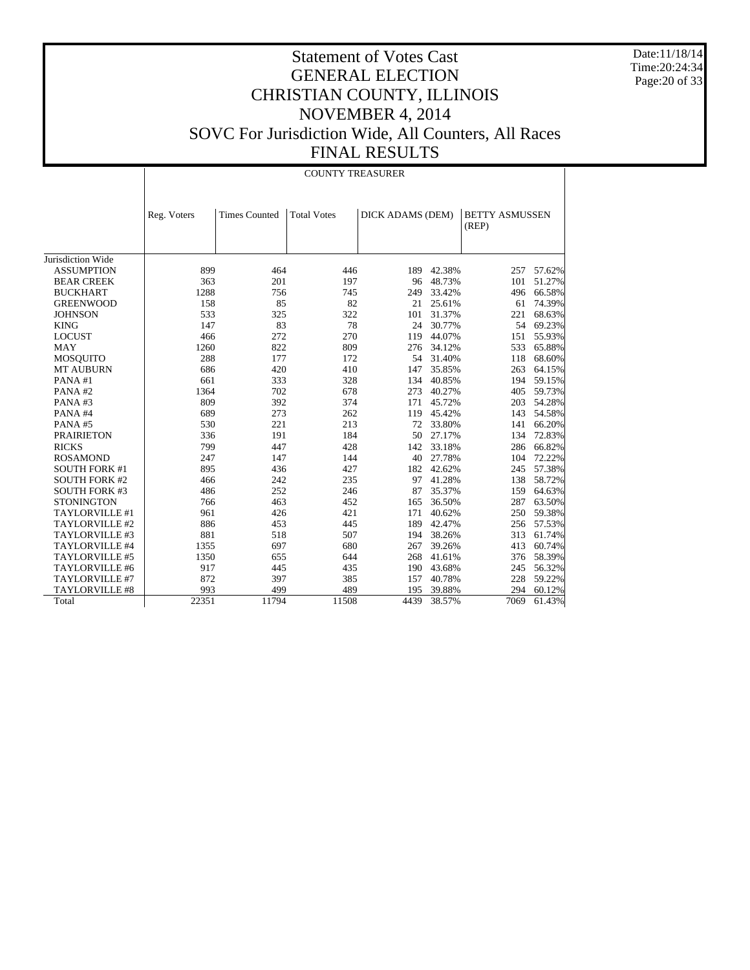Date:11/18/14 Time:20:24:34 Page:20 of 33

|                      |             | <b>COUNTY TREASURER</b> |                    |                  |            |                                |        |  |  |
|----------------------|-------------|-------------------------|--------------------|------------------|------------|--------------------------------|--------|--|--|
|                      | Reg. Voters | <b>Times Counted</b>    | <b>Total Votes</b> | DICK ADAMS (DEM) |            | <b>BETTY ASMUSSEN</b><br>(REP) |        |  |  |
| Jurisdiction Wide    |             |                         |                    |                  |            |                                |        |  |  |
| <b>ASSUMPTION</b>    | 899         | 464                     | 446                | 189              | 42.38%     | 257                            | 57.62% |  |  |
| <b>BEAR CREEK</b>    | 363         | 201                     | 197                | 96               | 48.73%     | 101                            | 51.27% |  |  |
| <b>BUCKHART</b>      | 1288        | 756                     | 745                | 249              | 33.42%     | 496                            | 66.58% |  |  |
| <b>GREENWOOD</b>     | 158         | 85                      | 82                 | 21               | 25.61%     | 61                             | 74.39% |  |  |
| <b>JOHNSON</b>       | 533         | 325                     | 322                | 101              | 31.37%     | 221                            | 68.63% |  |  |
| <b>KING</b>          | 147         | 83                      | 78                 | 24               | 30.77%     | 54                             | 69.23% |  |  |
| <b>LOCUST</b>        | 466         | 272                     | 270                | 119              | 44.07%     | 151                            | 55.93% |  |  |
| <b>MAY</b>           | 1260        | 822                     | 809                | 276              | 34.12%     | 533                            | 65.88% |  |  |
| <b>MOSQUITO</b>      | 288         | 177                     | 172                |                  | 54 31.40%  | 118                            | 68.60% |  |  |
| <b>MT AUBURN</b>     | 686         | 420                     | 410                | 147              | 35.85%     | 263                            | 64.15% |  |  |
| PANA#1               | 661         | 333                     | 328                | 134              | 40.85%     | 194                            | 59.15% |  |  |
| PANA#2               | 1364        | 702                     | 678                | 273              | 40.27%     | 405                            | 59.73% |  |  |
| PANA#3               | 809         | 392                     | 374                | 171              | 45.72%     | 203                            | 54.28% |  |  |
| PANA#4               | 689         | 273                     | 262                | 119              | 45.42%     | 143                            | 54.58% |  |  |
| PANA#5               | 530         | 221                     | 213                | 72               | 33.80%     | 141                            | 66.20% |  |  |
| <b>PRAIRIETON</b>    | 336         | 191                     | 184                | 50               | 27.17%     | 134                            | 72.83% |  |  |
| <b>RICKS</b>         | 799         | 447                     | 428                | 142              | 33.18%     | 286                            | 66.82% |  |  |
| <b>ROSAMOND</b>      | 247         | 147                     | 144                | 40               | 27.78%     | 104                            | 72.22% |  |  |
| <b>SOUTH FORK #1</b> | 895         | 436                     | 427                | 182              | 42.62%     | 245                            | 57.38% |  |  |
| <b>SOUTH FORK #2</b> | 466         | 242                     | 235                | 97               | 41.28%     | 138                            | 58.72% |  |  |
| <b>SOUTH FORK #3</b> | 486         | 252                     | 246                | 87               | 35.37%     | 159                            | 64.63% |  |  |
| <b>STONINGTON</b>    | 766         | 463                     | 452                | 165              | 36.50%     | 287                            | 63.50% |  |  |
| TAYLORVILLE #1       | 961         | 426                     | 421                | 171              | 40.62%     | 250                            | 59.38% |  |  |
| TAYLORVILLE #2       | 886         | 453                     | 445                | 189              | 42.47%     | 256                            | 57.53% |  |  |
| TAYLORVILLE #3       | 881         | 518                     | 507                |                  | 194 38.26% | 313                            | 61.74% |  |  |
| TAYLORVILLE #4       | 1355        | 697                     | 680                | 267              | 39.26%     | 413                            | 60.74% |  |  |
| TAYLORVILLE #5       | 1350        | 655                     | 644                | 268              | 41.61%     | 376                            | 58.39% |  |  |
| TAYLORVILLE #6       | 917         | 445                     | 435                | 190              | 43.68%     | 245                            | 56.32% |  |  |
| TAYLORVILLE #7       | 872         | 397                     | 385                | 157              | 40.78%     | 228                            | 59.22% |  |  |
| TAYLORVILLE #8       | 993         | 499                     | 489                | 195              | 39.88%     | 294                            | 60.12% |  |  |
| Total                | 22351       | 11794                   | 11508              | 4439             | 38.57%     | 7069                           | 61.43% |  |  |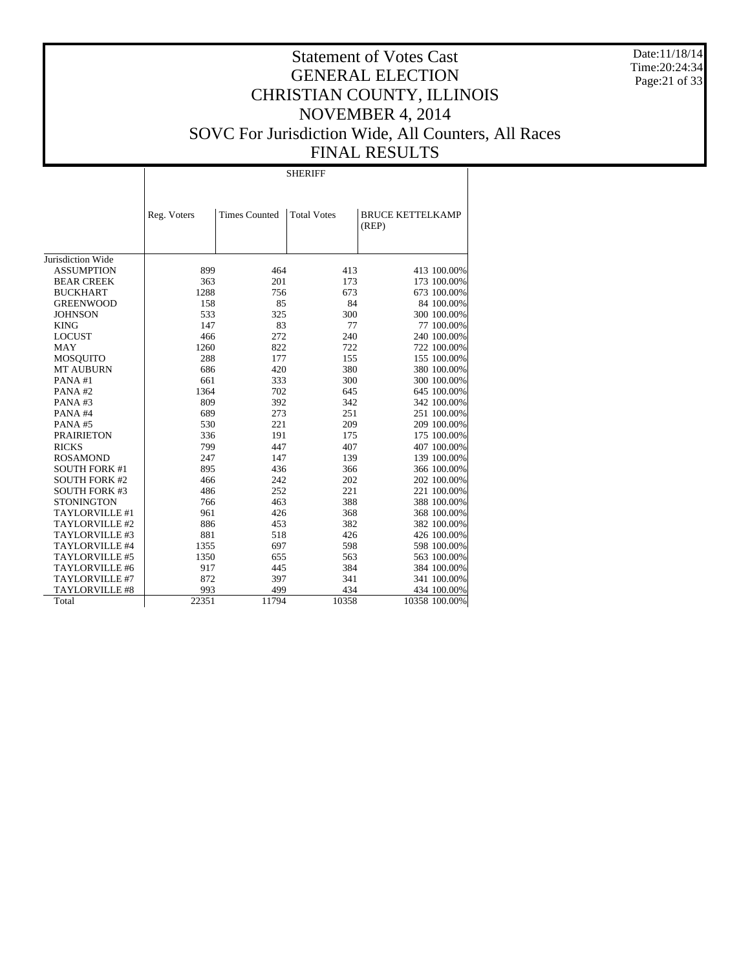Date:11/18/14 Time:20:24:34 Page:21 of 33

# Statement of Votes Cast GENERAL ELECTION CHRISTIAN COUNTY, ILLINOIS NOVEMBER 4, 2014 SOVC For Jurisdiction Wide, All Counters, All Races FINAL RESULTS

SHERIFF

|                      | Reg. Voters | <b>Times Counted</b> | <b>Total Votes</b> | <b>BRUCE KETTELKAMP</b><br>(REP) |
|----------------------|-------------|----------------------|--------------------|----------------------------------|
|                      |             |                      |                    |                                  |
|                      |             |                      |                    |                                  |
| Jurisdiction Wide    |             |                      |                    |                                  |
| <b>ASSUMPTION</b>    | 899         | 464                  | 413                | 413 100.00%                      |
| <b>BEAR CREEK</b>    | 363         | 201                  | 173                | 173 100.00%                      |
| <b>BUCKHART</b>      | 1288        | 756                  | 673                | 673 100.00%                      |
| <b>GREENWOOD</b>     | 158         | 85                   | 84                 | 84 100.00%                       |
| <b>JOHNSON</b>       | 533         | 325                  | 300                | 300 100.00%                      |
| <b>KING</b>          | 147         | 83                   | 77                 | 77 100.00%                       |
| <b>LOCUST</b>        | 466         | 272                  | 240                | 240 100.00%                      |
| <b>MAY</b>           | 1260        | 822                  | 722                | 722 100.00%                      |
| MOSQUITO             | 288         | 177                  | 155                | 155 100.00%                      |
| <b>MT AUBURN</b>     | 686         | 420                  | 380                | 380 100.00%                      |
| PANA#1               | 661         | 333                  | 300                | 300 100.00%                      |
| PANA#2               | 1364        | 702                  | 645                | 645 100.00%                      |
| PANA#3               | 809         | 392                  | 342                | 342 100.00%                      |
| PANA#4               | 689         | 273                  | 251                | 251 100.00%                      |
| PANA#5               | 530         | 221                  | 209                | 209 100.00%                      |
| <b>PRAIRIETON</b>    | 336         | 191                  | 175                | 175 100.00%                      |
| <b>RICKS</b>         | 799         | 447                  | 407                | 407 100.00%                      |
| <b>ROSAMOND</b>      | 247         | 147                  | 139                | 139 100.00%                      |
| <b>SOUTH FORK #1</b> | 895         | 436                  | 366                | 366 100.00%                      |
| <b>SOUTH FORK #2</b> | 466         | 242                  | 202                | 202 100.00%                      |
| <b>SOUTH FORK #3</b> | 486         | 252                  | 221                | 221 100.00%                      |
| <b>STONINGTON</b>    | 766         | 463                  | 388                | 388 100.00%                      |
| TAYLORVILLE #1       | 961         | 426                  | 368                | 368 100.00%                      |
| TAYLORVILLE #2       | 886         | 453                  | 382                | 382 100.00%                      |
| TAYLORVILLE #3       | 881         | 518                  | 426                | 426 100.00%                      |
| TAYLORVILLE #4       | 1355        | 697                  | 598                | 598 100.00%                      |
| TAYLORVILLE #5       | 1350        | 655                  | 563                | 563 100.00%                      |
| TAYLORVILLE #6       | 917         | 445                  | 384                | 384 100.00%                      |
| TAYLORVILLE #7       | 872         | 397                  | 341                | 341 100.00%                      |
| TAYLORVILLE #8       | 993         | 499                  | 434                | 434 100.00%                      |
| Total                | 22351       | 11794                | 10358              | 10358 100.00%                    |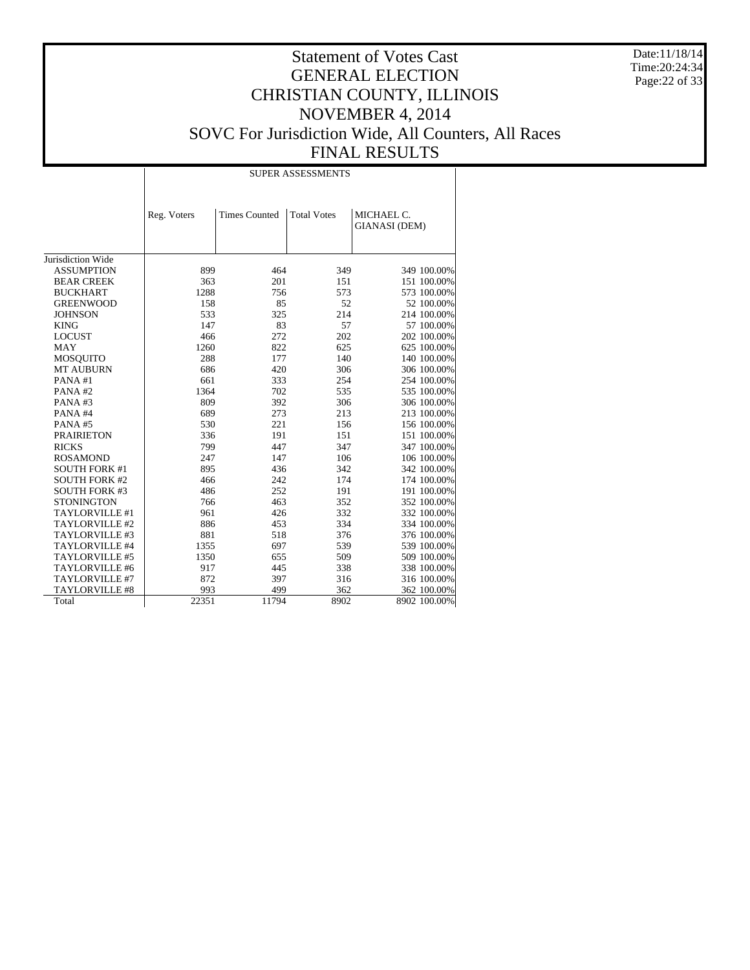Date:11/18/14 Time:20:24:34 Page:22 of 33

|                      |             |                      | <b>SUPER ASSESSMENTS</b> |                                    |
|----------------------|-------------|----------------------|--------------------------|------------------------------------|
|                      | Reg. Voters | <b>Times Counted</b> | <b>Total Votes</b>       | MICHAEL C.<br><b>GIANASI</b> (DEM) |
| Jurisdiction Wide    |             |                      |                          |                                    |
| <b>ASSUMPTION</b>    | 899         | 464                  | 349                      | 349 100.00%                        |
| <b>BEAR CREEK</b>    | 363         | 201                  | 151                      | 151 100.00%                        |
| <b>BUCKHART</b>      | 1288        | 756                  | 573                      | 573 100.00%                        |
| <b>GREENWOOD</b>     | 158         | 85                   | 52                       | 52 100.00%                         |
| <b>JOHNSON</b>       | 533         | 325                  | 214                      | 214 100.00%                        |
| <b>KING</b>          | 147         | 83                   | 57                       | 57 100.00%                         |
| <b>LOCUST</b>        | 466         | 272                  | 202                      | 202 100.00%                        |
| <b>MAY</b>           | 1260        | 822                  | 625                      | 625 100.00%                        |
| <b>MOSQUITO</b>      | 288         | 177                  | 140                      | 140 100.00%                        |
| <b>MT AUBURN</b>     | 686         | 420                  | 306                      | 306 100.00%                        |
| PANA#1               | 661         | 333                  | 254                      | 254 100.00%                        |
| PANA#2               | 1364        | 702                  | 535                      | 535 100.00%                        |
| PANA#3               | 809         | 392                  | 306                      | 306 100.00%                        |
| PANA#4               | 689         | 273                  | 213                      | 213 100.00%                        |
| PANA#5               | 530         | 221                  | 156                      | 156 100.00%                        |
| <b>PRAIRIETON</b>    | 336         | 191                  | 151                      | 151 100.00%                        |
| <b>RICKS</b>         | 799         | 447                  | 347                      | 347 100.00%                        |
| <b>ROSAMOND</b>      | 247         | 147                  | 106                      | 106 100.00%                        |
| <b>SOUTH FORK #1</b> | 895         | 436                  | 342                      | 342 100.00%                        |
| <b>SOUTH FORK #2</b> | 466         | 242                  | 174                      | 174 100.00%                        |
| <b>SOUTH FORK #3</b> | 486         | 252                  | 191                      | 191 100.00%                        |
| <b>STONINGTON</b>    | 766         | 463                  | 352                      | 352 100.00%                        |
| TAYLORVILLE #1       | 961         | 426                  | 332                      | 332 100.00%                        |
| TAYLORVILLE #2       | 886         | 453                  | 334                      | 334 100.00%                        |
| TAYLORVILLE #3       | 881         | 518                  | 376                      | 376 100.00%                        |
| TAYLORVILLE #4       | 1355        | 697                  | 539                      | 539 100.00%                        |
| TAYLORVILLE #5       | 1350        | 655                  | 509                      | 509 100.00%                        |
| TAYLORVILLE #6       | 917         | 445                  | 338                      | 338 100.00%                        |
| TAYLORVILLE #7       | 872         | 397                  | 316                      | 316 100.00%                        |
| TAYLORVILLE #8       | 993         | 499                  | 362                      | 362 100.00%                        |
| Total                | 22351       | 11794                | 8902                     | 8902 100.00%                       |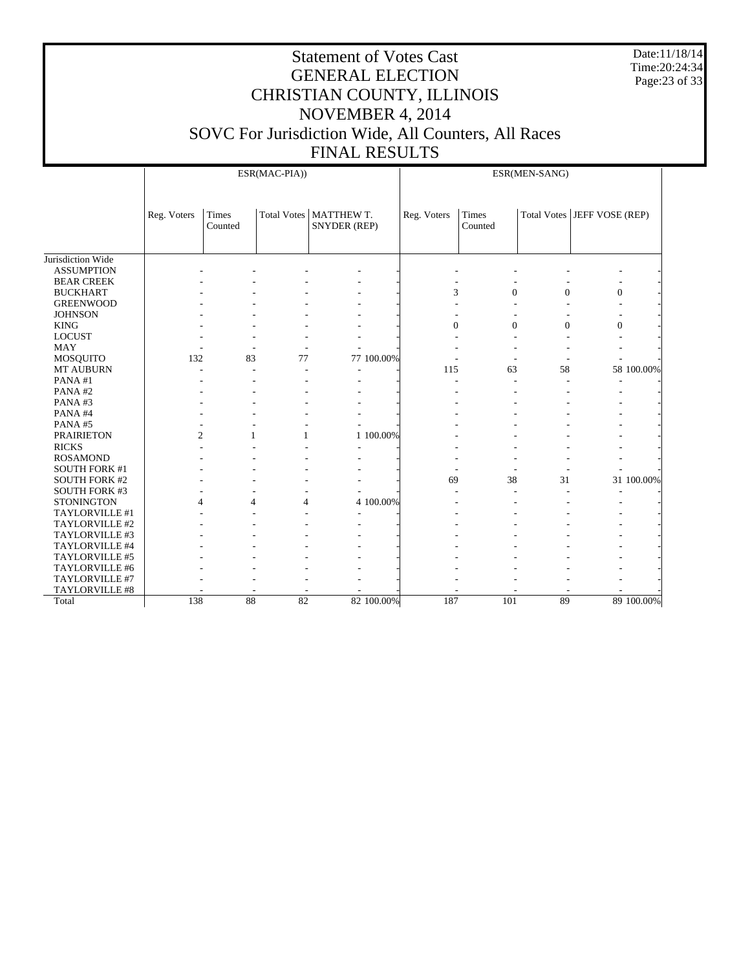Date:11/18/14 Time:20:24:34 Page:23 of 33

|                      | ESR(MAC-PIA))  |                  |                | ESR(MEN-SANG)                                   |                |                  |                |                             |
|----------------------|----------------|------------------|----------------|-------------------------------------------------|----------------|------------------|----------------|-----------------------------|
|                      | Reg. Voters    | Times<br>Counted |                | Total Votes   MATTHEW T.<br><b>SNYDER (REP)</b> | Reg. Voters    | Times<br>Counted |                | Total Votes JEFF VOSE (REP) |
| Jurisdiction Wide    |                |                  |                |                                                 |                |                  |                |                             |
| <b>ASSUMPTION</b>    |                |                  |                |                                                 |                |                  |                |                             |
| <b>BEAR CREEK</b>    |                |                  |                |                                                 |                |                  |                |                             |
| <b>BUCKHART</b>      |                |                  |                |                                                 | 3              | $\overline{0}$   | $\overline{0}$ | $\boldsymbol{0}$            |
| <b>GREENWOOD</b>     |                |                  |                |                                                 |                |                  |                |                             |
| <b>JOHNSON</b>       |                |                  |                |                                                 |                |                  |                |                             |
| <b>KING</b>          |                |                  |                |                                                 | $\overline{0}$ | $\overline{0}$   | $\theta$       | $\overline{0}$              |
| <b>LOCUST</b>        |                |                  |                |                                                 |                |                  |                |                             |
| <b>MAY</b>           |                |                  |                |                                                 |                |                  |                |                             |
| <b>MOSQUITO</b>      | 132            | 83               | 77             | 77 100.00%                                      |                |                  |                |                             |
| MT AUBURN            |                | L,               |                |                                                 | 115            | 63               | 58             | 58 100.00%                  |
| PANA#1               |                |                  |                |                                                 |                |                  |                |                             |
| PANA#2               |                |                  |                |                                                 |                |                  |                |                             |
| PANA#3               |                |                  |                |                                                 |                |                  |                |                             |
| PANA#4               |                |                  |                |                                                 |                |                  |                |                             |
| PANA#5               |                |                  |                |                                                 |                |                  |                |                             |
| <b>PRAIRIETON</b>    | $\overline{2}$ | 1                | 1              | 1 100.00%                                       |                |                  |                |                             |
| <b>RICKS</b>         |                |                  |                |                                                 |                |                  |                |                             |
| <b>ROSAMOND</b>      |                |                  |                |                                                 |                |                  |                |                             |
| <b>SOUTH FORK #1</b> |                |                  |                |                                                 |                |                  |                |                             |
| <b>SOUTH FORK #2</b> |                |                  |                |                                                 | 69             | 38               | 31             | 31 100.00%                  |
| <b>SOUTH FORK #3</b> |                |                  |                |                                                 |                |                  |                |                             |
| <b>STONINGTON</b>    | 4              | 4                | $\overline{4}$ | 4 100.00%                                       |                |                  |                |                             |
| TAYLORVILLE #1       |                |                  |                |                                                 |                |                  |                |                             |
| TAYLORVILLE #2       |                |                  |                |                                                 |                |                  |                |                             |
| TAYLORVILLE #3       |                |                  |                |                                                 |                |                  |                |                             |
| TAYLORVILLE #4       |                |                  |                |                                                 |                |                  |                |                             |
| TAYLORVILLE #5       |                |                  |                |                                                 |                |                  |                |                             |
| TAYLORVILLE #6       |                |                  |                |                                                 |                |                  |                |                             |
| TAYLORVILLE #7       |                |                  |                |                                                 |                |                  |                |                             |
| TAYLORVILLE #8       |                |                  |                |                                                 |                |                  |                |                             |
| Total                | 138            | 88               | 82             | 82 100,00%                                      | 187            | 101              | 89             | 89 100.00%                  |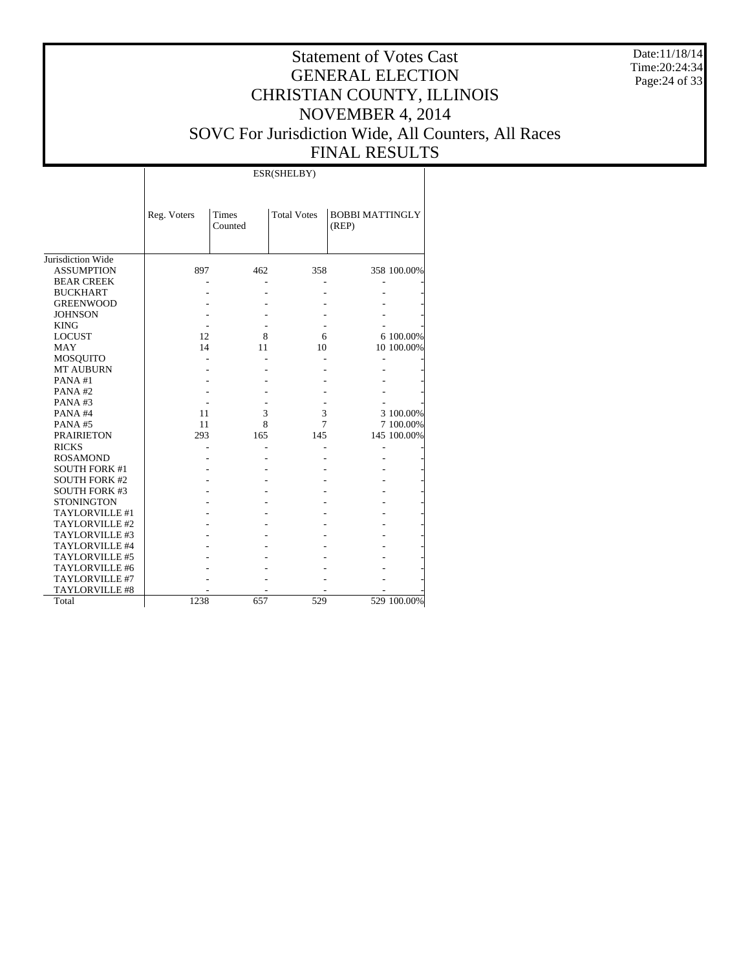Date:11/18/14 Time:20:24:34 Page:24 of 33

# Statement of Votes Cast GENERAL ELECTION CHRISTIAN COUNTY, ILLINOIS NOVEMBER 4, 2014 SOVC For Jurisdiction Wide, All Counters, All Races FINAL RESULTS

т

|                       |             |                         | ESR(SHELBY)        |                                 |             |
|-----------------------|-------------|-------------------------|--------------------|---------------------------------|-------------|
|                       | Reg. Voters | <b>Times</b><br>Counted | <b>Total Votes</b> | <b>BOBBI MATTINGLY</b><br>(REP) |             |
| Jurisdiction Wide     |             |                         |                    |                                 |             |
| <b>ASSUMPTION</b>     | 897         | 462                     | 358                |                                 | 358 100.00% |
| <b>BEAR CREEK</b>     |             |                         |                    |                                 |             |
| <b>BUCKHART</b>       |             |                         |                    |                                 |             |
| <b>GREENWOOD</b>      |             |                         |                    |                                 |             |
| <b>JOHNSON</b>        |             |                         |                    |                                 |             |
| <b>KING</b>           |             |                         |                    |                                 |             |
| <b>LOCUST</b>         | 12          | 8                       | 6                  |                                 | 6 100.00%   |
| <b>MAY</b>            | 14          | 11                      | 10                 |                                 | 10 100.00%  |
| <b>MOSQUITO</b>       |             |                         |                    |                                 |             |
| <b>MT AUBURN</b>      |             |                         |                    |                                 |             |
| PANA#1                |             |                         |                    |                                 |             |
| PANA#2                |             |                         |                    |                                 |             |
| PANA#3                |             |                         |                    |                                 |             |
| PANA#4                | 11          | 3                       | 3                  |                                 | 3 100.00%   |
| PANA#5                | 11          | 8                       | 7                  |                                 | 7 100.00%   |
| <b>PRAIRIETON</b>     | 293         | 165                     | 145                |                                 | 145 100.00% |
| <b>RICKS</b>          |             |                         |                    |                                 |             |
| <b>ROSAMOND</b>       |             |                         |                    |                                 |             |
| <b>SOUTH FORK #1</b>  |             |                         |                    |                                 |             |
| <b>SOUTH FORK #2</b>  |             |                         |                    |                                 |             |
| <b>SOUTH FORK #3</b>  |             |                         |                    |                                 |             |
| <b>STONINGTON</b>     |             |                         |                    |                                 |             |
| TAYLORVILLE #1        |             |                         |                    |                                 |             |
| TAYLORVILLE #2        |             |                         |                    |                                 |             |
| TAYLORVILLE #3        |             |                         |                    |                                 |             |
| TAYLORVILLE #4        |             |                         |                    |                                 |             |
| TAYLORVILLE #5        |             |                         |                    |                                 |             |
| TAYLORVILLE #6        |             |                         |                    |                                 |             |
| TAYLORVILLE #7        |             |                         |                    |                                 |             |
| <b>TAYLORVILLE #8</b> |             |                         |                    |                                 |             |
| Total                 | 1238        | 657                     | 529                |                                 | 529 100.00% |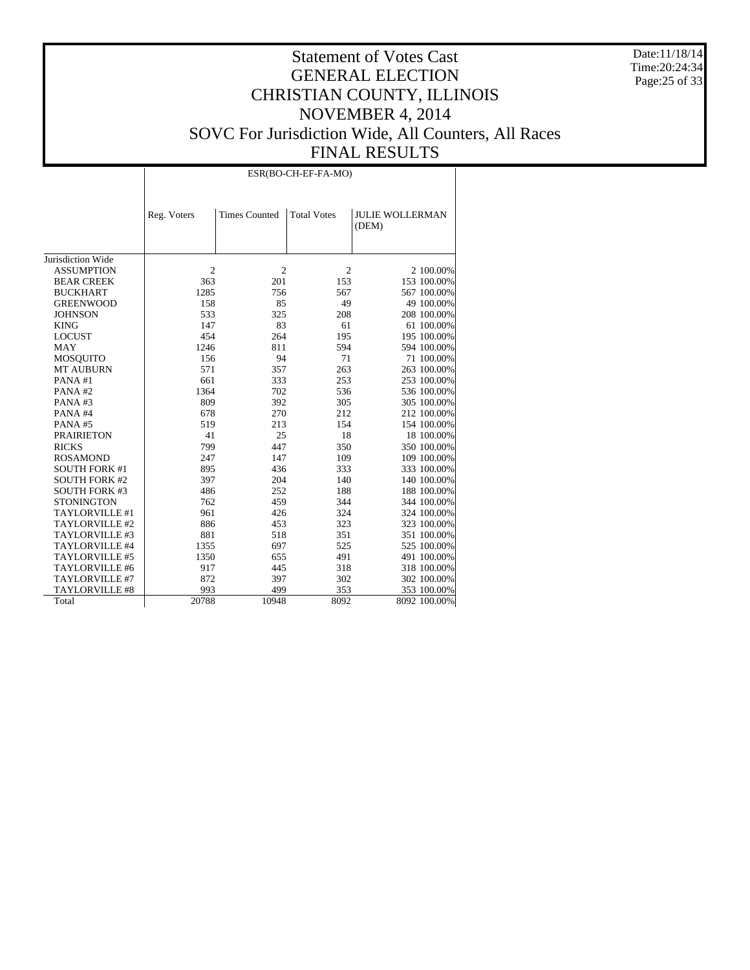Date:11/18/14 Time:20:24:34 Page:25 of 33

|                       |                | ESR(BO-CH-EF-FA-MO)  |                    |                                 |  |  |  |  |
|-----------------------|----------------|----------------------|--------------------|---------------------------------|--|--|--|--|
|                       | Reg. Voters    | <b>Times Counted</b> | <b>Total Votes</b> | <b>JULIE WOLLERMAN</b><br>(DEM) |  |  |  |  |
| Jurisdiction Wide     |                |                      |                    |                                 |  |  |  |  |
| <b>ASSUMPTION</b>     | $\overline{2}$ | $\overline{c}$       | $\overline{2}$     | 2 100.00%                       |  |  |  |  |
| <b>BEAR CREEK</b>     | 363            | 201                  | 153                | 153 100.00%                     |  |  |  |  |
| <b>BUCKHART</b>       | 1285           | 756                  | 567                | 567 100.00%                     |  |  |  |  |
| <b>GREENWOOD</b>      | 158            | 85                   | 49                 | 49 100.00%                      |  |  |  |  |
| <b>JOHNSON</b>        | 533            | 325                  | 208                | 208 100.00%                     |  |  |  |  |
| <b>KING</b>           | 147            | 83                   | 61                 | 61 100.00%                      |  |  |  |  |
| <b>LOCUST</b>         | 454            | 264                  | 195                | 195 100.00%                     |  |  |  |  |
| <b>MAY</b>            | 1246           | 811                  | 594                | 594 100.00%                     |  |  |  |  |
| <b>MOSQUITO</b>       | 156            | 94                   | 71                 | 71 100.00%                      |  |  |  |  |
| <b>MT AUBURN</b>      | 571            | 357                  | 263                | 263 100.00%                     |  |  |  |  |
| PANA#1                | 661            | 333                  | 253                | 253 100.00%                     |  |  |  |  |
| PANA#2                | 1364           | 702                  | 536                | 536 100.00%                     |  |  |  |  |
| PANA#3                | 809            | 392                  | 305                | 305 100.00%                     |  |  |  |  |
| PANA#4                | 678            | 270                  | 212                | 212 100.00%                     |  |  |  |  |
| PANA#5                | 519            | 213                  | 154                | 154 100.00%                     |  |  |  |  |
| <b>PRAIRIETON</b>     | 41             | 25                   | 18                 | 18 100.00%                      |  |  |  |  |
| <b>RICKS</b>          | 799            | 447                  | 350                | 350 100.00%                     |  |  |  |  |
| <b>ROSAMOND</b>       | 247            | 147                  | 109                | 109 100.00%                     |  |  |  |  |
| <b>SOUTH FORK #1</b>  | 895            | 436                  | 333                | 333 100.00%                     |  |  |  |  |
| <b>SOUTH FORK #2</b>  | 397            | 204                  | 140                | 140 100.00%                     |  |  |  |  |
| <b>SOUTH FORK #3</b>  | 486            | 252                  | 188                | 188 100.00%                     |  |  |  |  |
| <b>STONINGTON</b>     | 762            | 459                  | 344                | 344 100.00%                     |  |  |  |  |
| TAYLORVILLE #1        | 961            | 426                  | 324                | 324 100.00%                     |  |  |  |  |
| TAYLORVILLE #2        | 886            | 453                  | 323                | 323 100.00%                     |  |  |  |  |
| TAYLORVILLE #3        | 881            | 518                  | 351                | 351 100.00%                     |  |  |  |  |
| TAYLORVILLE #4        | 1355           | 697                  | 525                | 525 100.00%                     |  |  |  |  |
| TAYLORVILLE #5        | 1350           | 655                  | 491                | 491 100.00%                     |  |  |  |  |
| TAYLORVILLE #6        | 917            | 445                  | 318                | 318 100.00%                     |  |  |  |  |
| TAYLORVILLE #7        | 872            | 397                  | 302                | 302 100.00%                     |  |  |  |  |
| <b>TAYLORVILLE #8</b> | 993            | 499                  | 353                | 353 100.00%                     |  |  |  |  |
| Total                 | 20788          | 10948                | 8092               | 8092 100.00%                    |  |  |  |  |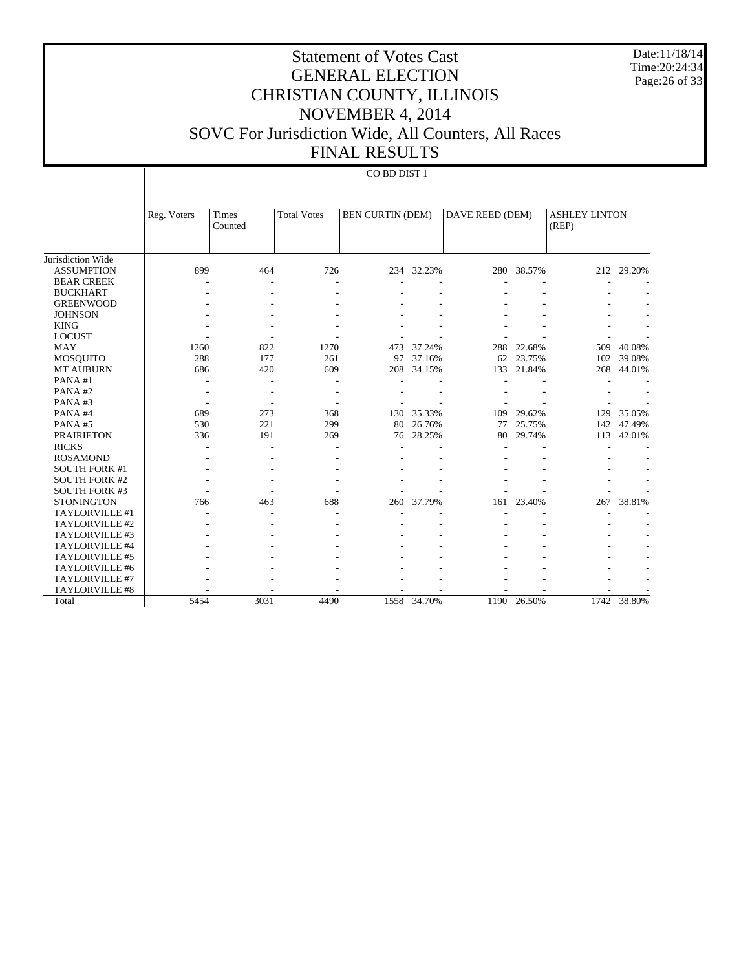Date:11/18/14 Time:20:24:34 Page:26 of 33

# Statement of Votes Cast GENERAL ELECTION CHRISTIAN COUNTY, ILLINOIS NOVEMBER 4, 2014 SOVC For Jurisdiction Wide, All Counters, All Races FINAL RESULTS

|                      | Reg. Voters | <b>Times</b> | <b>Total Votes</b> | <b>BEN CURTIN (DEM)</b> |             | DAVE REED (DEM) |            | <b>ASHLEY LINTON</b> |        |
|----------------------|-------------|--------------|--------------------|-------------------------|-------------|-----------------|------------|----------------------|--------|
|                      |             | Counted      |                    |                         |             |                 |            | (REP)                |        |
|                      |             |              |                    |                         |             |                 |            |                      |        |
| Jurisdiction Wide    |             |              |                    |                         |             |                 |            |                      |        |
| <b>ASSUMPTION</b>    | 899         | 464          | 726                | 234                     | 32.23%      |                 | 280 38.57% | 212                  | 29.20% |
| <b>BEAR CREEK</b>    |             |              |                    |                         |             |                 |            |                      |        |
| <b>BUCKHART</b>      |             |              |                    |                         |             |                 |            |                      |        |
| <b>GREENWOOD</b>     |             |              |                    |                         |             |                 |            |                      |        |
| <b>JOHNSON</b>       |             |              |                    |                         |             |                 |            |                      |        |
| <b>KING</b>          |             |              |                    |                         |             |                 |            |                      |        |
| <b>LOCUST</b>        |             |              |                    |                         |             |                 |            |                      |        |
| <b>MAY</b>           | 1260        | 822          | 1270               | 473                     | 37.24%      | 288             | 22.68%     | 509                  | 40.08% |
| <b>MOSQUITO</b>      | 288         | 177          | 261                | 97                      | 37.16%      | 62              | 23.75%     | 102                  | 39.08% |
| <b>MT AUBURN</b>     | 686         | 420          | 609                | 208                     | 34.15%      | 133             | 21.84%     | 268                  | 44.01% |
| PANA#1               |             |              |                    |                         |             |                 |            |                      |        |
| PANA#2               |             |              |                    |                         |             |                 |            |                      |        |
| PANA#3               |             |              |                    |                         |             |                 |            |                      |        |
| PANA#4               | 689         | 273          | 368                | 130                     | 35.33%      | 109             | 29.62%     | 129                  | 35.05% |
| PANA#5               | 530         | 221          | 299                | 80                      | 26.76%      | 77              | 25.75%     | 142                  | 47.49% |
| <b>PRAIRIETON</b>    | 336         | 191          | 269                | 76                      | 28.25%      | 80              | 29.74%     | 113                  | 42.01% |
| <b>RICKS</b>         |             |              |                    |                         |             |                 |            |                      |        |
| <b>ROSAMOND</b>      |             |              |                    |                         |             |                 |            |                      |        |
| <b>SOUTH FORK #1</b> |             |              |                    |                         |             |                 |            |                      |        |
| <b>SOUTH FORK #2</b> |             |              |                    |                         |             |                 |            |                      |        |
| <b>SOUTH FORK #3</b> |             |              |                    |                         |             |                 |            |                      |        |
| <b>STONINGTON</b>    | 766         | 463          | 688                | 260                     | 37.79%      | 161             | 23.40%     | 267                  | 38.81% |
| TAYLORVILLE #1       |             |              |                    |                         |             |                 |            |                      |        |
| TAYLORVILLE #2       |             |              |                    |                         |             |                 |            |                      |        |
| TAYLORVILLE #3       |             |              |                    |                         |             |                 |            |                      |        |
| TAYLORVILLE #4       |             |              |                    |                         |             |                 |            |                      |        |
| TAYLORVILLE #5       |             |              |                    |                         |             |                 |            |                      |        |
| TAYLORVILLE #6       |             |              |                    |                         |             |                 |            |                      |        |
| TAYLORVILLE #7       |             |              |                    |                         |             |                 |            |                      |        |
| TAYLORVILLE #8       |             |              |                    |                         |             |                 |            |                      |        |
| Total                | 5454        | 3031         | 4490               |                         | 1558 34.70% | 1190            | 26.50%     | 1742                 | 38.80% |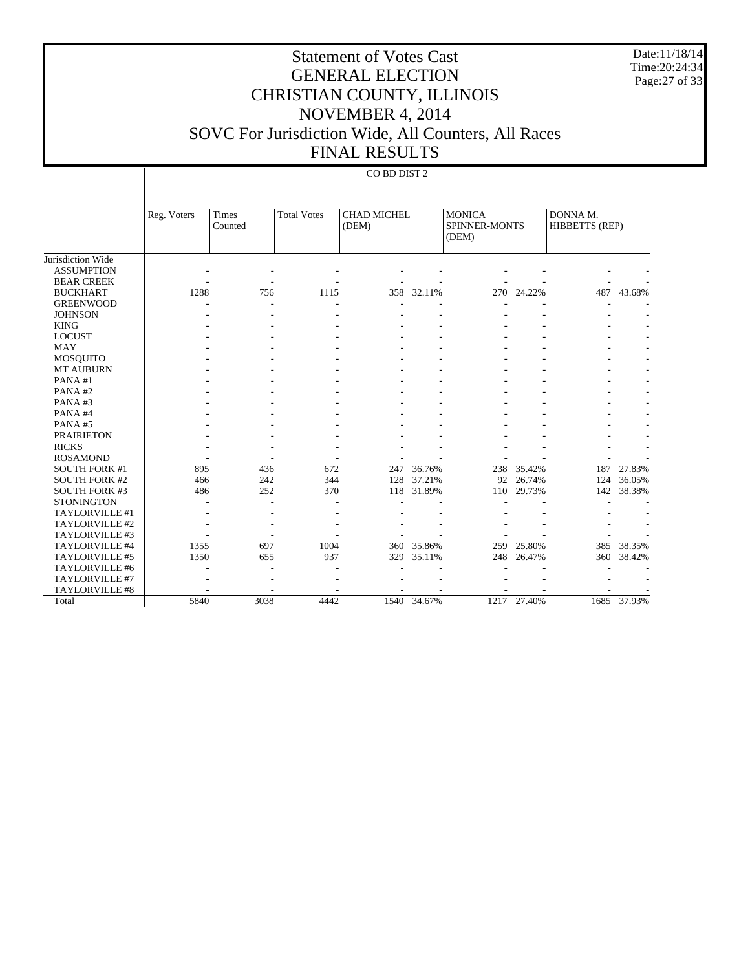Date:11/18/14 Time:20:24:34 Page:27 of 33

# Statement of Votes Cast GENERAL ELECTION CHRISTIAN COUNTY, ILLINOIS NOVEMBER 4, 2014 SOVC For Jurisdiction Wide, All Counters, All Races FINAL RESULTS

|                       | Reg. Voters | <b>Times</b><br>Counted | <b>Total Votes</b> | <b>CHAD MICHEL</b><br><b>MONICA</b><br>SPINNER-MONTS<br>(DEM)<br>(DEM) |             | DONNA M.<br>HIBBETTS (REP) |             |      |        |
|-----------------------|-------------|-------------------------|--------------------|------------------------------------------------------------------------|-------------|----------------------------|-------------|------|--------|
| Jurisdiction Wide     |             |                         |                    |                                                                        |             |                            |             |      |        |
| <b>ASSUMPTION</b>     |             |                         |                    |                                                                        |             |                            |             |      |        |
| <b>BEAR CREEK</b>     |             |                         |                    |                                                                        |             |                            |             |      |        |
| <b>BUCKHART</b>       | 1288        | 756                     | 1115               | 358                                                                    | 32.11%      | 270                        | 24.22%      | 487  | 43.68% |
| <b>GREENWOOD</b>      |             |                         |                    |                                                                        |             |                            |             |      |        |
| <b>JOHNSON</b>        |             |                         |                    |                                                                        |             |                            |             |      |        |
| <b>KING</b>           |             |                         |                    |                                                                        |             |                            |             |      |        |
| <b>LOCUST</b>         |             |                         |                    |                                                                        |             |                            |             |      |        |
| <b>MAY</b>            |             |                         |                    |                                                                        |             |                            |             |      |        |
| <b>MOSQUITO</b>       |             |                         |                    |                                                                        |             |                            |             |      |        |
| <b>MT AUBURN</b>      |             |                         |                    |                                                                        |             |                            |             |      |        |
| PANA#1                |             |                         |                    |                                                                        |             |                            |             |      |        |
| PANA#2                |             |                         |                    |                                                                        |             |                            |             |      |        |
| PANA#3                |             |                         |                    |                                                                        |             |                            |             |      |        |
| PANA#4                |             |                         |                    |                                                                        |             |                            |             |      |        |
| PANA#5                |             |                         |                    |                                                                        |             |                            |             |      |        |
| <b>PRAIRIETON</b>     |             |                         |                    |                                                                        |             |                            |             |      |        |
| <b>RICKS</b>          |             |                         |                    |                                                                        |             |                            |             |      |        |
| <b>ROSAMOND</b>       |             |                         |                    |                                                                        |             |                            |             |      |        |
| <b>SOUTH FORK #1</b>  | 895         | 436                     | 672                | 247                                                                    | 36.76%      | 238                        | 35.42%      | 187  | 27.83% |
| <b>SOUTH FORK #2</b>  | 466         | 242                     | 344                | 128                                                                    | 37.21%      | 92                         | 26.74%      | 124  | 36.05% |
| <b>SOUTH FORK #3</b>  | 486         | 252                     | 370                | 118                                                                    | 31.89%      | 110                        | 29.73%      | 142  | 38.38% |
| <b>STONINGTON</b>     |             |                         |                    |                                                                        |             |                            |             |      |        |
| TAYLORVILLE #1        |             |                         |                    |                                                                        |             |                            |             |      |        |
| TAYLORVILLE #2        |             |                         |                    |                                                                        |             |                            |             |      |        |
| TAYLORVILLE #3        |             |                         |                    |                                                                        |             |                            |             |      |        |
| TAYLORVILLE #4        | 1355        | 697                     | 1004               | 360                                                                    | 35.86%      | 259                        | 25.80%      | 385  | 38.35% |
| TAYLORVILLE #5        | 1350        | 655                     | 937                | 329                                                                    | 35.11%      | 248                        | 26.47%      | 360  | 38.42% |
| TAYLORVILLE #6        |             |                         |                    |                                                                        |             |                            |             |      |        |
| TAYLORVILLE #7        |             |                         |                    |                                                                        |             |                            |             |      |        |
| <b>TAYLORVILLE #8</b> |             |                         |                    |                                                                        |             |                            |             |      |        |
| Total                 | 5840        | 3038                    | 4442               |                                                                        | 1540 34.67% |                            | 1217 27.40% | 1685 | 37.93% |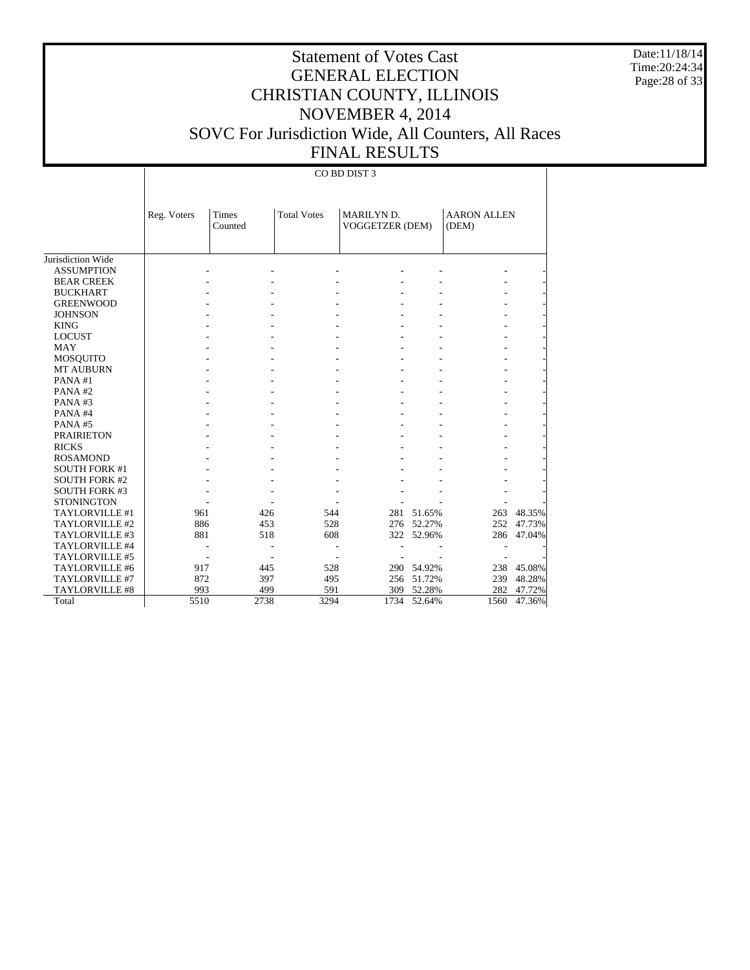Date:11/18/14 Time:20:24:34 Page:28 of 33

# Statement of Votes Cast GENERAL ELECTION CHRISTIAN COUNTY, ILLINOIS NOVEMBER 4, 2014 SOVC For Jurisdiction Wide, All Counters, All Races FINAL RESULTS

|                      | Reg. Voters | Times<br>Counted | <b>Total Votes</b> | MARILYN D.<br>VOGGETZER (DEM) |            | <b>AARON ALLEN</b><br>(DEM) |        |
|----------------------|-------------|------------------|--------------------|-------------------------------|------------|-----------------------------|--------|
|                      |             |                  |                    |                               |            |                             |        |
| Jurisdiction Wide    |             |                  |                    |                               |            |                             |        |
| <b>ASSUMPTION</b>    |             |                  |                    |                               |            |                             |        |
| <b>BEAR CREEK</b>    |             |                  |                    |                               |            |                             |        |
| <b>BUCKHART</b>      |             |                  |                    |                               |            |                             |        |
| <b>GREENWOOD</b>     |             |                  |                    |                               |            |                             |        |
| <b>JOHNSON</b>       |             |                  |                    |                               |            |                             |        |
| <b>KING</b>          |             |                  |                    |                               |            |                             |        |
| <b>LOCUST</b>        |             |                  |                    |                               |            |                             |        |
| MAY                  |             |                  |                    |                               |            |                             |        |
| <b>MOSQUITO</b>      |             |                  |                    |                               |            |                             |        |
| <b>MT AUBURN</b>     |             |                  |                    |                               |            |                             |        |
| PANA#1               |             |                  |                    |                               |            |                             |        |
| PANA#2               |             |                  |                    |                               |            |                             |        |
| PANA#3               |             |                  |                    |                               |            |                             |        |
| PANA#4               |             |                  |                    |                               |            |                             |        |
| PANA#5               |             |                  |                    |                               |            |                             |        |
| <b>PRAIRIETON</b>    |             |                  |                    |                               |            |                             |        |
| <b>RICKS</b>         |             |                  |                    |                               |            |                             |        |
| <b>ROSAMOND</b>      |             |                  |                    |                               |            |                             |        |
| <b>SOUTH FORK #1</b> |             |                  |                    |                               |            |                             |        |
| <b>SOUTH FORK #2</b> |             |                  |                    |                               |            |                             |        |
| <b>SOUTH FORK #3</b> |             |                  |                    |                               |            |                             |        |
| <b>STONINGTON</b>    |             |                  |                    |                               |            |                             |        |
| TAYLORVILLE #1       | 961         | 426              | 544                | 281                           | 51.65%     | 263                         | 48.35% |
| TAYLORVILLE #2       | 886         | 453              | 528                | 276                           | 52.27%     | 252                         | 47.73% |
| TAYLORVILLE #3       | 881         | 518              | 608                |                               | 322 52.96% | 286                         | 47.04% |
| TAYLORVILLE #4       |             |                  |                    |                               |            |                             |        |
| TAYLORVILLE #5       |             |                  |                    |                               |            |                             |        |
| TAYLORVILLE #6       | 917         | 445              | 528                |                               | 290 54.92% | 238                         | 45.08% |
| TAYLORVILLE #7       | 872         | 397              | 495                | 256                           | 51.72%     | 239                         | 48.28% |
| TAYLORVILLE #8       | 993         | 499              | 591                | 309                           | 52.28%     | 282                         | 47.72% |
| Total                | 5510        | 2738             | 3294               | 1734                          | 52.64%     | 1560                        | 47.36% |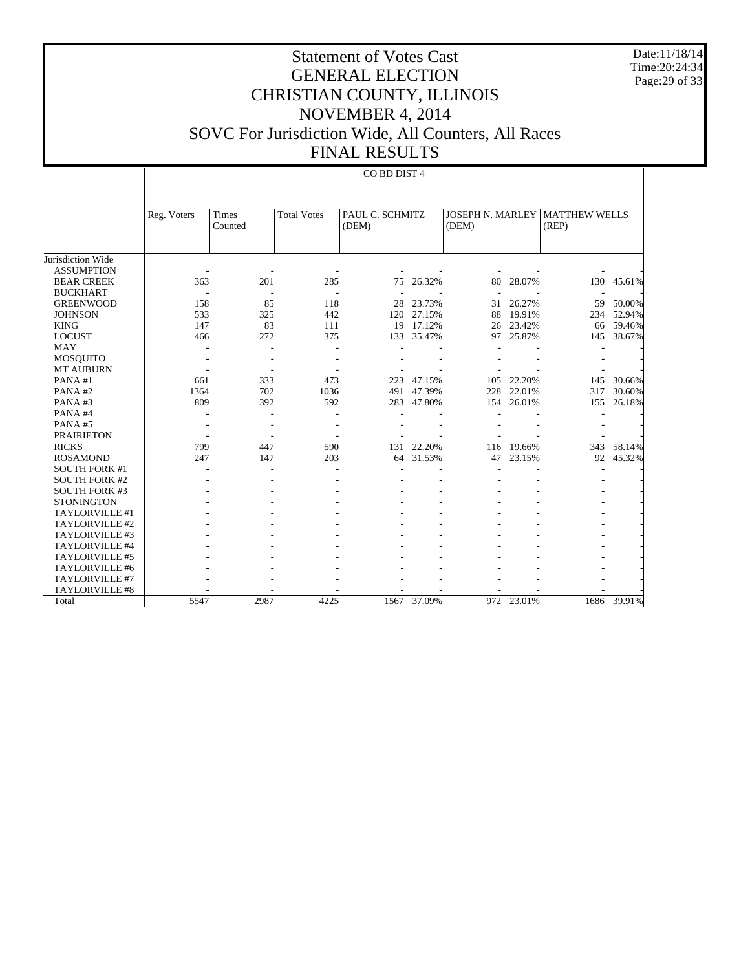Date:11/18/14 Time:20:24:34 Page:29 of 33

# Statement of Votes Cast GENERAL ELECTION CHRISTIAN COUNTY, ILLINOIS NOVEMBER 4, 2014 SOVC For Jurisdiction Wide, All Counters, All Races FINAL RESULTS

|                      | Reg. Voters | <b>Times</b> | <b>Total Votes</b> | PAUL C. SCHMITZ |        | JOSEPH N. MARLEY |        | <b>MATTHEW WELLS</b> |        |
|----------------------|-------------|--------------|--------------------|-----------------|--------|------------------|--------|----------------------|--------|
|                      |             | Counted      |                    | (DEM)           |        | (DEM)            |        | (REP)                |        |
|                      |             |              |                    |                 |        |                  |        |                      |        |
| Jurisdiction Wide    |             |              |                    |                 |        |                  |        |                      |        |
| <b>ASSUMPTION</b>    |             |              |                    |                 |        |                  |        |                      |        |
| <b>BEAR CREEK</b>    | 363         | 201          | 285                | 75              | 26.32% | 80               | 28.07% | 130                  | 45.61% |
| <b>BUCKHART</b>      |             |              |                    |                 |        |                  |        |                      |        |
| <b>GREENWOOD</b>     | 158         | 85           | 118                | 28              | 23.73% | 31               | 26.27% | 59                   | 50.00% |
| <b>JOHNSON</b>       | 533         | 325          | 442                | 120             | 27.15% | 88               | 19.91% | 234                  | 52.94% |
| <b>KING</b>          | 147         | 83           | 111                | 19              | 17.12% | 26               | 23.42% | 66                   | 59.46% |
| <b>LOCUST</b>        | 466         | 272          | 375                | 133             | 35.47% | 97               | 25.87% | 145                  | 38.67% |
| <b>MAY</b>           |             |              |                    |                 |        |                  |        |                      |        |
| <b>MOSQUITO</b>      |             |              |                    |                 |        |                  |        |                      |        |
| <b>MT AUBURN</b>     |             |              |                    |                 |        |                  |        |                      |        |
| PANA#1               | 661         | 333          | 473                | 223             | 47.15% | 105              | 22.20% | 145                  | 30.66% |
| PANA#2               | 1364        | 702          | 1036               | 491             | 47.39% | 228              | 22.01% | 317                  | 30.60% |
| PANA#3               | 809         | 392          | 592                | 283             | 47.80% | 154              | 26.01% | 155                  | 26.18% |
| PANA#4               |             |              |                    |                 |        |                  |        |                      |        |
| PANA#5               |             |              |                    |                 |        |                  |        |                      |        |
| <b>PRAIRIETON</b>    |             |              |                    |                 |        |                  |        |                      |        |
| <b>RICKS</b>         | 799         | 447          | 590                | 131             | 22.20% | 116              | 19.66% | 343                  | 58.14% |
| <b>ROSAMOND</b>      | 247         | 147          | 203                | 64              | 31.53% | 47               | 23.15% | 92                   | 45.32% |
| <b>SOUTH FORK #1</b> |             |              |                    |                 |        |                  |        |                      |        |
| <b>SOUTH FORK #2</b> |             |              |                    |                 |        |                  |        |                      |        |
| <b>SOUTH FORK #3</b> |             |              |                    |                 |        |                  |        |                      |        |
| <b>STONINGTON</b>    |             |              |                    |                 |        |                  |        |                      |        |
| TAYLORVILLE #1       |             |              |                    |                 |        |                  |        |                      |        |
| TAYLORVILLE #2       |             |              |                    |                 |        |                  |        |                      |        |
| TAYLORVILLE #3       |             |              |                    |                 |        |                  |        |                      |        |
| TAYLORVILLE #4       |             |              |                    |                 |        |                  |        |                      |        |
| TAYLORVILLE #5       |             |              |                    |                 |        |                  |        |                      |        |
| TAYLORVILLE #6       |             |              |                    |                 |        |                  |        |                      |        |
| TAYLORVILLE #7       |             |              |                    |                 |        |                  |        |                      |        |
| TAYLORVILLE #8       |             |              |                    |                 |        |                  |        |                      |        |
| Total                | 5547        | 2987         | 4225               | 1567            | 37.09% | 972              | 23.01% | 1686                 | 39.91% |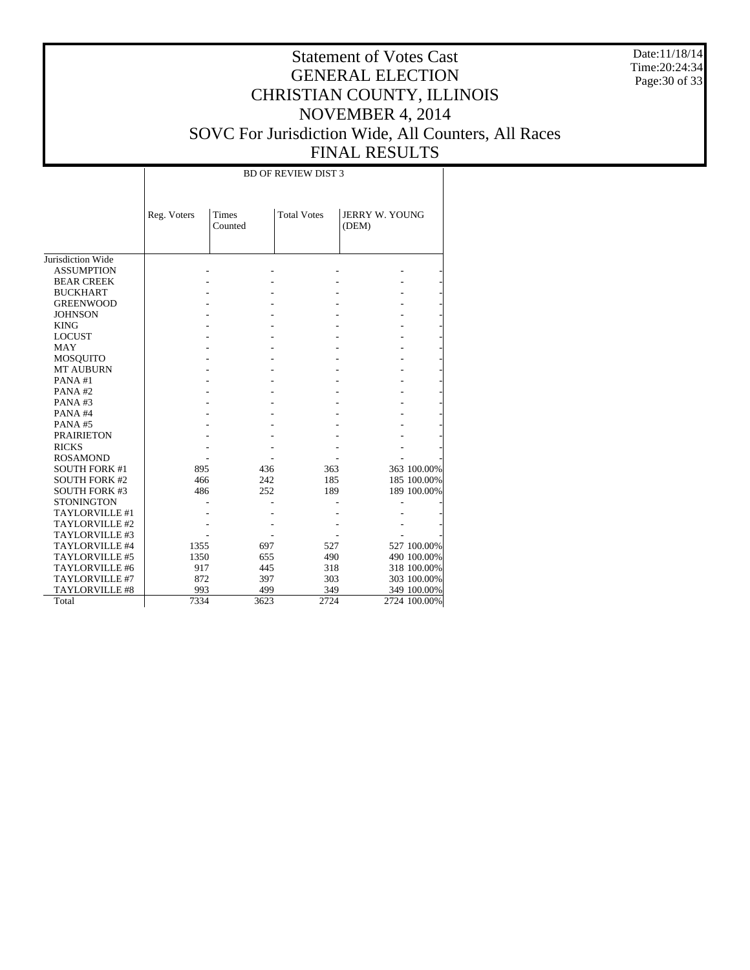Date:11/18/14 Time:20:24:34 Page:30 of 33

|                      | <b>BD OF REVIEW DIST 3</b> |                         |                    |                                |              |  |  |  |  |
|----------------------|----------------------------|-------------------------|--------------------|--------------------------------|--------------|--|--|--|--|
|                      | Reg. Voters                | <b>Times</b><br>Counted | <b>Total Votes</b> | <b>JERRY W. YOUNG</b><br>(DEM) |              |  |  |  |  |
| Jurisdiction Wide    |                            |                         |                    |                                |              |  |  |  |  |
| <b>ASSUMPTION</b>    |                            |                         |                    |                                |              |  |  |  |  |
| <b>BEAR CREEK</b>    |                            |                         |                    |                                |              |  |  |  |  |
| <b>BUCKHART</b>      |                            |                         |                    |                                |              |  |  |  |  |
| <b>GREENWOOD</b>     |                            |                         |                    |                                |              |  |  |  |  |
| <b>JOHNSON</b>       |                            |                         |                    |                                |              |  |  |  |  |
| <b>KING</b>          |                            |                         |                    |                                |              |  |  |  |  |
| <b>LOCUST</b>        |                            |                         |                    |                                |              |  |  |  |  |
| <b>MAY</b>           |                            |                         |                    |                                |              |  |  |  |  |
| <b>MOSQUITO</b>      |                            |                         |                    |                                |              |  |  |  |  |
| <b>MT AUBURN</b>     |                            |                         |                    |                                |              |  |  |  |  |
| PANA#1               |                            |                         |                    |                                |              |  |  |  |  |
| PANA#2               |                            |                         |                    |                                |              |  |  |  |  |
| PANA#3               |                            |                         |                    |                                |              |  |  |  |  |
| PANA#4               |                            |                         |                    |                                |              |  |  |  |  |
| PANA#5               |                            |                         |                    |                                |              |  |  |  |  |
| <b>PRAIRIETON</b>    |                            |                         |                    |                                |              |  |  |  |  |
| <b>RICKS</b>         |                            |                         |                    |                                |              |  |  |  |  |
| <b>ROSAMOND</b>      |                            |                         |                    |                                |              |  |  |  |  |
| <b>SOUTH FORK #1</b> | 895                        | 436                     | 363                |                                | 363 100.00%  |  |  |  |  |
| <b>SOUTH FORK #2</b> | 466                        | 242                     | 185                |                                | 185 100.00%  |  |  |  |  |
| <b>SOUTH FORK #3</b> | 486                        | 252                     | 189                |                                | 189 100.00%  |  |  |  |  |
| <b>STONINGTON</b>    |                            |                         |                    |                                |              |  |  |  |  |
| TAYLORVILLE #1       |                            |                         |                    |                                |              |  |  |  |  |
| TAYLORVILLE #2       |                            |                         |                    |                                |              |  |  |  |  |
| TAYLORVILLE #3       |                            |                         |                    |                                |              |  |  |  |  |
| TAYLORVILLE #4       | 1355                       | 697                     | 527                |                                | 527 100.00%  |  |  |  |  |
| TAYLORVILLE #5       | 1350                       | 655                     | 490                |                                | 490 100.00%  |  |  |  |  |
| TAYLORVILLE #6       | 917                        | 445                     | 318                |                                | 318 100.00%  |  |  |  |  |
| TAYLORVILLE #7       | 872                        | 397                     | 303                |                                | 303 100.00%  |  |  |  |  |
| TAYLORVILLE #8       | 993                        | 499                     | 349                |                                | 349 100.00%  |  |  |  |  |
| Total                | 7334                       | 3623                    | 2724               |                                | 2724 100.00% |  |  |  |  |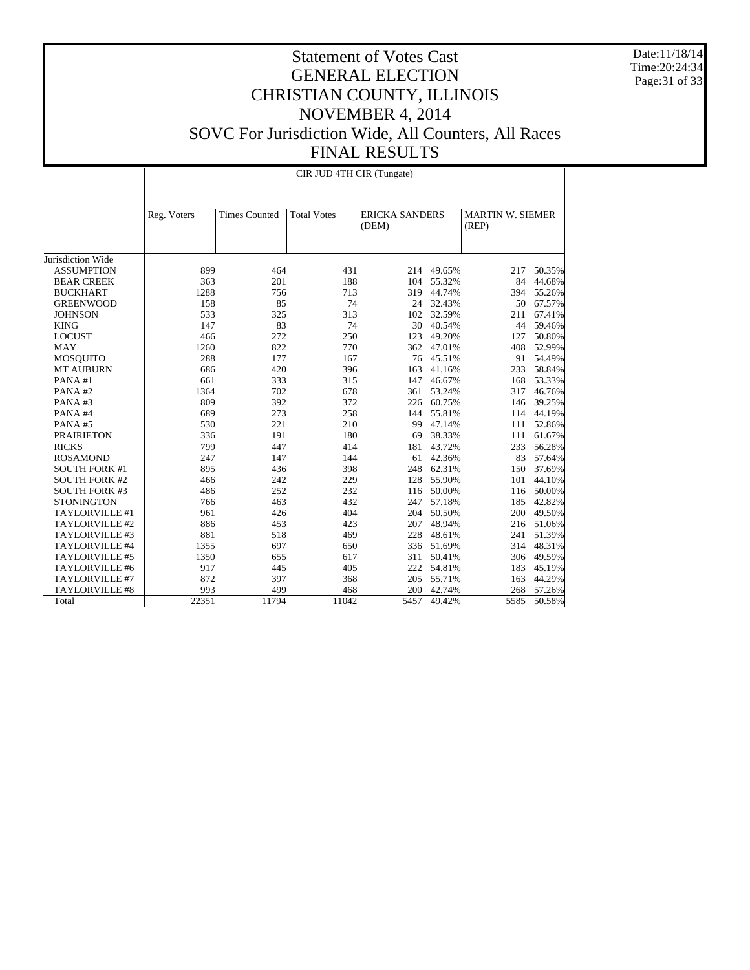Date:11/18/14 Time:20:24:34 Page:31 of 33

|                       | CIR JUD 4TH CIR (Tungate) |                      |                    |                                |            |                                  |            |  |  |  |
|-----------------------|---------------------------|----------------------|--------------------|--------------------------------|------------|----------------------------------|------------|--|--|--|
|                       | Reg. Voters               | <b>Times Counted</b> | <b>Total Votes</b> | <b>ERICKA SANDERS</b><br>(DEM) |            | <b>MARTIN W. SIEMER</b><br>(REP) |            |  |  |  |
| Jurisdiction Wide     |                           |                      |                    |                                |            |                                  |            |  |  |  |
| <b>ASSUMPTION</b>     | 899                       | 464                  | 431                | 214                            | 49.65%     | 217                              | 50.35%     |  |  |  |
| <b>BEAR CREEK</b>     | 363                       | 201                  | 188                | 104                            | 55.32%     | 84                               | 44.68%     |  |  |  |
| <b>BUCKHART</b>       | 1288                      | 756                  | 713                | 319                            | 44.74%     | 394                              | 55.26%     |  |  |  |
| <b>GREENWOOD</b>      | 158                       | 85                   | 74                 | 24                             | 32.43%     | 50                               | 67.57%     |  |  |  |
| <b>JOHNSON</b>        | 533                       | 325                  | 313                |                                | 102 32.59% | 211                              | 67.41%     |  |  |  |
| <b>KING</b>           | 147                       | 83                   | 74                 | 30                             | 40.54%     | 44                               | 59.46%     |  |  |  |
| <b>LOCUST</b>         | 466                       | 272                  | 250                | 123                            | 49.20%     | 127                              | 50.80%     |  |  |  |
| <b>MAY</b>            | 1260                      | 822                  | 770                | 362                            | 47.01%     | 408                              | 52.99%     |  |  |  |
| MOSQUITO              | 288                       | 177                  | 167                | 76                             | 45.51%     | 91                               | 54.49%     |  |  |  |
| <b>MT AUBURN</b>      | 686                       | 420                  | 396                | 163                            | 41.16%     | 233                              | 58.84%     |  |  |  |
| PANA#1                | 661                       | 333                  | 315                | 147                            | 46.67%     | 168                              | 53.33%     |  |  |  |
| PANA#2                | 1364                      | 702                  | 678                |                                | 361 53.24% | 317                              | 46.76%     |  |  |  |
| PANA#3                | 809                       | 392                  | 372                | 226                            | 60.75%     | 146                              | 39.25%     |  |  |  |
| PANA#4                | 689                       | 273                  | 258                | 144                            | 55.81%     | 114                              | 44.19%     |  |  |  |
| PANA#5                | 530                       | 221                  | 210                |                                | 99 47.14%  | 111                              | 52.86%     |  |  |  |
| <b>PRAIRIETON</b>     | 336                       | 191                  | 180                | 69                             | 38.33%     |                                  | 111 61.67% |  |  |  |
| <b>RICKS</b>          | 799                       | 447                  | 414                | 181                            | 43.72%     | 233                              | 56.28%     |  |  |  |
| <b>ROSAMOND</b>       | 247                       | 147                  | 144                | 61                             | 42.36%     | 83                               | 57.64%     |  |  |  |
| <b>SOUTH FORK #1</b>  | 895                       | 436                  | 398                | 248                            | 62.31%     | 150                              | 37.69%     |  |  |  |
| <b>SOUTH FORK #2</b>  | 466                       | 242                  | 229                | 128                            | 55.90%     | 101                              | 44.10%     |  |  |  |
| <b>SOUTH FORK #3</b>  | 486                       | 252                  | 232                |                                | 116 50.00% | 116                              | 50.00%     |  |  |  |
| <b>STONINGTON</b>     | 766                       | 463                  | 432                | 247                            | 57.18%     | 185                              | 42.82%     |  |  |  |
| TAYLORVILLE #1        | 961                       | 426                  | 404                |                                | 204 50.50% | 200                              | 49.50%     |  |  |  |
| TAYLORVILLE #2        | 886                       | 453                  | 423                | 207                            | 48.94%     |                                  | 216 51.06% |  |  |  |
| TAYLORVILLE #3        | 881                       | 518                  | 469                | 228                            | 48.61%     | 241                              | 51.39%     |  |  |  |
| TAYLORVILLE #4        | 1355                      | 697                  | 650                |                                | 336 51.69% | 314                              | 48.31%     |  |  |  |
| TAYLORVILLE #5        | 1350                      | 655                  | 617                | 311                            | 50.41%     | 306                              | 49.59%     |  |  |  |
| TAYLORVILLE #6        | 917                       | 445                  | 405                | 222                            | 54.81%     | 183                              | 45.19%     |  |  |  |
| TAYLORVILLE #7        | 872                       | 397                  | 368                | 205                            | 55.71%     | 163                              | 44.29%     |  |  |  |
| <b>TAYLORVILLE #8</b> | 993                       | 499                  | 468                | 200                            | 42.74%     | 268                              | 57.26%     |  |  |  |
| Total                 | 22351                     | 11794                | 11042              | 5457                           | 49.42%     | 5585                             | 50.58%     |  |  |  |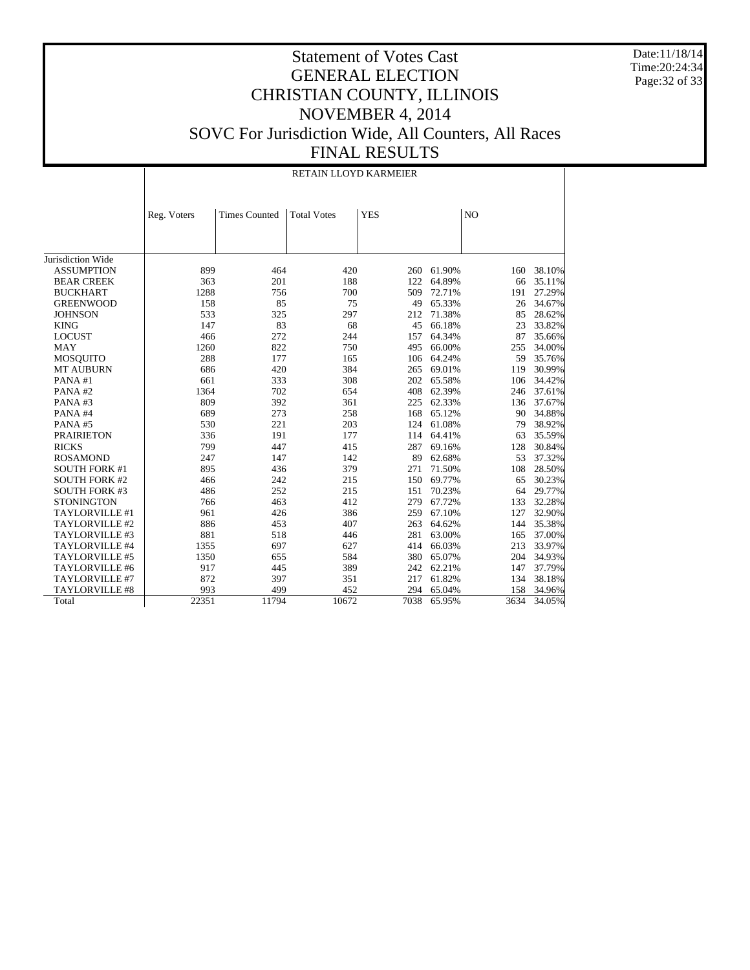Date:11/18/14 Time:20:24:34 Page:32 of 33

| RETAIN LLOYD KARMEIER |
|-----------------------|
|-----------------------|

|                       | Reg. Voters | <b>Times Counted</b> | <b>Total Votes</b> | <b>YES</b> |        | N <sub>O</sub> |        |
|-----------------------|-------------|----------------------|--------------------|------------|--------|----------------|--------|
|                       |             |                      |                    |            |        |                |        |
|                       |             |                      |                    |            |        |                |        |
|                       |             |                      |                    |            |        |                |        |
| Jurisdiction Wide     |             |                      |                    |            |        |                |        |
| <b>ASSUMPTION</b>     | 899         | 464                  | 420                | 260        | 61.90% | 160            | 38.10% |
| <b>BEAR CREEK</b>     | 363         | 201                  | 188                | 122        | 64.89% | 66             | 35.11% |
| <b>BUCKHART</b>       | 1288        | 756                  | 700                | 509        | 72.71% | 191            | 27.29% |
| <b>GREENWOOD</b>      | 158         | 85                   | 75                 | 49         | 65.33% | 26             | 34.67% |
| <b>JOHNSON</b>        | 533         | 325                  | 297                | 212        | 71.38% | 85             | 28.62% |
| <b>KING</b>           | 147         | 83                   | 68                 | 45         | 66.18% | 23             | 33.82% |
| <b>LOCUST</b>         | 466         | 272                  | 244                | 157        | 64.34% | 87             | 35.66% |
| <b>MAY</b>            | 1260        | 822                  | 750                | 495        | 66.00% | 255            | 34.00% |
| <b>MOSQUITO</b>       | 288         | 177                  | 165                | 106        | 64.24% | 59             | 35.76% |
| <b>MT AUBURN</b>      | 686         | 420                  | 384                | 265        | 69.01% | 119            | 30.99% |
| PANA#1                | 661         | 333                  | 308                | 202        | 65.58% | 106            | 34.42% |
| PANA#2                | 1364        | 702                  | 654                | 408        | 62.39% | 246            | 37.61% |
| PANA#3                | 809         | 392                  | 361                | 225        | 62.33% | 136            | 37.67% |
| PANA#4                | 689         | 273                  | 258                | 168        | 65.12% | 90             | 34.88% |
| PANA#5                | 530         | 221                  | 203                | 124        | 61.08% | 79             | 38.92% |
| <b>PRAIRIETON</b>     | 336         | 191                  | 177                | 114        | 64.41% | 63             | 35.59% |
| <b>RICKS</b>          | 799         | 447                  | 415                | 287        | 69.16% | 128            | 30.84% |
| <b>ROSAMOND</b>       | 247         | 147                  | 142                | 89         | 62.68% | 53             | 37.32% |
| <b>SOUTH FORK #1</b>  | 895         | 436                  | 379                | 271        | 71.50% | 108            | 28.50% |
| <b>SOUTH FORK #2</b>  | 466         | 242                  | 215                | 150        | 69.77% | 65             | 30.23% |
| <b>SOUTH FORK #3</b>  | 486         | 252                  | 215                | 151        | 70.23% | 64             | 29.77% |
| <b>STONINGTON</b>     | 766         | 463                  | 412                | 279        | 67.72% | 133            | 32.28% |
| TAYLORVILLE #1        | 961         | 426                  | 386                | 259        | 67.10% | 127            | 32.90% |
| TAYLORVILLE #2        | 886         | 453                  | 407                | 263        | 64.62% | 144            | 35.38% |
| TAYLORVILLE #3        | 881         | 518                  | 446                | 281        | 63.00% | 165            | 37.00% |
| TAYLORVILLE #4        | 1355        | 697                  | 627                | 414        | 66.03% | 213            | 33.97% |
| TAYLORVILLE #5        | 1350        | 655                  | 584                | 380        | 65.07% | 204            | 34.93% |
| TAYLORVILLE #6        | 917         | 445                  | 389                | 242        | 62.21% | 147            | 37.79% |
| TAYLORVILLE #7        | 872         | 397                  | 351                | 217        | 61.82% | 134            | 38.18% |
| <b>TAYLORVILLE #8</b> | 993         | 499                  | 452                | 294        | 65.04% | 158            | 34.96% |
| Total                 | 22351       | 11794                | 10672              | 7038       | 65.95% | 3634           | 34.05% |